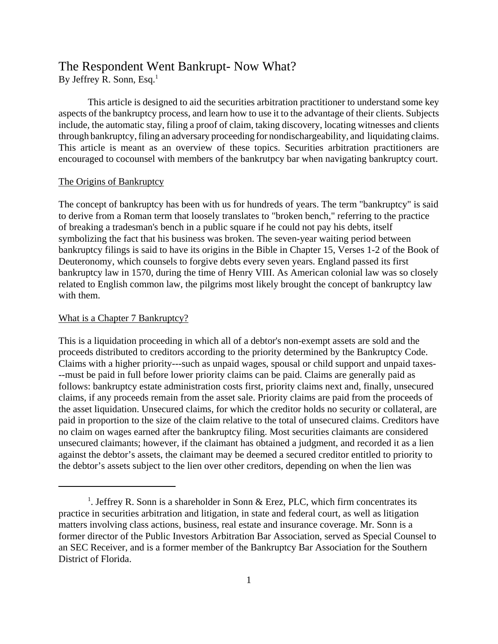# The Respondent Went Bankrupt- Now What?

By Jeffrey R. Sonn, Esq.<sup>1</sup>

This article is designed to aid the securities arbitration practitioner to understand some key aspects of the bankruptcy process, and learn how to use it to the advantage of their clients. Subjects include, the automatic stay, filing a proof of claim, taking discovery, locating witnesses and clients through bankruptcy, filing an adversary proceeding for nondischargeability, and liquidating claims. This article is meant as an overview of these topics. Securities arbitration practitioners are encouraged to cocounsel with members of the bankrutpcy bar when navigating bankruptcy court.

# The Origins of Bankruptcy

The concept of bankruptcy has been with us for hundreds of years. The term "bankruptcy" is said to derive from a Roman term that loosely translates to "broken bench," referring to the practice of breaking a tradesman's bench in a public square if he could not pay his debts, itself symbolizing the fact that his business was broken. The seven-year waiting period between bankruptcy filings is said to have its origins in the Bible in Chapter 15, Verses 1-2 of the Book of Deuteronomy, which counsels to forgive debts every seven years. England passed its first bankruptcy law in 1570, during the time of Henry VIII. As American colonial law was so closely related to English common law, the pilgrims most likely brought the concept of bankruptcy law with them.

# What is a Chapter 7 Bankruptcy?

This is a liquidation proceeding in which all of a debtor's non-exempt assets are sold and the proceeds distributed to creditors according to the priority determined by the Bankruptcy Code. Claims with a higher priority---such as unpaid wages, spousal or child support and unpaid taxes- --must be paid in full before lower priority claims can be paid. Claims are generally paid as follows: bankruptcy estate administration costs first, priority claims next and, finally, unsecured claims, if any proceeds remain from the asset sale. Priority claims are paid from the proceeds of the asset liquidation. Unsecured claims, for which the creditor holds no security or collateral, are paid in proportion to the size of the claim relative to the total of unsecured claims. Creditors have no claim on wages earned after the bankruptcy filing. Most securities claimants are considered unsecured claimants; however, if the claimant has obtained a judgment, and recorded it as a lien against the debtor's assets, the claimant may be deemed a secured creditor entitled to priority to the debtor's assets subject to the lien over other creditors, depending on when the lien was

<sup>&</sup>lt;sup>1</sup>. Jeffrey R. Sonn is a shareholder in Sonn & Erez, PLC, which firm concentrates its practice in securities arbitration and litigation, in state and federal court, as well as litigation matters involving class actions, business, real estate and insurance coverage. Mr. Sonn is a former director of the Public Investors Arbitration Bar Association, served as Special Counsel to an SEC Receiver, and is a former member of the Bankruptcy Bar Association for the Southern District of Florida.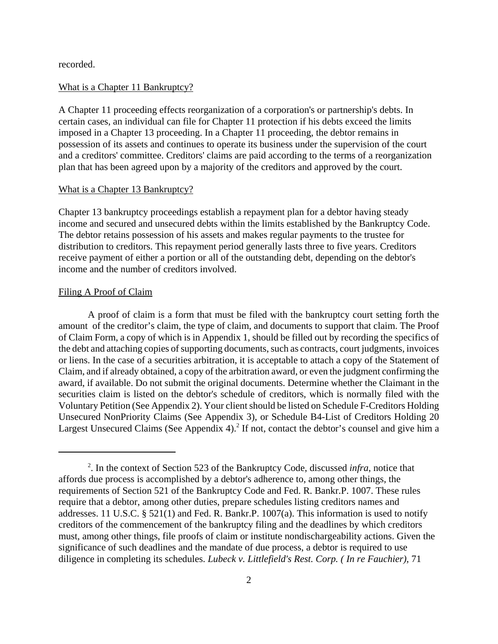recorded.

# What is a Chapter 11 Bankruptcy?

A Chapter 11 proceeding effects reorganization of a corporation's or partnership's debts. In certain cases, an individual can file for Chapter 11 protection if his debts exceed the limits imposed in a Chapter 13 proceeding. In a Chapter 11 proceeding, the debtor remains in possession of its assets and continues to operate its business under the supervision of the court and a creditors' committee. Creditors' claims are paid according to the terms of a reorganization plan that has been agreed upon by a majority of the creditors and approved by the court.

# What is a Chapter 13 Bankruptcy?

Chapter 13 bankruptcy proceedings establish a repayment plan for a debtor having steady income and secured and unsecured debts within the limits established by the Bankruptcy Code. The debtor retains possession of his assets and makes regular payments to the trustee for distribution to creditors. This repayment period generally lasts three to five years. Creditors receive payment of either a portion or all of the outstanding debt, depending on the debtor's income and the number of creditors involved.

# Filing A Proof of Claim

A proof of claim is a form that must be filed with the bankruptcy court setting forth the amount of the creditor's claim, the type of claim, and documents to support that claim. The Proof of Claim Form, a copy of which is in Appendix 1, should be filled out by recording the specifics of the debt and attaching copies of supporting documents, such as contracts, court judgments, invoices or liens. In the case of a securities arbitration, it is acceptable to attach a copy of the Statement of Claim, and if already obtained, a copy of the arbitration award, or even the judgment confirming the award, if available. Do not submit the original documents. Determine whether the Claimant in the securities claim is listed on the debtor's schedule of creditors, which is normally filed with the Voluntary Petition (See Appendix 2). Your client should be listed on Schedule F-Creditors Holding Unsecured NonPriority Claims (See Appendix 3), or Schedule B4-List of Creditors Holding 20 Largest Unsecured Claims (See Appendix 4).<sup>2</sup> If not, contact the debtor's counsel and give him a

<sup>2</sup> . In the context of Section 523 of the Bankruptcy Code, discussed *infra*, notice that affords due process is accomplished by a debtor's adherence to, among other things, the requirements of Section 521 of the Bankruptcy Code and Fed. R. Bankr.P. 1007. These rules require that a debtor, among other duties, prepare schedules listing creditors names and addresses. 11 U.S.C. § 521(1) and Fed. R. Bankr.P. 1007(a). This information is used to notify creditors of the commencement of the bankruptcy filing and the deadlines by which creditors must, among other things, file proofs of claim or institute nondischargeability actions. Given the significance of such deadlines and the mandate of due process, a debtor is required to use diligence in completing its schedules. *Lubeck v. Littlefield's Rest. Corp. ( In re Fauchier),* 71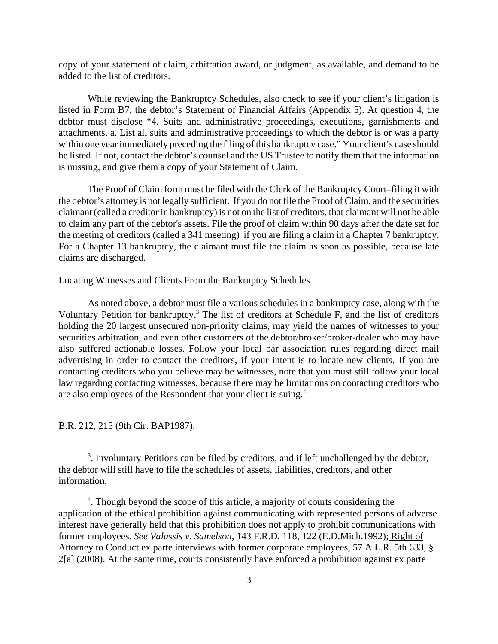copy of your statement of claim, arbitration award, or judgment, as available, and demand to be added to the list of creditors.

While reviewing the Bankruptcy Schedules, also check to see if your client's litigation is listed in Form B7, the debtor's Statement of Financial Affairs (Appendix 5). At question 4, the debtor must disclose "4. Suits and administrative proceedings, executions, garnishments and attachments. a. List all suits and administrative proceedings to which the debtor is or was a party within one year immediately preceding the filing of this bankruptcy case." Your client's case should be listed. If not, contact the debtor's counsel and the US Trustee to notify them that the information is missing, and give them a copy of your Statement of Claim.

The Proof of Claim form must be filed with the Clerk of the Bankruptcy Court–filing it with the debtor's attorney is not legally sufficient. If you do not file the Proof of Claim, and the securities claimant (called a creditor in bankruptcy) is not on the list of creditors, that claimant will not be able to claim any part of the debtor's assets. File the proof of claim within 90 days after the date set for the meeting of creditors (called a 341 meeting) if you are filing a claim in a Chapter 7 bankruptcy. For a Chapter 13 bankruptcy, the claimant must file the claim as soon as possible, because late claims are discharged.

# Locating Witnesses and Clients From the Bankruptcy Schedules

As noted above, a debtor must file a various schedules in a bankruptcy case, along with the Voluntary Petition for bankruptcy.<sup>3</sup> The list of creditors at Schedule F, and the list of creditors holding the 20 largest unsecured non-priority claims, may yield the names of witnesses to your securities arbitration, and even other customers of the debtor/broker/broker-dealer who may have also suffered actionable losses. Follow your local bar association rules regarding direct mail advertising in order to contact the creditors, if your intent is to locate new clients. If you are contacting creditors who you believe may be witnesses, note that you must still follow your local law regarding contacting witnesses, because there may be limitations on contacting creditors who are also employees of the Respondent that your client is suing.4

# B.R. 212, 215 (9th Cir. BAP1987).

 $3$ . Involuntary Petitions can be filed by creditors, and if left unchallenged by the debtor, the debtor will still have to file the schedules of assets, liabilities, creditors, and other information.

<sup>4</sup>. Though beyond the scope of this article, a majority of courts considering the application of the ethical prohibition against communicating with represented persons of adverse interest have generally held that this prohibition does not apply to prohibit communications with former employees. *See Valassis v. Samelson,* 143 F.R.D. 118, 122 (E.D.Mich.1992); Right of Attorney to Conduct ex parte interviews with former corporate employees, 57 A.L.R. 5th 633, § 2[a] (2008). At the same time, courts consistently have enforced a prohibition against ex parte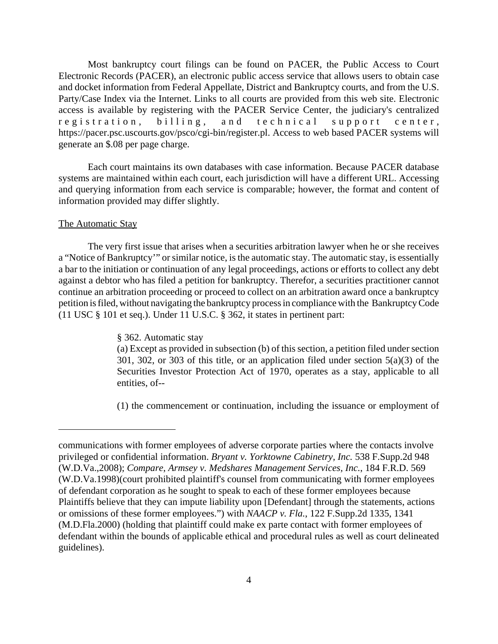Most bankruptcy court filings can be found on PACER, the Public Access to Court Electronic Records (PACER), an electronic public access service that allows users to obtain case and docket information from Federal Appellate, District and Bankruptcy courts, and from the U.S. Party/Case Index via the Internet. Links to all courts are provided from this web site. Electronic access is available by registering with the PACER Service Center, the judiciary's centralized registration, billing, and technical support center, https://pacer.psc.uscourts.gov/psco/cgi-bin/register.pl. Access to web based PACER systems will generate an \$.08 per page charge.

Each court maintains its own databases with case information. Because PACER database systems are maintained within each court, each jurisdiction will have a different URL. Accessing and querying information from each service is comparable; however, the format and content of information provided may differ slightly.

# The Automatic Stay

The very first issue that arises when a securities arbitration lawyer when he or she receives a "Notice of Bankruptcy'" or similar notice, is the automatic stay. The automatic stay, is essentially a bar to the initiation or continuation of any legal proceedings, actions or efforts to collect any debt against a debtor who has filed a petition for bankruptcy. Therefor, a securities practitioner cannot continue an arbitration proceeding or proceed to collect on an arbitration award once a bankruptcy petition is filed, without navigating the bankruptcy process in compliance with the Bankruptcy Code (11 USC § 101 et seq.). Under 11 U.S.C. § 362, it states in pertinent part:

§ 362. Automatic stay

(a) Except as provided in subsection (b) of this section, a petition filed under section 301, 302, or 303 of this title, or an application filed under section 5(a)(3) of the Securities Investor Protection Act of 1970, operates as a stay, applicable to all entities, of--

(1) the commencement or continuation, including the issuance or employment of

communications with former employees of adverse corporate parties where the contacts involve privileged or confidential information. *Bryant v. Yorktowne Cabinetry, Inc.* 538 F.Supp.2d 948 (W.D.Va.,2008); *Compare*, *Armsey v. Medshares Management Services, Inc.*, 184 F.R.D. 569 (W.D.Va.1998)(court prohibited plaintiff's counsel from communicating with former employees of defendant corporation as he sought to speak to each of these former employees because Plaintiffs believe that they can impute liability upon [Defendant] through the statements, actions or omissions of these former employees.") with *NAACP v. Fla.*, 122 F.Supp.2d 1335, 1341 (M.D.Fla.2000) (holding that plaintiff could make ex parte contact with former employees of defendant within the bounds of applicable ethical and procedural rules as well as court delineated guidelines).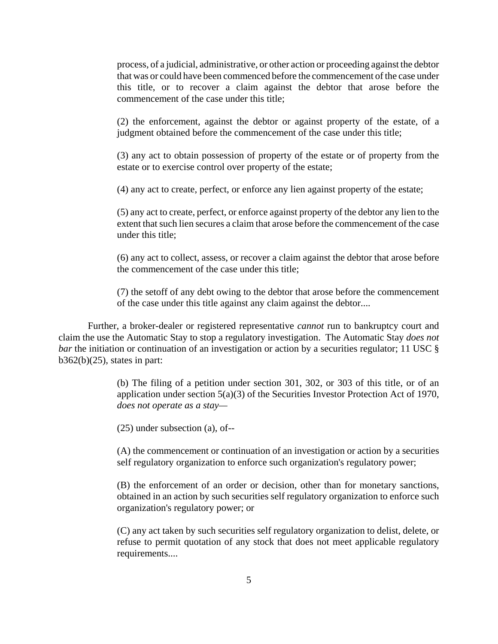process, of a judicial, administrative, or other action or proceeding against the debtor that was or could have been commenced before the commencement of the case under this title, or to recover a claim against the debtor that arose before the commencement of the case under this title;

(2) the enforcement, against the debtor or against property of the estate, of a judgment obtained before the commencement of the case under this title;

(3) any act to obtain possession of property of the estate or of property from the estate or to exercise control over property of the estate;

(4) any act to create, perfect, or enforce any lien against property of the estate;

(5) any act to create, perfect, or enforce against property of the debtor any lien to the extent that such lien secures a claim that arose before the commencement of the case under this title;

(6) any act to collect, assess, or recover a claim against the debtor that arose before the commencement of the case under this title;

(7) the setoff of any debt owing to the debtor that arose before the commencement of the case under this title against any claim against the debtor....

Further, a broker-dealer or registered representative *cannot* run to bankruptcy court and claim the use the Automatic Stay to stop a regulatory investigation. The Automatic Stay *does not bar* the initiation or continuation of an investigation or action by a securities regulator; 11 USC §  $b362(b)(25)$ , states in part:

> (b) The filing of a petition under section 301, 302, or 303 of this title, or of an application under section 5(a)(3) of the Securities Investor Protection Act of 1970, *does not operate as a stay—*

(25) under subsection (a), of--

(A) the commencement or continuation of an investigation or action by a securities self regulatory organization to enforce such organization's regulatory power;

(B) the enforcement of an order or decision, other than for monetary sanctions, obtained in an action by such securities self regulatory organization to enforce such organization's regulatory power; or

(C) any act taken by such securities self regulatory organization to delist, delete, or refuse to permit quotation of any stock that does not meet applicable regulatory requirements....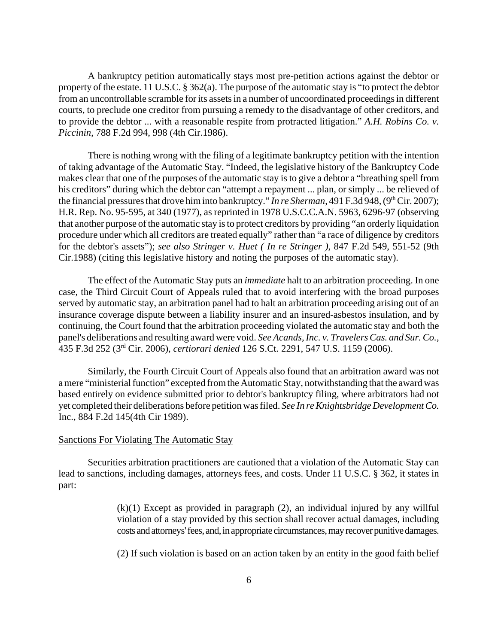A bankruptcy petition automatically stays most pre-petition actions against the debtor or property of the estate. 11 U.S.C. § 362(a). The purpose of the automatic stay is "to protect the debtor from an uncontrollable scramble for its assets in a number of uncoordinated proceedings in different courts, to preclude one creditor from pursuing a remedy to the disadvantage of other creditors, and to provide the debtor ... with a reasonable respite from protracted litigation." *A.H. Robins Co. v. Piccinin*, 788 F.2d 994, 998 (4th Cir.1986).

There is nothing wrong with the filing of a legitimate bankruptcy petition with the intention of taking advantage of the Automatic Stay. "Indeed, the legislative history of the Bankruptcy Code makes clear that one of the purposes of the automatic stay is to give a debtor a "breathing spell from his creditors" during which the debtor can "attempt a repayment ... plan, or simply ... be relieved of the financial pressures that drove him into bankruptcy." *In re Sherman*, 491 F.3d 948, (9<sup>th</sup> Cir. 2007); H.R. Rep. No. 95-595, at 340 (1977), as reprinted in 1978 U.S.C.C.A.N. 5963, 6296-97 (observing that another purpose of the automatic stay is to protect creditors by providing "an orderly liquidation procedure under which all creditors are treated equally" rather than "a race of diligence by creditors for the debtor's assets"); *see also Stringer v. Huet ( In re Stringer )*, 847 F.2d 549, 551-52 (9th Cir.1988) (citing this legislative history and noting the purposes of the automatic stay).

The effect of the Automatic Stay puts an *immediate* halt to an arbitration proceeding. In one case, the Third Circuit Court of Appeals ruled that to avoid interfering with the broad purposes served by automatic stay, an arbitration panel had to halt an arbitration proceeding arising out of an insurance coverage dispute between a liability insurer and an insured-asbestos insulation, and by continuing, the Court found that the arbitration proceeding violated the automatic stay and both the panel's deliberations and resulting award were void. *See Acands, Inc. v. Travelers Cas. and Sur. Co.*, 435 F.3d 252 (3rd Cir. 2006), *certiorari denied* 126 S.Ct. 2291, 547 U.S. 1159 (2006).

Similarly, the Fourth Circuit Court of Appeals also found that an arbitration award was not a mere "ministerial function" excepted from the Automatic Stay, notwithstanding that the award was based entirely on evidence submitted prior to debtor's bankruptcy filing, where arbitrators had not yet completed their deliberations before petition was filed. *See In re Knightsbridge Development Co.* Inc., 884 F.2d 145(4th Cir 1989).

# Sanctions For Violating The Automatic Stay

Securities arbitration practitioners are cautioned that a violation of the Automatic Stay can lead to sanctions, including damages, attorneys fees, and costs. Under 11 U.S.C. § 362, it states in part:

> (k)(1) Except as provided in paragraph (2), an individual injured by any willful violation of a stay provided by this section shall recover actual damages, including costs and attorneys' fees, and, in appropriate circumstances, may recover punitive damages.

> (2) If such violation is based on an action taken by an entity in the good faith belief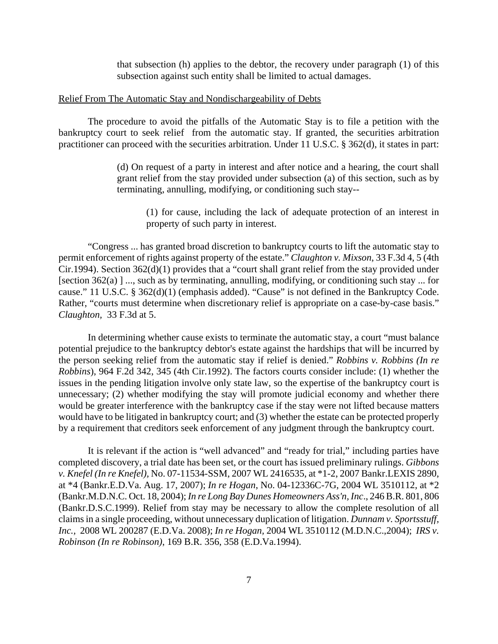that subsection (h) applies to the debtor, the recovery under paragraph (1) of this subsection against such entity shall be limited to actual damages.

# Relief From The Automatic Stay and Nondischargeability of Debts

The procedure to avoid the pitfalls of the Automatic Stay is to file a petition with the bankruptcy court to seek relief from the automatic stay. If granted, the securities arbitration practitioner can proceed with the securities arbitration. Under 11 U.S.C. § 362(d), it states in part:

> (d) On request of a party in interest and after notice and a hearing, the court shall grant relief from the stay provided under subsection (a) of this section, such as by terminating, annulling, modifying, or conditioning such stay--

(1) for cause, including the lack of adequate protection of an interest in property of such party in interest.

"Congress ... has granted broad discretion to bankruptcy courts to lift the automatic stay to permit enforcement of rights against property of the estate." *Claughton v. Mixson*, 33 F.3d 4, 5 (4th Cir.1994). Section 362(d)(1) provides that a "court shall grant relief from the stay provided under [section 362(a) ] ..., such as by terminating, annulling, modifying, or conditioning such stay ... for cause." 11 U.S.C. § 362(d)(1) (emphasis added). "Cause" is not defined in the Bankruptcy Code. Rather, "courts must determine when discretionary relief is appropriate on a case-by-case basis." *Claughton,* 33 F.3d at 5.

In determining whether cause exists to terminate the automatic stay, a court "must balance potential prejudice to the bankruptcy debtor's estate against the hardships that will be incurred by the person seeking relief from the automatic stay if relief is denied." *Robbins v. Robbins (In re Robbins*), 964 F.2d 342, 345 (4th Cir.1992). The factors courts consider include: (1) whether the issues in the pending litigation involve only state law, so the expertise of the bankruptcy court is unnecessary; (2) whether modifying the stay will promote judicial economy and whether there would be greater interference with the bankruptcy case if the stay were not lifted because matters would have to be litigated in bankruptcy court; and (3) whether the estate can be protected properly by a requirement that creditors seek enforcement of any judgment through the bankruptcy court.

It is relevant if the action is "well advanced" and "ready for trial," including parties have completed discovery, a trial date has been set, or the court has issued preliminary rulings. *Gibbons v. Knefel (In re Knefel),* No. 07-11534-SSM, 2007 WL 2416535, at \*1-2, 2007 Bankr.LEXIS 2890, at \*4 (Bankr.E.D.Va. Aug. 17, 2007); *In re Hogan*, No. 04-12336C-7G, 2004 WL 3510112, at \*2 (Bankr.M.D.N.C. Oct. 18, 2004); *In re Long Bay Dunes Homeowners Ass'n, Inc*., 246 B.R. 801, 806 (Bankr.D.S.C.1999). Relief from stay may be necessary to allow the complete resolution of all claims in a single proceeding, without unnecessary duplication of litigation. *Dunnam v. Sportsstuff, Inc.,* 2008 WL 200287 (E.D.Va. 2008); *In re Hogan,* 2004 WL 3510112 (M.D.N.C.,2004); *IRS v. Robinson (In re Robinson)*, 169 B.R. 356, 358 (E.D.Va.1994).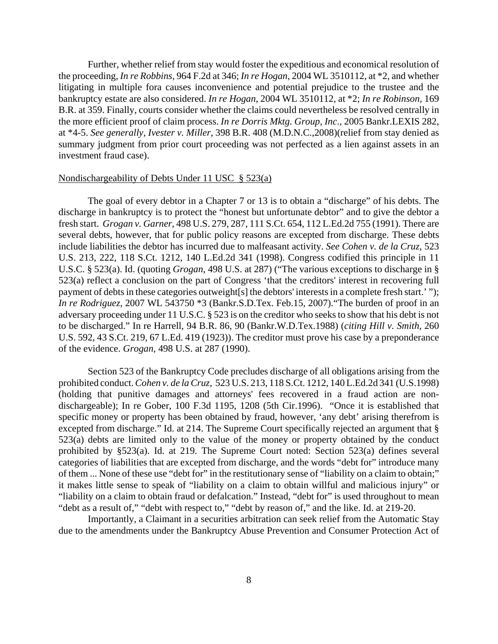Further, whether relief from stay would foster the expeditious and economical resolution of the proceeding, *In re Robbins,* 964 F.2d at 346; *In re Hogan*, 2004 WL 3510112, at \*2, and whether litigating in multiple fora causes inconvenience and potential prejudice to the trustee and the bankruptcy estate are also considered. *In re Hogan*, 2004 WL 3510112, at \*2; *In re Robinson,* 169 B.R. at 359. Finally, courts consider whether the claims could nevertheless be resolved centrally in the more efficient proof of claim process. *In re Dorris Mktg. Group, Inc*., 2005 Bankr.LEXIS 282, at \*4-5. *See generally, Ivester v. Miller,* 398 B.R. 408 (M.D.N.C.,2008)(relief from stay denied as summary judgment from prior court proceeding was not perfected as a lien against assets in an investment fraud case).

#### Nondischargeability of Debts Under 11 USC § 523(a)

The goal of every debtor in a Chapter 7 or 13 is to obtain a "discharge" of his debts. The discharge in bankruptcy is to protect the "honest but unfortunate debtor" and to give the debtor a fresh start. *Grogan v. Garner*, 498 U.S. 279, 287, 111 S.Ct. 654, 112 L.Ed.2d 755 (1991). There are several debts, however, that for public policy reasons are excepted from discharge. These debts include liabilities the debtor has incurred due to malfeasant activity. *See Cohen v. de la Cruz,* 523 U.S. 213, 222, 118 S.Ct. 1212, 140 L.Ed.2d 341 (1998). Congress codified this principle in 11 U.S.C. § 523(a). Id. (quoting *Grogan*, 498 U.S. at 287) ("The various exceptions to discharge in § 523(a) reflect a conclusion on the part of Congress 'that the creditors' interest in recovering full payment of debts in these categories outweight[s] the debtors' interests in a complete fresh start.' "); *In re Rodriguez*, 2007 WL 543750 \*3 (Bankr.S.D.Tex. Feb.15, 2007)."The burden of proof in an adversary proceeding under 11 U.S.C. § 523 is on the creditor who seeks to show that his debt is not to be discharged." In re Harrell, 94 B.R. 86, 90 (Bankr.W.D.Tex.1988) (*citing Hill v. Smith*, 260 U.S. 592, 43 S.Ct. 219, 67 L.Ed. 419 (1923)). The creditor must prove his case by a preponderance of the evidence. *Grogan*, 498 U.S. at 287 (1990).

 Section 523 of the Bankruptcy Code precludes discharge of all obligations arising from the prohibited conduct. *Cohen v. de la Cruz*, 523 U.S. 213, 118 S.Ct. 1212, 140 L.Ed.2d 341 (U.S.1998) (holding that punitive damages and attorneys' fees recovered in a fraud action are nondischargeable); In re Gober, 100 F.3d 1195, 1208 (5th Cir.1996). "Once it is established that specific money or property has been obtained by fraud, however, 'any debt' arising therefrom is excepted from discharge." Id. at 214. The Supreme Court specifically rejected an argument that § 523(a) debts are limited only to the value of the money or property obtained by the conduct prohibited by §523(a). Id. at 219. The Supreme Court noted: Section 523(a) defines several categories of liabilities that are excepted from discharge, and the words "debt for" introduce many of them ... None of these use "debt for" in the restitutionary sense of "liability on a claim to obtain;" it makes little sense to speak of "liability on a claim to obtain willful and malicious injury" or "liability on a claim to obtain fraud or defalcation." Instead, "debt for" is used throughout to mean "debt as a result of," "debt with respect to," "debt by reason of," and the like. Id. at 219-20.

Importantly, a Claimant in a securities arbitration can seek relief from the Automatic Stay due to the amendments under the Bankruptcy Abuse Prevention and Consumer Protection Act of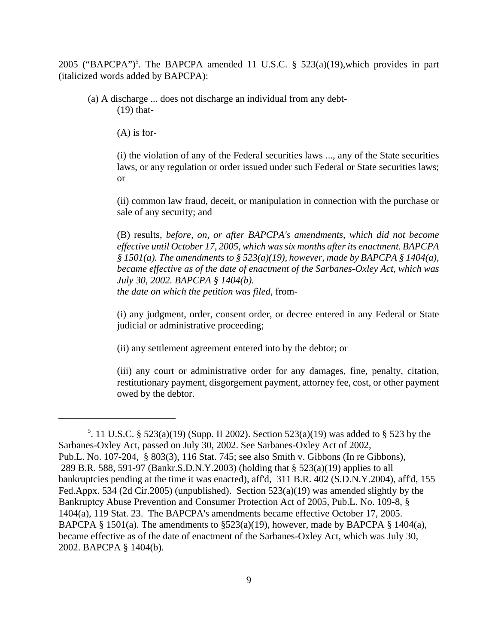2005 ("BAPCPA")<sup>5</sup>. The BAPCPA amended 11 U.S.C.  $\S$  523(a)(19), which provides in part (italicized words added by BAPCPA):

(a) A discharge ... does not discharge an individual from any debt- (19) that-

(A) is for-

(i) the violation of any of the Federal securities laws ..., any of the State securities laws, or any regulation or order issued under such Federal or State securities laws; or

(ii) common law fraud, deceit, or manipulation in connection with the purchase or sale of any security; and

(B) results, *before, on, or after BAPCPA's amendments, which did not become effective until October 17, 2005, which was six months after its enactment. BAPCPA § 1501(a). The amendments to § 523(a)(19), however, made by BAPCPA § 1404(a), became effective as of the date of enactment of the Sarbanes-Oxley Act, which was July 30, 2002. BAPCPA § 1404(b). the date on which the petition was filed,* from-

(i) any judgment, order, consent order, or decree entered in any Federal or State judicial or administrative proceeding;

(ii) any settlement agreement entered into by the debtor; or

(iii) any court or administrative order for any damages, fine, penalty, citation, restitutionary payment, disgorgement payment, attorney fee, cost, or other payment owed by the debtor.

<sup>&</sup>lt;sup>5</sup>. 11 U.S.C. § 523(a)(19) (Supp. II 2002). Section 523(a)(19) was added to § 523 by the Sarbanes-Oxley Act, passed on July 30, 2002. See Sarbanes-Oxley Act of 2002, Pub.L. No. 107-204, § 803(3), 116 Stat. 745; see also Smith v. Gibbons (In re Gibbons), 289 B.R. 588, 591-97 (Bankr.S.D.N.Y.2003) (holding that § 523(a)(19) applies to all bankruptcies pending at the time it was enacted), aff'd, 311 B.R. 402 (S.D.N.Y.2004), aff'd, 155 Fed.Appx. 534 (2d Cir.2005) (unpublished). Section 523(a)(19) was amended slightly by the Bankruptcy Abuse Prevention and Consumer Protection Act of 2005, Pub.L. No. 109-8, § 1404(a), 119 Stat. 23. The BAPCPA's amendments became effective October 17, 2005. BAPCPA § 1501(a). The amendments to §523(a)(19), however, made by BAPCPA § 1404(a), became effective as of the date of enactment of the Sarbanes-Oxley Act, which was July 30, 2002. BAPCPA § 1404(b).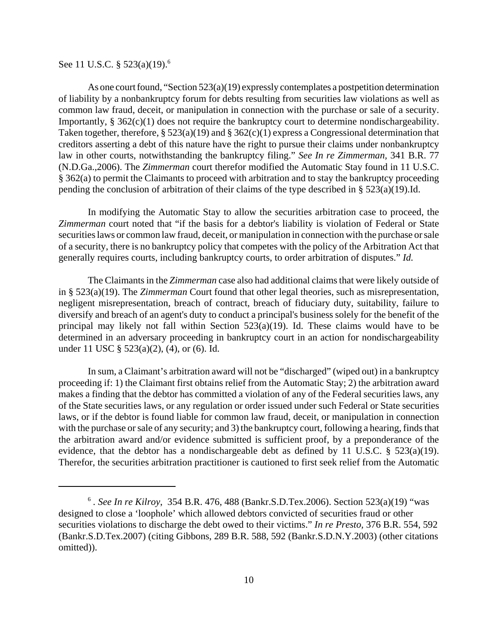See 11 U.S.C. § 523(a)(19).<sup>6</sup>

As one court found, "Section 523(a)(19) expressly contemplates a postpetition determination of liability by a nonbankruptcy forum for debts resulting from securities law violations as well as common law fraud, deceit, or manipulation in connection with the purchase or sale of a security. Importantly, § 362(c)(1) does not require the bankruptcy court to determine nondischargeability. Taken together, therefore, § 523(a)(19) and § 362(c)(1) express a Congressional determination that creditors asserting a debt of this nature have the right to pursue their claims under nonbankruptcy law in other courts, notwithstanding the bankruptcy filing." *See In re Zimmerman,* 341 B.R. 77 (N.D.Ga.,2006). The *Zimmerman* court therefor modified the Automatic Stay found in 11 U.S.C. § 362(a) to permit the Claimants to proceed with arbitration and to stay the bankruptcy proceeding pending the conclusion of arbitration of their claims of the type described in § 523(a)(19).Id.

In modifying the Automatic Stay to allow the securities arbitration case to proceed, the *Zimmerman* court noted that "if the basis for a debtor's liability is violation of Federal or State securities laws or common law fraud, deceit, or manipulation in connection with the purchase or sale of a security, there is no bankruptcy policy that competes with the policy of the Arbitration Act that generally requires courts, including bankruptcy courts, to order arbitration of disputes." *Id.*

The Claimants in the *Zimmerman* case also had additional claims that were likely outside of in § 523(a)(19). The *Zimmerman* Court found that other legal theories, such as misrepresentation, negligent misrepresentation, breach of contract, breach of fiduciary duty, suitability, failure to diversify and breach of an agent's duty to conduct a principal's business solely for the benefit of the principal may likely not fall within Section 523(a)(19). Id. These claims would have to be determined in an adversary proceeding in bankruptcy court in an action for nondischargeability under 11 USC § 523(a)(2), (4), or (6). Id.

In sum, a Claimant's arbitration award will not be "discharged" (wiped out) in a bankruptcy proceeding if: 1) the Claimant first obtains relief from the Automatic Stay; 2) the arbitration award makes a finding that the debtor has committed a violation of any of the Federal securities laws, any of the State securities laws, or any regulation or order issued under such Federal or State securities laws, or if the debtor is found liable for common law fraud, deceit, or manipulation in connection with the purchase or sale of any security; and 3) the bankruptcy court, following a hearing, finds that the arbitration award and/or evidence submitted is sufficient proof, by a preponderance of the evidence, that the debtor has a nondischargeable debt as defined by 11 U.S.C. § 523(a)(19). Therefor, the securities arbitration practitioner is cautioned to first seek relief from the Automatic

<sup>6</sup> *. See In re Kilroy*, 354 B.R. 476, 488 (Bankr.S.D.Tex.2006). Section 523(a)(19) "was designed to close a 'loophole' which allowed debtors convicted of securities fraud or other securities violations to discharge the debt owed to their victims." *In re Presto,* 376 B.R. 554, 592 (Bankr.S.D.Tex.2007) (citing Gibbons, 289 B.R. 588, 592 (Bankr.S.D.N.Y.2003) (other citations omitted)).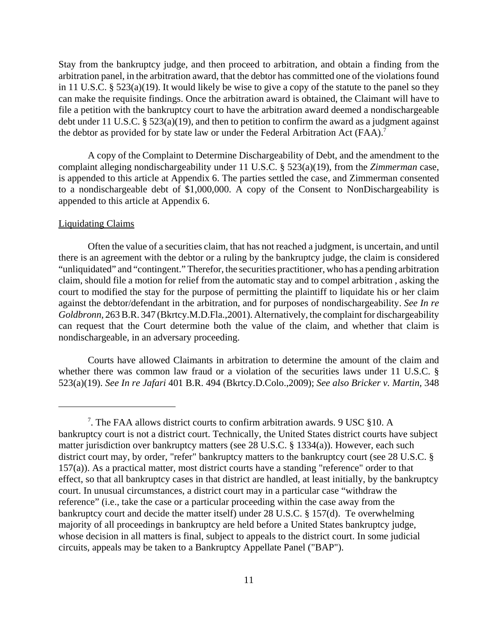Stay from the bankruptcy judge, and then proceed to arbitration, and obtain a finding from the arbitration panel, in the arbitration award, that the debtor has committed one of the violations found in 11 U.S.C. § 523(a)(19). It would likely be wise to give a copy of the statute to the panel so they can make the requisite findings. Once the arbitration award is obtained, the Claimant will have to file a petition with the bankruptcy court to have the arbitration award deemed a nondischargeable debt under 11 U.S.C. § 523(a)(19), and then to petition to confirm the award as a judgment against the debtor as provided for by state law or under the Federal Arbitration Act (FAA).<sup>7</sup>

A copy of the Complaint to Determine Dischargeability of Debt, and the amendment to the complaint alleging nondischargeability under 11 U.S.C. § 523(a)(19), from the *Zimmerman* case, is appended to this article at Appendix 6. The parties settled the case, and Zimmerman consented to a nondischargeable debt of \$1,000,000. A copy of the Consent to NonDischargeability is appended to this article at Appendix 6.

# Liquidating Claims

Often the value of a securities claim, that has not reached a judgment, is uncertain, and until there is an agreement with the debtor or a ruling by the bankruptcy judge, the claim is considered "unliquidated" and "contingent." Therefor, the securities practitioner, who has a pending arbitration claim, should file a motion for relief from the automatic stay and to compel arbitration , asking the court to modified the stay for the purpose of permitting the plaintiff to liquidate his or her claim against the debtor/defendant in the arbitration, and for purposes of nondischargeability. *See In re Goldbronn,* 263 B.R. 347 (Bkrtcy.M.D.Fla.,2001). Alternatively, the complaint for dischargeability can request that the Court determine both the value of the claim, and whether that claim is nondischargeable, in an adversary proceeding.

Courts have allowed Claimants in arbitration to determine the amount of the claim and whether there was common law fraud or a violation of the securities laws under 11 U.S.C. § 523(a)(19). *See In re Jafari* 401 B.R. 494 (Bkrtcy.D.Colo.,2009); *See also Bricker v. Martin,* 348

<sup>&</sup>lt;sup>7</sup>. The FAA allows district courts to confirm arbitration awards. 9 USC  $\S 10$ . A bankruptcy court is not a district court. Technically, the United States district courts have subject matter jurisdiction over bankruptcy matters (see 28 U.S.C. § 1334(a)). However, each such district court may, by order, "refer" bankruptcy matters to the bankruptcy court (see 28 U.S.C. § 157(a)). As a practical matter, most district courts have a standing "reference" order to that effect, so that all bankruptcy cases in that district are handled, at least initially, by the bankruptcy court. In unusual circumstances, a district court may in a particular case "withdraw the reference" (i.e., take the case or a particular proceeding within the case away from the bankruptcy court and decide the matter itself) under 28 U.S.C. § 157(d). Te overwhelming majority of all proceedings in bankruptcy are held before a United States bankruptcy judge, whose decision in all matters is final, subject to appeals to the district court. In some judicial circuits, appeals may be taken to a Bankruptcy Appellate Panel ("BAP").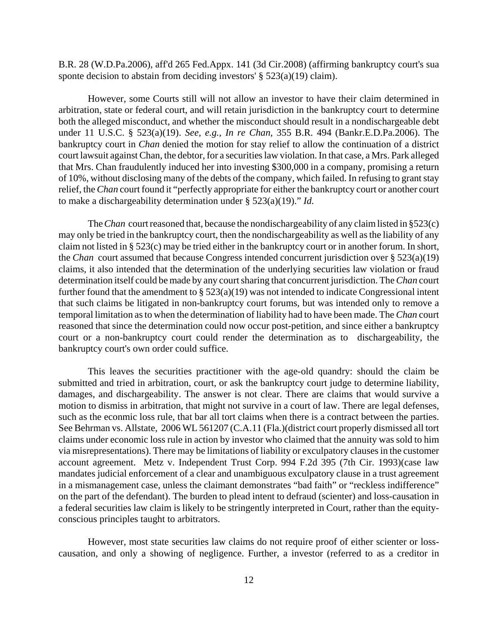B.R. 28 (W.D.Pa.2006), aff'd 265 Fed.Appx. 141 (3d Cir.2008) (affirming bankruptcy court's sua sponte decision to abstain from deciding investors' § 523(a)(19) claim).

However, some Courts still will not allow an investor to have their claim determined in arbitration, state or federal court, and will retain jurisdiction in the bankruptcy court to determine both the alleged misconduct, and whether the misconduct should result in a nondischargeable debt under 11 U.S.C. § 523(a)(19). *See, e.g., In re Chan,* 355 B.R. 494 (Bankr.E.D.Pa.2006). The bankruptcy court in *Chan* denied the motion for stay relief to allow the continuation of a district court lawsuit against Chan, the debtor, for a securities law violation. In that case, a Mrs. Park alleged that Mrs. Chan fraudulently induced her into investing \$300,000 in a company, promising a return of 10%, without disclosing many of the debts of the company, which failed. In refusing to grant stay relief, the *Chan* court found it "perfectly appropriate for either the bankruptcy court or another court to make a dischargeability determination under § 523(a)(19)." *Id.*

The *Chan* court reasoned that, because the nondischargeability of any claim listed in §523(c) may only be tried in the bankruptcy court, then the nondischargeability as well as the liability of any claim not listed in § 523(c) may be tried either in the bankruptcy court or in another forum. In short, the *Chan* court assumed that because Congress intended concurrent jurisdiction over § 523(a)(19) claims, it also intended that the determination of the underlying securities law violation or fraud determination itself could be made by any court sharing that concurrent jurisdiction. The *Chan* court further found that the amendment to  $\S$  523(a)(19) was not intended to indicate Congressional intent that such claims be litigated in non-bankruptcy court forums, but was intended only to remove a temporal limitation as to when the determination of liability had to have been made. The *Chan* court reasoned that since the determination could now occur post-petition, and since either a bankruptcy court or a non-bankruptcy court could render the determination as to dischargeability, the bankruptcy court's own order could suffice.

This leaves the securities practitioner with the age-old quandry: should the claim be submitted and tried in arbitration, court, or ask the bankruptcy court judge to determine liability, damages, and dischargeability. The answer is not clear. There are claims that would survive a motion to dismiss in arbitration, that might not survive in a court of law. There are legal defenses, such as the econmic loss rule, that bar all tort claims when there is a contract between the parties. See Behrman vs. Allstate, 2006 WL 561207 (C.A.11 (Fla.)(district court properly dismissed all tort claims under economic loss rule in action by investor who claimed that the annuity was sold to him via misrepresentations). There may be limitations of liability or exculpatory clauses in the customer account agreement. Metz v. Independent Trust Corp. 994 F.2d 395 (7th Cir. 1993)(case law mandates judicial enforcement of a clear and unambiguous exculpatory clause in a trust agreement in a mismanagement case, unless the claimant demonstrates "bad faith" or "reckless indifference" on the part of the defendant). The burden to plead intent to defraud (scienter) and loss-causation in a federal securities law claim is likely to be stringently interpreted in Court, rather than the equityconscious principles taught to arbitrators.

However, most state securities law claims do not require proof of either scienter or losscausation, and only a showing of negligence. Further, a investor (referred to as a creditor in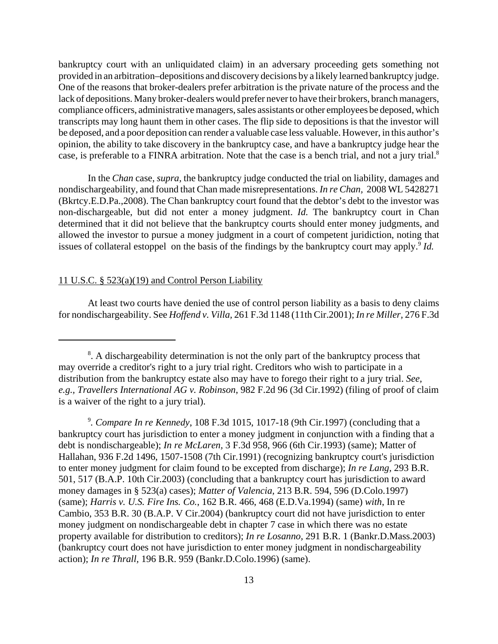bankruptcy court with an unliquidated claim) in an adversary proceeding gets something not provided in an arbitration–depositions and discovery decisions by a likely learned bankruptcy judge. One of the reasons that broker-dealers prefer arbitration is the private nature of the process and the lack of depositions. Many broker-dealers would prefer never to have their brokers, branch managers, compliance officers, administrative managers, sales assistants or other employees be deposed, which transcripts may long haunt them in other cases. The flip side to depositions is that the investor will be deposed, and a poor deposition can render a valuable case less valuable. However, in this author's opinion, the ability to take discovery in the bankruptcy case, and have a bankruptcy judge hear the case, is preferable to a FINRA arbitration. Note that the case is a bench trial, and not a jury trial.<sup>8</sup>

In the *Chan* case, *supra,* the bankruptcy judge conducted the trial on liability, damages and nondischargeability, and found that Chan made misrepresentations. *In re Chan,* 2008 WL 5428271 (Bkrtcy.E.D.Pa.,2008). The Chan bankruptcy court found that the debtor's debt to the investor was non-dischargeable, but did not enter a money judgment. *Id.* The bankruptcy court in Chan determined that it did not believe that the bankruptcy courts should enter money judgments, and allowed the investor to pursue a money judgment in a court of competent juridiction, noting that issues of collateral estoppel on the basis of the findings by the bankruptcy court may apply.<sup>9</sup> *Id.* 

# 11 U.S.C. § 523(a)(19) and Control Person Liability

At least two courts have denied the use of control person liability as a basis to deny claims for nondischargeability. See *Hoffend v. Villa,* 261 F.3d 1148 (11th Cir.2001); *In re Miller,* 276 F.3d

 $8.$  A dischargeability determination is not the only part of the bankruptcy process that may override a creditor's right to a jury trial right. Creditors who wish to participate in a distribution from the bankruptcy estate also may have to forego their right to a jury trial. *See, e.g., Travellers International AG v. Robinson*, 982 F.2d 96 (3d Cir.1992) (filing of proof of claim is a waiver of the right to a jury trial).

<sup>9</sup> *. Compare In re Kennedy*, 108 F.3d 1015, 1017-18 (9th Cir.1997) (concluding that a bankruptcy court has jurisdiction to enter a money judgment in conjunction with a finding that a debt is nondischargeable); *In re McLaren,* 3 F.3d 958, 966 (6th Cir.1993) (same); Matter of Hallahan, 936 F.2d 1496, 1507-1508 (7th Cir.1991) (recognizing bankruptcy court's jurisdiction to enter money judgment for claim found to be excepted from discharge); *In re Lang,* 293 B.R. 501, 517 (B.A.P. 10th Cir.2003) (concluding that a bankruptcy court has jurisdiction to award money damages in § 523(a) cases); *Matter of Valencia,* 213 B.R. 594, 596 (D.Colo.1997) (same); *Harris v. U.S. Fire Ins. Co.*, 162 B.R. 466, 468 (E.D.Va.1994) (same) *with*, In re Cambio, 353 B.R. 30 (B.A.P. V Cir.2004) (bankruptcy court did not have jurisdiction to enter money judgment on nondischargeable debt in chapter 7 case in which there was no estate property available for distribution to creditors); *In re Losanno,* 291 B.R. 1 (Bankr.D.Mass.2003) (bankruptcy court does not have jurisdiction to enter money judgment in nondischargeability action); *In re Thrall,* 196 B.R. 959 (Bankr.D.Colo.1996) (same).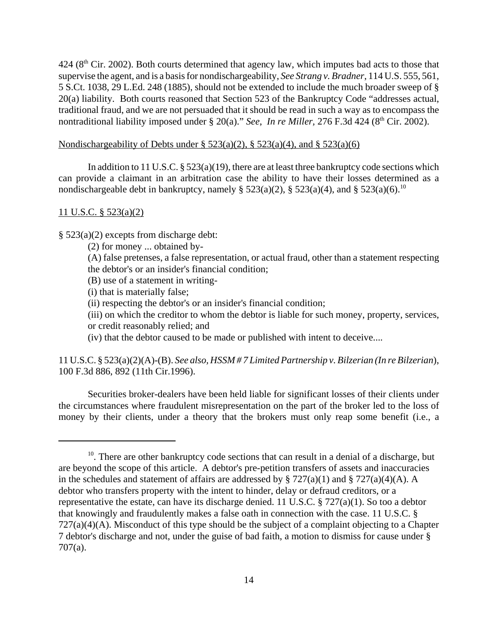$424$  ( $8<sup>th</sup>$  Cir. 2002). Both courts determined that agency law, which imputes bad acts to those that supervise the agent, and is a basis for nondischargeability, *See Strang v. Bradner*, 114 U.S. 555, 561, 5 S.Ct. 1038, 29 L.Ed. 248 (1885), should not be extended to include the much broader sweep of § 20(a) liability. Both courts reasoned that Section 523 of the Bankruptcy Code "addresses actual, traditional fraud, and we are not persuaded that it should be read in such a way as to encompass the nontraditional liability imposed under § 20(a)." See, *In re Miller*, 276 F.3d 424 (8<sup>th</sup> Cir. 2002).

# Nondischargeability of Debts under  $\S$  523(a)(2),  $\S$  523(a)(4), and  $\S$  523(a)(6)

In addition to 11 U.S.C.  $\S$  523(a)(19), there are at least three bankruptcy code sections which can provide a claimant in an arbitration case the ability to have their losses determined as a nondischargeable debt in bankruptcy, namely §  $523(a)(2)$ , §  $523(a)(4)$ , and §  $523(a)(6)$ .<sup>10</sup>

# 11 U.S.C. § 523(a)(2)

§ 523(a)(2) excepts from discharge debt:

- (2) for money ... obtained by-
- (A) false pretenses, a false representation, or actual fraud, other than a statement respecting the debtor's or an insider's financial condition;
- (B) use of a statement in writing-
- (i) that is materially false;
- (ii) respecting the debtor's or an insider's financial condition;
- (iii) on which the creditor to whom the debtor is liable for such money, property, services, or credit reasonably relied; and
- (iv) that the debtor caused to be made or published with intent to deceive....

11 U.S.C. § 523(a)(2)(A)-(B). *See also, HSSM # 7 Limited Partnership v. Bilzerian (In re Bilzerian*), 100 F.3d 886, 892 (11th Cir.1996).

Securities broker-dealers have been held liable for significant losses of their clients under the circumstances where fraudulent misrepresentation on the part of the broker led to the loss of money by their clients, under a theory that the brokers must only reap some benefit (i.e., a

 $10$ . There are other bankruptcy code sections that can result in a denial of a discharge, but are beyond the scope of this article. A debtor's pre-petition transfers of assets and inaccuracies in the schedules and statement of affairs are addressed by  $\S 727(a)(1)$  and  $\S 727(a)(4)(A)$ . A debtor who transfers property with the intent to hinder, delay or defraud creditors, or a representative the estate, can have its discharge denied. 11 U.S.C. § 727(a)(1). So too a debtor that knowingly and fraudulently makes a false oath in connection with the case. 11 U.S.C. § 727(a)(4)(A). Misconduct of this type should be the subject of a complaint objecting to a Chapter 7 debtor's discharge and not, under the guise of bad faith, a motion to dismiss for cause under § 707(a).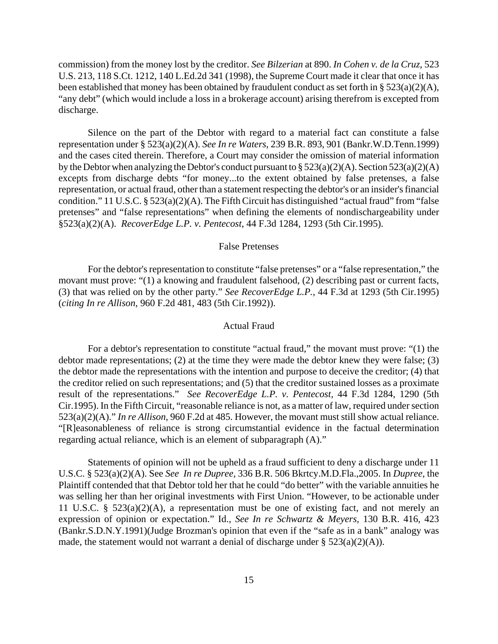commission) from the money lost by the creditor. *See Bilzerian* at 890. *In Cohen v. de la Cruz*, 523 U.S. 213, 118 S.Ct. 1212, 140 L.Ed.2d 341 (1998), the Supreme Court made it clear that once it has been established that money has been obtained by fraudulent conduct as set forth in § 523(a)(2)(A), "any debt" (which would include a loss in a brokerage account) arising therefrom is excepted from discharge.

Silence on the part of the Debtor with regard to a material fact can constitute a false representation under § 523(a)(2)(A). *See In re Waters*, 239 B.R. 893, 901 (Bankr.W.D.Tenn.1999) and the cases cited therein. Therefore, a Court may consider the omission of material information by the Debtor when analyzing the Debtor's conduct pursuant to § 523(a)(2)(A). Section 523(a)(2)(A) excepts from discharge debts "for money...to the extent obtained by false pretenses, a false representation, or actual fraud, other than a statement respecting the debtor's or an insider's financial condition." 11 U.S.C. § 523(a)(2)(A). The Fifth Circuit has distinguished "actual fraud" from "false pretenses" and "false representations" when defining the elements of nondischargeability under §523(a)(2)(A). *RecoverEdge L.P. v. Pentecost*, 44 F.3d 1284, 1293 (5th Cir.1995).

# False Pretenses

For the debtor's representation to constitute "false pretenses" or a "false representation," the movant must prove: "(1) a knowing and fraudulent falsehood, (2) describing past or current facts, (3) that was relied on by the other party." *See RecoverEdge L.P.*, 44 F.3d at 1293 (5th Cir.1995) (*citing In re Allison*, 960 F.2d 481, 483 (5th Cir.1992)).

# Actual Fraud

For a debtor's representation to constitute "actual fraud," the movant must prove: "(1) the debtor made representations; (2) at the time they were made the debtor knew they were false; (3) the debtor made the representations with the intention and purpose to deceive the creditor; (4) that the creditor relied on such representations; and (5) that the creditor sustained losses as a proximate result of the representations." *See RecoverEdge L.P. v. Pentecost,* 44 F.3d 1284, 1290 (5th Cir.1995). In the Fifth Circuit, "reasonable reliance is not, as a matter of law, required under section 523(a)(2)(A)." *In re Allison,* 960 F.2d at 485. However, the movant must still show actual reliance. "[R]easonableness of reliance is strong circumstantial evidence in the factual determination regarding actual reliance, which is an element of subparagraph (A)."

Statements of opinion will not be upheld as a fraud sufficient to deny a discharge under 11 U.S.C. § 523(a)(2)(A). See *See In re Dupree,* 336 B.R. 506 Bkrtcy.M.D.Fla.,2005. In *Dupree,* the Plaintiff contended that that Debtor told her that he could "do better" with the variable annuities he was selling her than her original investments with First Union. "However, to be actionable under 11 U.S.C. § 523(a)(2)(A), a representation must be one of existing fact, and not merely an expression of opinion or expectation." Id., *See In re Schwartz & Meyers,* 130 B.R. 416, 423 (Bankr.S.D.N.Y.1991)(Judge Brozman's opinion that even if the "safe as in a bank" analogy was made, the statement would not warrant a denial of discharge under  $\S 523(a)(2)(A)$ .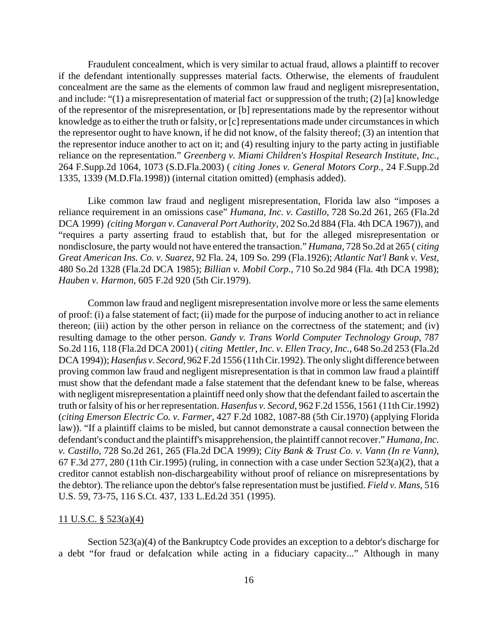Fraudulent concealment, which is very similar to actual fraud, allows a plaintiff to recover if the defendant intentionally suppresses material facts. Otherwise, the elements of fraudulent concealment are the same as the elements of common law fraud and negligent misrepresentation, and include: "(1) a misrepresentation of material fact or suppression of the truth; (2) [a] knowledge of the representor of the misrepresentation, or [b] representations made by the representor without knowledge as to either the truth or falsity, or [c] representations made under circumstances in which the representor ought to have known, if he did not know, of the falsity thereof; (3) an intention that the representor induce another to act on it; and (4) resulting injury to the party acting in justifiable reliance on the representation." *Greenberg v. Miami Children's Hospital Research Institute, Inc.,* 264 F.Supp.2d 1064, 1073 (S.D.Fla.2003) ( *citing Jones v. General Motors Corp*., 24 F.Supp.2d 1335, 1339 (M.D.Fla.1998)) (internal citation omitted) (emphasis added).

Like common law fraud and negligent misrepresentation, Florida law also "imposes a reliance requirement in an omissions case" *Humana, Inc. v. Castillo*, 728 So.2d 261, 265 (Fla.2d DCA 1999) *(citing Morgan v. Canaveral Port Authority,* 202 So.2d 884 (Fla. 4th DCA 1967)), and "requires a party asserting fraud to establish that, but for the alleged misrepresentation or nondisclosure, the party would not have entered the transaction." *Humana,* 728 So.2d at 265 ( *citing Great American Ins. Co. v. Suarez*, 92 Fla. 24, 109 So. 299 (Fla.1926); *Atlantic Nat'l Bank v. Vest,* 480 So.2d 1328 (Fla.2d DCA 1985); *Billian v. Mobil Corp.*, 710 So.2d 984 (Fla. 4th DCA 1998); *Hauben v. Harmon,* 605 F.2d 920 (5th Cir.1979).

Common law fraud and negligent misrepresentation involve more or less the same elements of proof: (i) a false statement of fact; (ii) made for the purpose of inducing another to act in reliance thereon; (iii) action by the other person in reliance on the correctness of the statement; and (iv) resulting damage to the other person. *Gandy v. Trans World Computer Technology Group*, 787 So.2d 116, 118 (Fla.2d DCA 2001) ( *citing Mettler, Inc. v. Ellen Tracy, Inc.*, 648 So.2d 253 (Fla.2d DCA 1994)); *Hasenfus v. Secord,* 962 F.2d 1556 (11th Cir.1992). The only slight difference between proving common law fraud and negligent misrepresentation is that in common law fraud a plaintiff must show that the defendant made a false statement that the defendant knew to be false, whereas with negligent misrepresentation a plaintiff need only show that the defendant failed to ascertain the truth or falsity of his or her representation. *Hasenfus v. Secord*, 962 F.2d 1556, 1561 (11th Cir.1992) (*citing Emerson Electric Co. v. Farmer*, 427 F.2d 1082, 1087-88 (5th Cir.1970) (applying Florida law)). "If a plaintiff claims to be misled, but cannot demonstrate a causal connection between the defendant's conduct and the plaintiff's misapprehension, the plaintiff cannot recover." *Humana, Inc. v. Castillo*, 728 So.2d 261, 265 (Fla.2d DCA 1999); *City Bank & Trust Co. v. Vann (In re Vann)*, 67 F.3d 277, 280 (11th Cir.1995) (ruling, in connection with a case under Section  $523(a)(2)$ , that a creditor cannot establish non-dischargeability without proof of reliance on misrepresentations by the debtor). The reliance upon the debtor's false representation must be justified. *Field v. Mans,* 516 U.S. 59, 73-75, 116 S.Ct. 437, 133 L.Ed.2d 351 (1995).

# 11 U.S.C. § 523(a)(4)

Section 523(a)(4) of the Bankruptcy Code provides an exception to a debtor's discharge for a debt "for fraud or defalcation while acting in a fiduciary capacity..." Although in many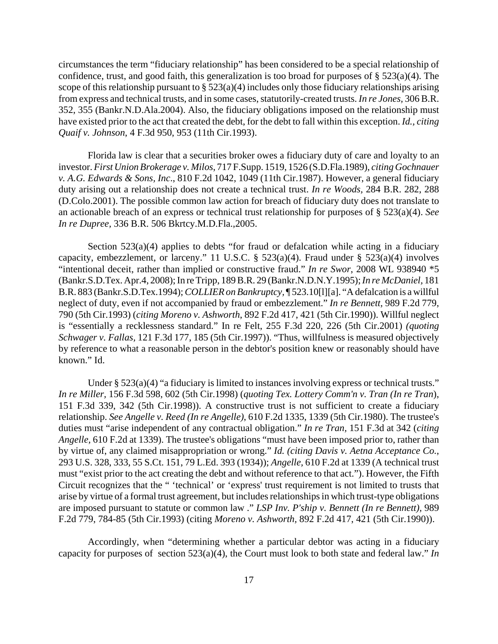circumstances the term "fiduciary relationship" has been considered to be a special relationship of confidence, trust, and good faith, this generalization is too broad for purposes of § 523(a)(4). The scope of this relationship pursuant to  $\S 523(a)(4)$  includes only those fiduciary relationships arising from express and technical trusts, and in some cases, statutorily-created trusts. *In re Jones,* 306 B.R. 352, 355 (Bankr.N.D.Ala.2004). Also, the fiduciary obligations imposed on the relationship must have existed prior to the act that created the debt, for the debt to fall within this exception. *Id., citing Quaif v. Johnson*, 4 F.3d 950, 953 (11th Cir.1993).

Florida law is clear that a securities broker owes a fiduciary duty of care and loyalty to an investor. *First Union Brokerage v. Milos*, 717 F.Supp. 1519, 1526 (S.D.Fla.1989), *citing Gochnauer v. A.G. Edwards & Sons, Inc*., 810 F.2d 1042, 1049 (11th Cir.1987). However, a general fiduciary duty arising out a relationship does not create a technical trust. *In re Woods,* 284 B.R. 282, 288 (D.Colo.2001). The possible common law action for breach of fiduciary duty does not translate to an actionable breach of an express or technical trust relationship for purposes of § 523(a)(4). *See In re Dupree,* 336 B.R. 506 Bkrtcy.M.D.Fla.,2005.

Section  $523(a)(4)$  applies to debts "for fraud or defalcation while acting in a fiduciary capacity, embezzlement, or larceny." 11 U.S.C. §  $523(a)(4)$ . Fraud under §  $523(a)(4)$  involves "intentional deceit, rather than implied or constructive fraud." *In re Swor*, 2008 WL 938940 \*5 (Bankr.S.D.Tex. Apr.4, 2008); In re Tripp, 189 B.R. 29 (Bankr.N.D.N.Y.1995); *In re McDaniel,* 181 B.R. 883 (Bankr.S.D.Tex.1994); *COLLIER on Bankruptcy,* ¶ 523.10[l][a]. "A defalcation is a willful neglect of duty, even if not accompanied by fraud or embezzlement." *In re Bennett,* 989 F.2d 779, 790 (5th Cir.1993) (*citing Moreno v. Ashworth*, 892 F.2d 417, 421 (5th Cir.1990)). Willful neglect is "essentially a recklessness standard." In re Felt, 255 F.3d 220, 226 (5th Cir.2001) *(quoting Schwager v. Fallas,* 121 F.3d 177, 185 (5th Cir.1997)). "Thus, willfulness is measured objectively by reference to what a reasonable person in the debtor's position knew or reasonably should have known." Id.

Under  $\S 523(a)(4)$  "a fiduciary is limited to instances involving express or technical trusts." *In re Miller,* 156 F.3d 598, 602 (5th Cir.1998) (*quoting Tex. Lottery Comm'n v. Tran (In re Tran*), 151 F.3d 339, 342 (5th Cir.1998)). A constructive trust is not sufficient to create a fiduciary relationship. *See Angelle v. Reed (In re Angelle)*, 610 F.2d 1335, 1339 (5th Cir.1980). The trustee's duties must "arise independent of any contractual obligation." *In re Tran,* 151 F.3d at 342 (*citing Angelle,* 610 F.2d at 1339). The trustee's obligations "must have been imposed prior to, rather than by virtue of, any claimed misappropriation or wrong." *Id. (citing Davis v. Aetna Acceptance Co.*, 293 U.S. 328, 333, 55 S.Ct. 151, 79 L.Ed. 393 (1934)); *Angelle,* 610 F.2d at 1339 (A technical trust must "exist prior to the act creating the debt and without reference to that act."). However, the Fifth Circuit recognizes that the " 'technical' or 'express' trust requirement is not limited to trusts that arise by virtue of a formal trust agreement, but includes relationships in which trust-type obligations are imposed pursuant to statute or common law ." *LSP Inv. P'ship v. Bennett (In re Bennett),* 989 F.2d 779, 784-85 (5th Cir.1993) (citing *Moreno v. Ashworth,* 892 F.2d 417, 421 (5th Cir.1990)).

Accordingly, when "determining whether a particular debtor was acting in a fiduciary capacity for purposes of section 523(a)(4), the Court must look to both state and federal law." *In*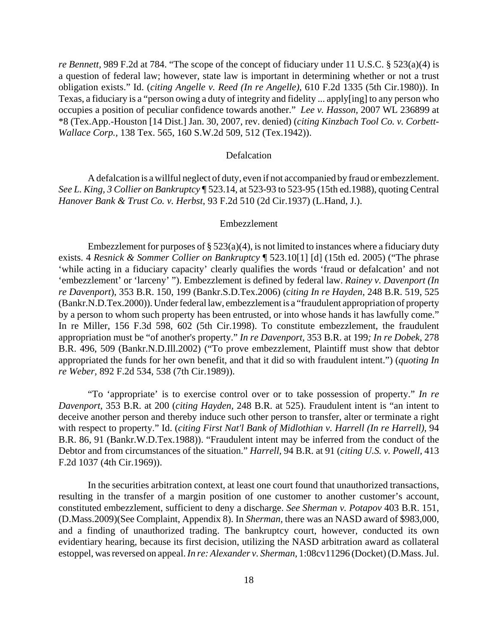*re Bennett,* 989 F.2d at 784. "The scope of the concept of fiduciary under 11 U.S.C. § 523(a)(4) is a question of federal law; however, state law is important in determining whether or not a trust obligation exists." Id. (*citing Angelle v. Reed (In re Angelle)*, 610 F.2d 1335 (5th Cir.1980)). In Texas, a fiduciary is a "person owing a duty of integrity and fidelity ... apply[ing] to any person who occupies a position of peculiar confidence towards another." *Lee v. Hasson,* 2007 WL 236899 at \*8 (Tex.App.-Houston [14 Dist.] Jan. 30, 2007, rev. denied) (*citing Kinzbach Tool Co. v. Corbett-Wallace Corp.,* 138 Tex. 565, 160 S.W.2d 509, 512 (Tex.1942)).

# Defalcation

A defalcation is a willful neglect of duty, even if not accompanied by fraud or embezzlement. *See L. King, 3 Collier on Bankruptcy* ¶ 523.14, at 523-93 to 523-95 (15th ed.1988), quoting Central *Hanover Bank & Trust Co. v. Herbst*, 93 F.2d 510 (2d Cir.1937) (L.Hand, J.).

# Embezzlement

Embezzlement for purposes of  $\S 523(a)(4)$ , is not limited to instances where a fiduciary duty exists. 4 *Resnick & Sommer Collier on Bankruptcy* ¶ 523.10[1] [d] (15th ed. 2005) ("The phrase 'while acting in a fiduciary capacity' clearly qualifies the words 'fraud or defalcation' and not 'embezzlement' or 'larceny' "). Embezzlement is defined by federal law. *Rainey v. Davenport (In re Davenport*), 353 B.R. 150, 199 (Bankr.S.D.Tex.2006) (*citing In re Hayden*, 248 B.R. 519, 525 (Bankr.N.D.Tex.2000)). Under federal law, embezzlement is a "fraudulent appropriation of property by a person to whom such property has been entrusted, or into whose hands it has lawfully come." In re Miller, 156 F.3d 598, 602 (5th Cir.1998). To constitute embezzlement, the fraudulent appropriation must be "of another's property." *In re Davenport,* 353 B.R. at 199*; In re Dobek,* 278 B.R. 496, 509 (Bankr.N.D.Ill.2002) ("To prove embezzlement, Plaintiff must show that debtor appropriated the funds for her own benefit, and that it did so with fraudulent intent.") (*quoting In re Weber,* 892 F.2d 534, 538 (7th Cir.1989)).

"To 'appropriate' is to exercise control over or to take possession of property." *In re Davenport*, 353 B.R. at 200 (*citing Hayden,* 248 B.R. at 525). Fraudulent intent is "an intent to deceive another person and thereby induce such other person to transfer, alter or terminate a right with respect to property." Id. (*citing First Nat'l Bank of Midlothian v. Harrell (In re Harrell),* 94 B.R. 86, 91 (Bankr.W.D.Tex.1988)). "Fraudulent intent may be inferred from the conduct of the Debtor and from circumstances of the situation." *Harrell,* 94 B.R. at 91 (*citing U.S. v. Powell,* 413 F.2d 1037 (4th Cir.1969)).

In the securities arbitration context, at least one court found that unauthorized transactions, resulting in the transfer of a margin position of one customer to another customer's account, constituted embezzlement, sufficient to deny a discharge. *See Sherman v. Potapov* 403 B.R. 151, (D.Mass.2009)(See Complaint, Appendix 8). In *Sherman,* there was an NASD award of \$983,000, and a finding of unauthorized trading. The bankruptcy court, however, conducted its own evidentiary hearing, because its first decision, utilizing the NASD arbitration award as collateral estoppel, was reversed on appeal. *In re: Alexander v. Sherman*, 1:08cv11296 (Docket) (D.Mass. Jul.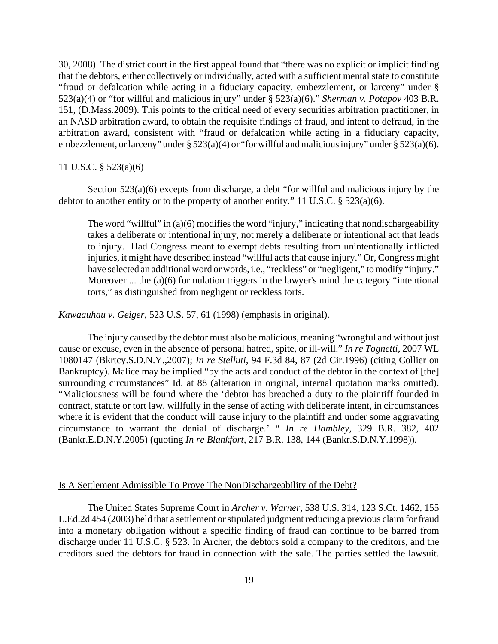30, 2008). The district court in the first appeal found that "there was no explicit or implicit finding that the debtors, either collectively or individually, acted with a sufficient mental state to constitute "fraud or defalcation while acting in a fiduciary capacity, embezzlement, or larceny" under § 523(a)(4) or "for willful and malicious injury" under § 523(a)(6)." *Sherman v. Potapov* 403 B.R. 151, (D.Mass.2009). This points to the critical need of every securities arbitration practitioner, in an NASD arbitration award, to obtain the requisite findings of fraud, and intent to defraud, in the arbitration award, consistent with "fraud or defalcation while acting in a fiduciary capacity, embezzlement, or larceny" under §  $523(a)(4)$  or "for willful and malicious injury" under §  $523(a)(6)$ .

# 11 U.S.C. § 523(a)(6)

Section 523(a)(6) excepts from discharge, a debt "for willful and malicious injury by the debtor to another entity or to the property of another entity." 11 U.S.C. § 523(a)(6).

The word "willful" in (a)(6) modifies the word "injury," indicating that nondischargeability takes a deliberate or intentional injury, not merely a deliberate or intentional act that leads to injury. Had Congress meant to exempt debts resulting from unintentionally inflicted injuries, it might have described instead "willful acts that cause injury." Or, Congress might have selected an additional word or words, i.e., "reckless" or "negligent," to modify "injury." Moreover ... the (a)(6) formulation triggers in the lawyer's mind the category "intentional torts," as distinguished from negligent or reckless torts.

*Kawaauhau v. Geiger,* 523 U.S. 57, 61 (1998) (emphasis in original).

The injury caused by the debtor must also be malicious, meaning "wrongful and without just cause or excuse, even in the absence of personal hatred, spite, or ill-will." *In re Tognetti,* 2007 WL 1080147 (Bkrtcy.S.D.N.Y.,2007); *In re Stelluti,* 94 F.3d 84, 87 (2d Cir.1996) (citing Collier on Bankruptcy). Malice may be implied "by the acts and conduct of the debtor in the context of [the] surrounding circumstances" Id. at 88 (alteration in original, internal quotation marks omitted). "Maliciousness will be found where the 'debtor has breached a duty to the plaintiff founded in contract, statute or tort law, willfully in the sense of acting with deliberate intent, in circumstances where it is evident that the conduct will cause injury to the plaintiff and under some aggravating circumstance to warrant the denial of discharge.' " *In re Hambley,* 329 B.R. 382, 402 (Bankr.E.D.N.Y.2005) (quoting *In re Blankfort,* 217 B.R. 138, 144 (Bankr.S.D.N.Y.1998)).

# Is A Settlement Admissible To Prove The NonDischargeability of the Debt?

The United States Supreme Court in *Archer v. Warner*, 538 U.S. 314, 123 S.Ct. 1462, 155 L.Ed.2d 454 (2003) held that a settlement or stipulated judgment reducing a previous claim for fraud into a monetary obligation without a specific finding of fraud can continue to be barred from discharge under 11 U.S.C. § 523. In Archer, the debtors sold a company to the creditors, and the creditors sued the debtors for fraud in connection with the sale. The parties settled the lawsuit.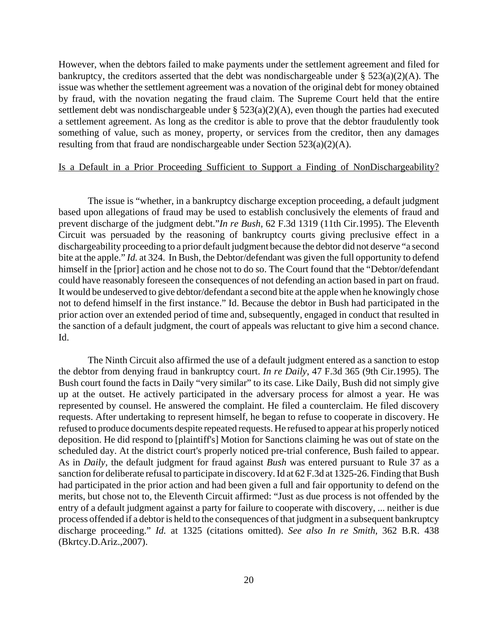However, when the debtors failed to make payments under the settlement agreement and filed for bankruptcy, the creditors asserted that the debt was nondischargeable under § 523(a)(2)(A). The issue was whether the settlement agreement was a novation of the original debt for money obtained by fraud, with the novation negating the fraud claim. The Supreme Court held that the entire settlement debt was nondischargeable under § 523(a)(2)(A), even though the parties had executed a settlement agreement. As long as the creditor is able to prove that the debtor fraudulently took something of value, such as money, property, or services from the creditor, then any damages resulting from that fraud are nondischargeable under Section 523(a)(2)(A).

# Is a Default in a Prior Proceeding Sufficient to Support a Finding of NonDischargeability?

The issue is "whether, in a bankruptcy discharge exception proceeding, a default judgment based upon allegations of fraud may be used to establish conclusively the elements of fraud and prevent discharge of the judgment debt."*In re Bush,* 62 F.3d 1319 (11th Cir.1995). The Eleventh Circuit was persuaded by the reasoning of bankruptcy courts giving preclusive effect in a dischargeability proceeding to a prior default judgment because the debtor did not deserve "a second bite at the apple." *Id.* at 324. In Bush, the Debtor/defendant was given the full opportunity to defend himself in the [prior] action and he chose not to do so. The Court found that the "Debtor/defendant" could have reasonably foreseen the consequences of not defending an action based in part on fraud. It would be undeserved to give debtor/defendant a second bite at the apple when he knowingly chose not to defend himself in the first instance." Id. Because the debtor in Bush had participated in the prior action over an extended period of time and, subsequently, engaged in conduct that resulted in the sanction of a default judgment, the court of appeals was reluctant to give him a second chance. Id.

The Ninth Circuit also affirmed the use of a default judgment entered as a sanction to estop the debtor from denying fraud in bankruptcy court. *In re Daily*, 47 F.3d 365 (9th Cir.1995). The Bush court found the facts in Daily "very similar" to its case. Like Daily, Bush did not simply give up at the outset. He actively participated in the adversary process for almost a year. He was represented by counsel. He answered the complaint. He filed a counterclaim. He filed discovery requests. After undertaking to represent himself, he began to refuse to cooperate in discovery. He refused to produce documents despite repeated requests. He refused to appear at his properly noticed deposition. He did respond to [plaintiff's] Motion for Sanctions claiming he was out of state on the scheduled day. At the district court's properly noticed pre-trial conference, Bush failed to appear. As in *Daily,* the default judgment for fraud against *Bush* was entered pursuant to Rule 37 as a sanction for deliberate refusal to participate in discovery. Id at 62 F.3d at 1325-26. Finding that Bush had participated in the prior action and had been given a full and fair opportunity to defend on the merits, but chose not to, the Eleventh Circuit affirmed: "Just as due process is not offended by the entry of a default judgment against a party for failure to cooperate with discovery, ... neither is due process offended if a debtor is held to the consequences of that judgment in a subsequent bankruptcy discharge proceeding." *Id.* at 1325 (citations omitted). *See also In re Smith*, 362 B.R. 438 (Bkrtcy.D.Ariz.,2007).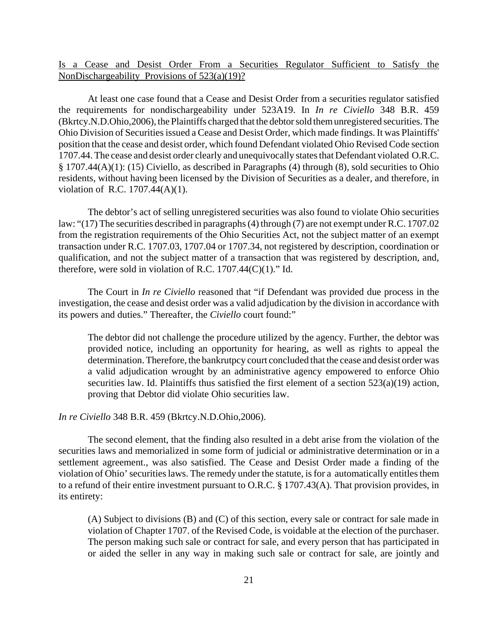Is a Cease and Desist Order From a Securities Regulator Sufficient to Satisfy the NonDischargeability Provisions of 523(a)(19)?

At least one case found that a Cease and Desist Order from a securities regulator satisfied the requirements for nondischargeability under 523A19. In *In re Civiello* 348 B.R. 459 (Bkrtcy.N.D.Ohio,2006), the Plaintiffs charged that the debtor sold them unregistered securities. The Ohio Division of Securities issued a Cease and Desist Order, which made findings. It was Plaintiffs' position that the cease and desist order, which found Defendant violated Ohio Revised Code section 1707.44. The cease and desist order clearly and unequivocally states that Defendant violated O.R.C. § 1707.44(A)(1): (15) Civiello, as described in Paragraphs (4) through (8), sold securities to Ohio residents, without having been licensed by the Division of Securities as a dealer, and therefore, in violation of R.C. 1707.44(A)(1).

The debtor's act of selling unregistered securities was also found to violate Ohio securities law: "(17) The securities described in paragraphs (4) through (7) are not exempt under R.C. 1707.02 from the registration requirements of the Ohio Securities Act, not the subject matter of an exempt transaction under R.C. 1707.03, 1707.04 or 1707.34, not registered by description, coordination or qualification, and not the subject matter of a transaction that was registered by description, and, therefore, were sold in violation of R.C.  $1707.44(C)(1)$ ." Id.

The Court in *In re Civiello* reasoned that "if Defendant was provided due process in the investigation, the cease and desist order was a valid adjudication by the division in accordance with its powers and duties." Thereafter, the *Civiello* court found:"

The debtor did not challenge the procedure utilized by the agency. Further, the debtor was provided notice, including an opportunity for hearing, as well as rights to appeal the determination. Therefore, the bankrutpcy court concluded that the cease and desist order was a valid adjudication wrought by an administrative agency empowered to enforce Ohio securities law. Id. Plaintiffs thus satisfied the first element of a section  $523(a)(19)$  action, proving that Debtor did violate Ohio securities law.

# *In re Civiello* 348 B.R. 459 (Bkrtcy.N.D.Ohio,2006).

The second element, that the finding also resulted in a debt arise from the violation of the securities laws and memorialized in some form of judicial or administrative determination or in a settlement agreement., was also satisfied. The Cease and Desist Order made a finding of the violation of Ohio' securities laws. The remedy under the statute, is for a automatically entitles them to a refund of their entire investment pursuant to O.R.C. § 1707.43(A). That provision provides, in its entirety:

(A) Subject to divisions (B) and (C) of this section, every sale or contract for sale made in violation of Chapter 1707. of the Revised Code, is voidable at the election of the purchaser. The person making such sale or contract for sale, and every person that has participated in or aided the seller in any way in making such sale or contract for sale, are jointly and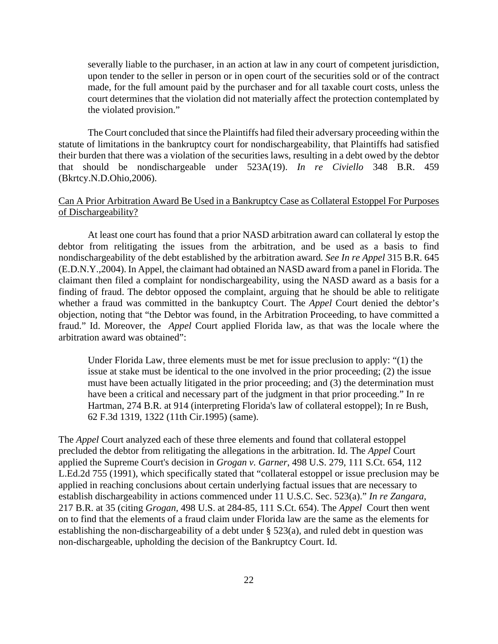severally liable to the purchaser, in an action at law in any court of competent jurisdiction, upon tender to the seller in person or in open court of the securities sold or of the contract made, for the full amount paid by the purchaser and for all taxable court costs, unless the court determines that the violation did not materially affect the protection contemplated by the violated provision."

The Court concluded that since the Plaintiffs had filed their adversary proceeding within the statute of limitations in the bankruptcy court for nondischargeability, that Plaintiffs had satisfied their burden that there was a violation of the securities laws, resulting in a debt owed by the debtor that should be nondischargeable under 523A(19). *In re Civiello* 348 B.R. 459 (Bkrtcy.N.D.Ohio,2006).

# Can A Prior Arbitration Award Be Used in a Bankruptcy Case as Collateral Estoppel For Purposes of Dischargeability?

At least one court has found that a prior NASD arbitration award can collateral ly estop the debtor from relitigating the issues from the arbitration, and be used as a basis to find nondischargeability of the debt established by the arbitration award*. See In re Appel* 315 B.R. 645 (E.D.N.Y.,2004). In Appel, the claimant had obtained an NASD award from a panel in Florida. The claimant then filed a complaint for nondischargeability, using the NASD award as a basis for a finding of fraud. The debtor opposed the complaint, arguing that he should be able to relitigate whether a fraud was committed in the bankuptcy Court. The *Appel* Court denied the debtor's objection, noting that "the Debtor was found, in the Arbitration Proceeding, to have committed a fraud." Id. Moreover, the *Appel* Court applied Florida law, as that was the locale where the arbitration award was obtained":

Under Florida Law, three elements must be met for issue preclusion to apply: "(1) the issue at stake must be identical to the one involved in the prior proceeding; (2) the issue must have been actually litigated in the prior proceeding; and (3) the determination must have been a critical and necessary part of the judgment in that prior proceeding." In re Hartman, 274 B.R. at 914 (interpreting Florida's law of collateral estoppel); In re Bush, 62 F.3d 1319, 1322 (11th Cir.1995) (same).

The *Appel* Court analyzed each of these three elements and found that collateral estoppel precluded the debtor from relitigating the allegations in the arbitration. Id. The *Appel* Court applied the Supreme Court's decision in *Grogan v. Garner*, 498 U.S. 279, 111 S.Ct. 654, 112 L.Ed.2d 755 (1991), which specifically stated that "collateral estoppel or issue preclusion may be applied in reaching conclusions about certain underlying factual issues that are necessary to establish dischargeability in actions commenced under 11 U.S.C. Sec. 523(a)." *In re Zangara,* 217 B.R. at 35 (citing *Grogan,* 498 U.S. at 284-85, 111 S.Ct. 654). The *Appel* Court then went on to find that the elements of a fraud claim under Florida law are the same as the elements for establishing the non-dischargeability of a debt under § 523(a), and ruled debt in question was non-dischargeable, upholding the decision of the Bankruptcy Court. Id.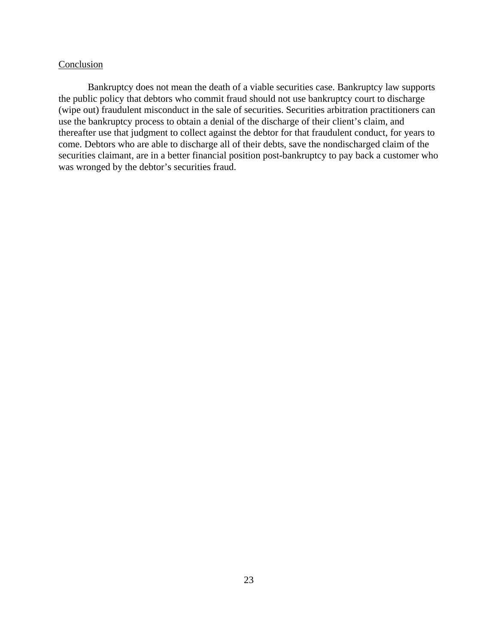# **Conclusion**

Bankruptcy does not mean the death of a viable securities case. Bankruptcy law supports the public policy that debtors who commit fraud should not use bankruptcy court to discharge (wipe out) fraudulent misconduct in the sale of securities. Securities arbitration practitioners can use the bankruptcy process to obtain a denial of the discharge of their client's claim, and thereafter use that judgment to collect against the debtor for that fraudulent conduct, for years to come. Debtors who are able to discharge all of their debts, save the nondischarged claim of the securities claimant, are in a better financial position post-bankruptcy to pay back a customer who was wronged by the debtor's securities fraud.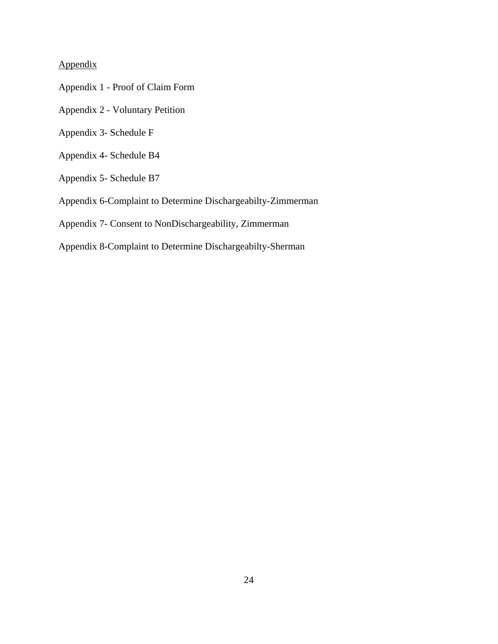# Appendix

- Appendix 1 Proof of Claim Form
- Appendix 2 Voluntary Petition
- Appendix 3- Schedule F
- Appendix 4- Schedule B4
- Appendix 5- Schedule B7
- Appendix 6-Complaint to Determine Dischargeabilty-Zimmerman
- Appendix 7- Consent to NonDischargeability, Zimmerman
- Appendix 8-Complaint to Determine Dischargeabilty-Sherman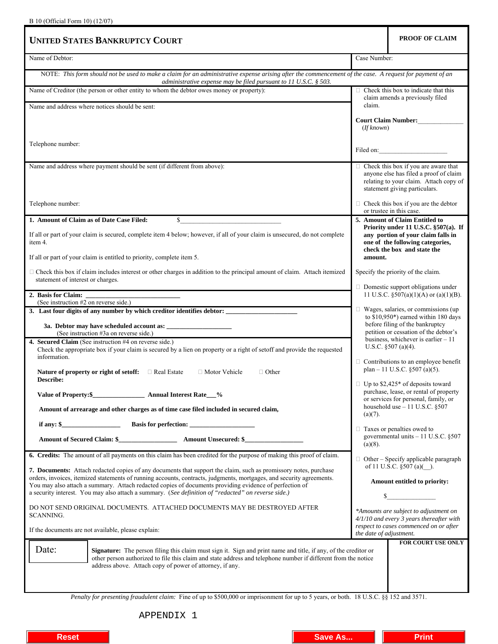| <b>UNITED STATES BANKRUPTCY COURT</b>                                                                                                                                                                                                                                                                                                                                                                                                                     |                         | <b>PROOF OF CLAIM</b>                                                                                                                                            |
|-----------------------------------------------------------------------------------------------------------------------------------------------------------------------------------------------------------------------------------------------------------------------------------------------------------------------------------------------------------------------------------------------------------------------------------------------------------|-------------------------|------------------------------------------------------------------------------------------------------------------------------------------------------------------|
| Name of Debtor:                                                                                                                                                                                                                                                                                                                                                                                                                                           | Case Number:            |                                                                                                                                                                  |
| NOTE: This form should not be used to make a claim for an administrative expense arising after the commencement of the case. A request for payment of an<br>administrative expense may be filed pursuant to 11 U.S.C. § 503.                                                                                                                                                                                                                              |                         |                                                                                                                                                                  |
| Name of Creditor (the person or other entity to whom the debtor owes money or property):                                                                                                                                                                                                                                                                                                                                                                  |                         | $\Box$ Check this box to indicate that this<br>claim amends a previously filed                                                                                   |
| Name and address where notices should be sent:                                                                                                                                                                                                                                                                                                                                                                                                            | claim.                  |                                                                                                                                                                  |
|                                                                                                                                                                                                                                                                                                                                                                                                                                                           | (If known)              | <b>Court Claim Number:</b>                                                                                                                                       |
| Telephone number:                                                                                                                                                                                                                                                                                                                                                                                                                                         |                         |                                                                                                                                                                  |
|                                                                                                                                                                                                                                                                                                                                                                                                                                                           |                         | Filed on:                                                                                                                                                        |
| Name and address where payment should be sent (if different from above):                                                                                                                                                                                                                                                                                                                                                                                  |                         | $\Box$ Check this box if you are aware that<br>anyone else has filed a proof of claim<br>relating to your claim. Attach copy of<br>statement giving particulars. |
| Telephone number:                                                                                                                                                                                                                                                                                                                                                                                                                                         |                         | $\Box$ Check this box if you are the debtor<br>or trustee in this case.                                                                                          |
| 1. Amount of Claim as of Date Case Filed:<br>\$                                                                                                                                                                                                                                                                                                                                                                                                           |                         | 5. Amount of Claim Entitled to<br>Priority under 11 U.S.C. §507(a). If                                                                                           |
| If all or part of your claim is secured, complete item 4 below; however, if all of your claim is unsecured, do not complete<br>item 4.                                                                                                                                                                                                                                                                                                                    |                         | any portion of your claim falls in<br>one of the following categories,<br>check the box and state the                                                            |
| If all or part of your claim is entitled to priority, complete item 5.                                                                                                                                                                                                                                                                                                                                                                                    | amount.                 |                                                                                                                                                                  |
| $\Box$ Check this box if claim includes interest or other charges in addition to the principal amount of claim. Attach itemized<br>statement of interest or charges.                                                                                                                                                                                                                                                                                      |                         | Specify the priority of the claim.<br>$\Box$ Domestic support obligations under                                                                                  |
| 2. Basis for Claim:<br>(See instruction #2 on reverse side.)                                                                                                                                                                                                                                                                                                                                                                                              |                         | 11 U.S.C. $\S 507(a)(1)(A)$ or $(a)(1)(B)$ .                                                                                                                     |
|                                                                                                                                                                                                                                                                                                                                                                                                                                                           |                         | $\Box$ Wages, salaries, or commissions (up<br>to $$10,950^*$ ) earned within 180 days                                                                            |
| (See instruction #3a on reverse side.)                                                                                                                                                                                                                                                                                                                                                                                                                    |                         | before filing of the bankruptcy<br>petition or cessation of the debtor's                                                                                         |
| 4. Secured Claim (See instruction #4 on reverse side.)<br>Check the appropriate box if your claim is secured by a lien on property or a right of setoff and provide the requested<br>information.                                                                                                                                                                                                                                                         |                         | business, whichever is earlier $-11$<br>U.S.C. $$507(a)(4)$ .                                                                                                    |
| □ Motor Vehicle<br>Nature of property or right of set off: $\Box$ Real Estate<br>$\Box$ Other<br>Describe:                                                                                                                                                                                                                                                                                                                                                |                         | $\Box$ Contributions to an employee benefit<br>plan $-11$ U.S.C. §507 (a)(5).<br>$\Box$ Up to \$2,425* of deposits toward                                        |
| <b>Value of Property: \$</b><br><b>Annual Interest Rate__%</b>                                                                                                                                                                                                                                                                                                                                                                                            |                         | purchase, lease, or rental of property<br>or services for personal, family, or                                                                                   |
| Amount of arrearage and other charges as of time case filed included in secured claim,                                                                                                                                                                                                                                                                                                                                                                    | $(a)(7)$ .              | household use $-11$ U.S.C. §507                                                                                                                                  |
|                                                                                                                                                                                                                                                                                                                                                                                                                                                           |                         | $\Box$ Taxes or penalties owed to                                                                                                                                |
|                                                                                                                                                                                                                                                                                                                                                                                                                                                           | $(a)(8)$ .              | governmental units $-11$ U.S.C. §507                                                                                                                             |
| 6. Credits: The amount of all payments on this claim has been credited for the purpose of making this proof of claim.                                                                                                                                                                                                                                                                                                                                     |                         | $\Box$ Other – Specify applicable paragraph<br>of 11 U.S.C. $$507(a)$ .                                                                                          |
| 7. Documents: Attach redacted copies of any documents that support the claim, such as promissory notes, purchase<br>orders, invoices, itemized statements of running accounts, contracts, judgments, mortgages, and security agreements.<br>You may also attach a summary. Attach redacted copies of documents providing evidence of perfection of<br>a security interest. You may also attach a summary. (See definition of "redacted" on reverse side.) |                         | Amount entitled to priority:                                                                                                                                     |
| DO NOT SEND ORIGINAL DOCUMENTS.  ATTACHED DOCUMENTS MAY BE DESTROYED AFTER                                                                                                                                                                                                                                                                                                                                                                                |                         |                                                                                                                                                                  |
| SCANNING.<br>If the documents are not available, please explain:                                                                                                                                                                                                                                                                                                                                                                                          |                         | *Amounts are subject to adjustment on<br>4/1/10 and every 3 years thereafter with<br>respect to cases commenced on or after                                      |
|                                                                                                                                                                                                                                                                                                                                                                                                                                                           | the date of adjustment. | FOR COURT USE ONLY                                                                                                                                               |
| Date:<br><b>Signature:</b> The person filing this claim must sign it. Sign and print name and title, if any, of the creditor or<br>other person authorized to file this claim and state address and telephone number if different from the notice<br>address above. Attach copy of power of attorney, if any.                                                                                                                                             |                         |                                                                                                                                                                  |
|                                                                                                                                                                                                                                                                                                                                                                                                                                                           |                         |                                                                                                                                                                  |

*Penalty for presenting fraudulent claim:* Fine of up to \$500,000 or imprisonment for up to 5 years, or both. 18 U.S.C. §§ 152 and 3571.

# **Reset Save As... Print** APPENDIX 1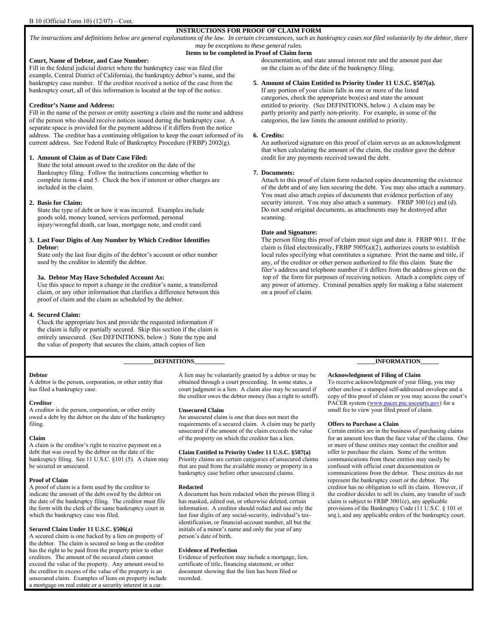#### **INSTRUCTIONS FOR PROOF OF CLAIM FORM**

*The instructions and definitions below are general explanations of the law. In certain circumstances, such as bankruptcy cases not filed voluntarily by the debtor, there may be exceptions to these general rules.* 

#### **Items to be completed in Proof of Claim form**

#### **Court, Name of Debtor, and Case Number:**

Fill in the federal judicial district where the bankruptcy case was filed (for example, Central District of California), the bankruptcy debtor's name, and the bankruptcy case number. If the creditor received a notice of the case from the bankruptcy court, all of this information is located at the top of the notice.

#### **Creditor's Name and Address:**

Fill in the name of the person or entity asserting a claim and the name and address of the person who should receive notices issued during the bankruptcy case. A separate space is provided for the payment address if it differs from the notice address. The creditor has a continuing obligation to keep the court informed of its current address. See Federal Rule of Bankruptcy Procedure (FRBP) 2002(g).

#### **1. Amount of Claim as of Date Case Filed:**

 State the total amount owed to the creditor on the date of the Bankruptcy filing. Follow the instructions concerning whether to complete items 4 and 5. Check the box if interest or other charges are included in the claim.

#### **2. Basis for Claim:**

 State the type of debt or how it was incurred. Examples include goods sold, money loaned, services performed, personal injury/wrongful death, car loan, mortgage note, and credit card.

#### **3. Last Four Digits of Any Number by Which Creditor Identifies Debtor:**

State only the last four digits of the debtor's account or other number used by the creditor to identify the debtor.

#### **3a. Debtor May Have Scheduled Account As:**

 Use this space to report a change in the creditor's name, a transferred claim, or any other information that clarifies a difference between this proof of claim and the claim as scheduled by the debtor.

#### **4. Secured Claim:**

 Check the appropriate box and provide the requested information if the claim is fully or partially secured. Skip this section if the claim is entirely unsecured. (See DEFINITIONS, below.) State the type and the value of property that secures the claim, attach copies of lien

#### documentation, and state annual interest rate and the amount past due on the claim as of the date of the bankruptcy filing.

#### **5. Amount of Claim Entitled to Priority Under 11 U.S.C. §507(a).**

If any portion of your claim falls in one or more of the listed categories, check the appropriate box(es) and state the amount entitled to priority. (See DEFINITIONS, below.) A claim may be partly priority and partly non-priority. For example, in some of the categories, the law limits the amount entitled to priority.

#### **6. Credits:**

 An authorized signature on this proof of claim serves as an acknowledgment that when calculating the amount of the claim, the creditor gave the debtor credit for any payments received toward the debt.

#### **7. Documents:**

 Attach to this proof of claim form redacted copies documenting the existence of the debt and of any lien securing the debt. You may also attach a summary. You must also attach copies of documents that evidence perfection of any security interest. You may also attach a summary. FRBP 3001(c) and (d). Do not send original documents, as attachments may be destroyed after scanning.

#### **Date and Signature:**

 The person filing this proof of claim must sign and date it. FRBP 9011. If the claim is filed electronically, FRBP  $5005(a)(2)$ , authorizes courts to establish local rules specifying what constitutes a signature. Print the name and title, if any, of the creditor or other person authorized to file this claim. State the filer's address and telephone number if it differs from the address given on the top of the form for purposes of receiving notices. Attach a complete copy of any power of attorney. Criminal penalties apply for making a false statement on a proof of claim.

#### **DEFINITIONS EXECUTED INFORMATION**

#### **Debtor**

A debtor is the person, corporation, or other entity that has filed a bankruptcy case.

#### **Creditor**

A creditor is the person, corporation, or other entity owed a debt by the debtor on the date of the bankruptcy filing.

#### **Claim**

A claim is the creditor's right to receive payment on a debt that was owed by the debtor on the date of the bankruptcy filing. See 11 U.S.C. §101 (5). A claim may be secured or unsecured.

#### **Proof of Claim**

A proof of claim is a form used by the creditor to indicate the amount of the debt owed by the debtor on the date of the bankruptcy filing. The creditor must file the form with the clerk of the same bankruptcy court in which the bankruptcy case was filed.

#### **Secured Claim Under 11 U.S.C. §506(a)**

A secured claim is one backed by a lien on property of the debtor. The claim is secured so long as the creditor has the right to be paid from the property prior to other creditors. The amount of the secured claim cannot exceed the value of the property. Any amount owed to the creditor in excess of the value of the property is an unsecured claim. Examples of liens on property include a mortgage on real estate or a security interest in a car.

A lien may be voluntarily granted by a debtor or may be obtained through a court proceeding. In some states, a court judgment is a lien. A claim also may be secured if the creditor owes the debtor money (has a right to setoff).

#### **Unsecured Claim**

An unsecured claim is one that does not meet the requirements of a secured claim. A claim may be partly unsecured if the amount of the claim exceeds the value of the property on which the creditor has a lien.

#### **Claim Entitled to Priority Under 11 U.S.C. §507(a)**

Priority claims are certain categories of unsecured claims that are paid from the available money or property in a bankruptcy case before other unsecured claims.

#### **Redacted**

A document has been redacted when the person filing it has masked, edited out, or otherwise deleted, certain information. A creditor should redact and use only the last four digits of any social-security, individual's taxidentification, or financial-account number, all but the initials of a minor's name and only the year of any person's date of birth.

#### **Evidence of Perfection**

Evidence of perfection may include a mortgage, lien, certificate of title, financing statement, or other document showing that the lien has been filed or recorded.

#### **Acknowledgment of Filing of Claim**

To receive acknowledgment of your filing, you may either enclose a stamped self-addressed envelope and a copy of this proof of claim or you may access the court's PACER system (www.pacer.psc.uscourts.gov) for a small fee to view your filed proof of claim.

#### **Offers to Purchase a Claim**

Certain entities are in the business of purchasing claims for an amount less than the face value of the claims. One or more of these entities may contact the creditor and offer to purchase the claim. Some of the written communications from these entities may easily be confused with official court documentation or communications from the debtor. These entities do not represent the bankruptcy court or the debtor. The creditor has no obligation to sell its claim. However, if the creditor decides to sell its claim, any transfer of such claim is subject to FRBP 3001(e), any applicable provisions of the Bankruptcy Code (11 U.S.C. § 101 *et seq*.), and any applicable orders of the bankruptcy court.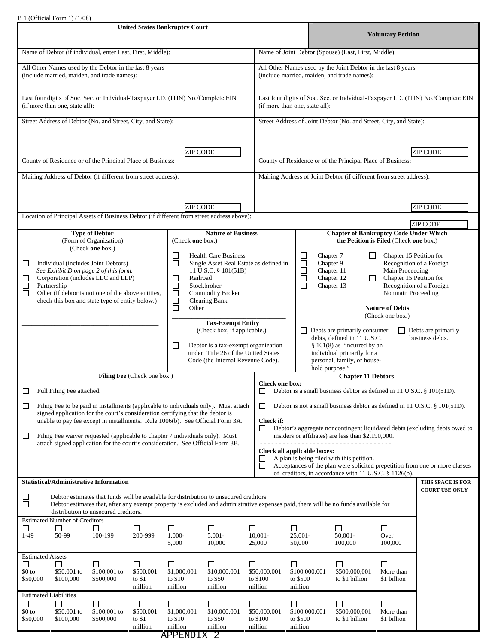| <b>B</b> 1 (Official Form 1) (1/08)                                                                                                                                                                                                                                                              |                                                                                                                                                                                                                                                                  |                                                                                                             |                                                                                                                                                                                                                                     |                                                            |                                                                                                                                                                                                                                                        |                                                                                  |                                               |
|--------------------------------------------------------------------------------------------------------------------------------------------------------------------------------------------------------------------------------------------------------------------------------------------------|------------------------------------------------------------------------------------------------------------------------------------------------------------------------------------------------------------------------------------------------------------------|-------------------------------------------------------------------------------------------------------------|-------------------------------------------------------------------------------------------------------------------------------------------------------------------------------------------------------------------------------------|------------------------------------------------------------|--------------------------------------------------------------------------------------------------------------------------------------------------------------------------------------------------------------------------------------------------------|----------------------------------------------------------------------------------|-----------------------------------------------|
| <b>United States Bankruptcy Court</b>                                                                                                                                                                                                                                                            |                                                                                                                                                                                                                                                                  |                                                                                                             |                                                                                                                                                                                                                                     |                                                            | <b>Voluntary Petition</b>                                                                                                                                                                                                                              |                                                                                  |                                               |
| Name of Debtor (if individual, enter Last, First, Middle):                                                                                                                                                                                                                                       |                                                                                                                                                                                                                                                                  |                                                                                                             | Name of Joint Debtor (Spouse) (Last, First, Middle):                                                                                                                                                                                |                                                            |                                                                                                                                                                                                                                                        |                                                                                  |                                               |
| All Other Names used by the Debtor in the last 8 years<br>(include married, maiden, and trade names):                                                                                                                                                                                            |                                                                                                                                                                                                                                                                  | All Other Names used by the Joint Debtor in the last 8 years<br>(include married, maiden, and trade names): |                                                                                                                                                                                                                                     |                                                            |                                                                                                                                                                                                                                                        |                                                                                  |                                               |
| Last four digits of Soc. Sec. or Indvidual-Taxpayer I.D. (ITIN) No./Complete EIN<br>(if more than one, state all):                                                                                                                                                                               |                                                                                                                                                                                                                                                                  | (if more than one, state all):                                                                              |                                                                                                                                                                                                                                     |                                                            |                                                                                                                                                                                                                                                        | Last four digits of Soc. Sec. or Indvidual-Taxpayer I.D. (ITIN) No./Complete EIN |                                               |
| Street Address of Debtor (No. and Street, City, and State):                                                                                                                                                                                                                                      | Street Address of Joint Debtor (No. and Street, City, and State):                                                                                                                                                                                                |                                                                                                             |                                                                                                                                                                                                                                     |                                                            |                                                                                                                                                                                                                                                        |                                                                                  |                                               |
| County of Residence or of the Principal Place of Business:                                                                                                                                                                                                                                       |                                                                                                                                                                                                                                                                  |                                                                                                             |                                                                                                                                                                                                                                     | County of Residence or of the Principal Place of Business: |                                                                                                                                                                                                                                                        | <b>ZIP CODE</b>                                                                  |                                               |
| Mailing Address of Debtor (if different from street address):                                                                                                                                                                                                                                    |                                                                                                                                                                                                                                                                  |                                                                                                             |                                                                                                                                                                                                                                     |                                                            | Mailing Address of Joint Debtor (if different from street address):                                                                                                                                                                                    |                                                                                  |                                               |
|                                                                                                                                                                                                                                                                                                  |                                                                                                                                                                                                                                                                  |                                                                                                             |                                                                                                                                                                                                                                     |                                                            |                                                                                                                                                                                                                                                        |                                                                                  |                                               |
|                                                                                                                                                                                                                                                                                                  | <b>ZIP CODE</b>                                                                                                                                                                                                                                                  |                                                                                                             |                                                                                                                                                                                                                                     |                                                            |                                                                                                                                                                                                                                                        |                                                                                  | ZIP CODE                                      |
| Location of Principal Assets of Business Debtor (if different from street address above):                                                                                                                                                                                                        |                                                                                                                                                                                                                                                                  |                                                                                                             |                                                                                                                                                                                                                                     |                                                            |                                                                                                                                                                                                                                                        |                                                                                  | <b>ZIP CODE</b>                               |
| <b>Type of Debtor</b><br>(Form of Organization)<br>(Check one box.)                                                                                                                                                                                                                              | <b>Nature of Business</b><br>(Check one box.)                                                                                                                                                                                                                    |                                                                                                             |                                                                                                                                                                                                                                     |                                                            | <b>Chapter of Bankruptcy Code Under Which</b>                                                                                                                                                                                                          | the Petition is Filed (Check one box.)                                           |                                               |
| Individual (includes Joint Debtors)<br>$\overline{\phantom{a}}$<br>See Exhibit D on page 2 of this form.<br>Corporation (includes LLC and LLP)<br>$\Box$<br>$\Box$<br>Partnership<br>Other (If debtor is not one of the above entities,<br>ΙI<br>check this box and state type of entity below.) | $\mathcal{L}_{\mathcal{A}}$<br><b>Health Care Business</b><br>Single Asset Real Estate as defined in<br>□<br>11 U.S.C. § 101(51B)<br>Railroad<br>$\Box$<br>$\Box$<br>Stockbroker<br>□<br><b>Commodity Broker</b><br>$\Box$<br><b>Clearing Bank</b><br>Other<br>П |                                                                                                             |                                                                                                                                                                                                                                     | 88<br>8<br>$\Box$                                          | Chapter 7<br>Chapter 15 Petition for<br>Chapter 9<br>Recognition of a Foreign<br>Chapter 11<br>Main Proceeding<br>Chapter 15 Petition for<br>Chapter 12<br>П<br>Chapter 13<br>Recognition of a Foreign<br>Nonmain Proceeding<br><b>Nature of Debts</b> |                                                                                  |                                               |
|                                                                                                                                                                                                                                                                                                  |                                                                                                                                                                                                                                                                  |                                                                                                             | (Check one box.)                                                                                                                                                                                                                    |                                                            |                                                                                                                                                                                                                                                        |                                                                                  |                                               |
| <b>Tax-Exempt Entity</b><br>(Check box, if applicable.)<br>Debtor is a tax-exempt organization<br>⊔                                                                                                                                                                                              |                                                                                                                                                                                                                                                                  |                                                                                                             | under Title 26 of the United States                                                                                                                                                                                                 | П                                                          | Debts are primarily consumer<br>debts, defined in 11 U.S.C.<br>§ 101(8) as "incurred by an<br>individual primarily for a                                                                                                                               |                                                                                  | $\Box$ Debts are primarily<br>business debts. |
|                                                                                                                                                                                                                                                                                                  | Code (the Internal Revenue Code).                                                                                                                                                                                                                                |                                                                                                             |                                                                                                                                                                                                                                     |                                                            | personal, family, or house-<br>hold purpose."                                                                                                                                                                                                          |                                                                                  |                                               |
| Filing Fee (Check one box.)                                                                                                                                                                                                                                                                      |                                                                                                                                                                                                                                                                  |                                                                                                             | Check one box:                                                                                                                                                                                                                      |                                                            | <b>Chapter 11 Debtors</b>                                                                                                                                                                                                                              |                                                                                  |                                               |
| Full Filing Fee attached.<br>ப                                                                                                                                                                                                                                                                   |                                                                                                                                                                                                                                                                  |                                                                                                             | Debtor is a small business debtor as defined in 11 U.S.C. § 101(51D).                                                                                                                                                               |                                                            |                                                                                                                                                                                                                                                        |                                                                                  |                                               |
| □<br>Filing Fee to be paid in installments (applicable to individuals only). Must attach<br>signed application for the court's consideration certifying that the debtor is<br>unable to pay fee except in installments. Rule 1006(b). See Official Form 3A.                                      |                                                                                                                                                                                                                                                                  |                                                                                                             | П<br>Debtor is not a small business debtor as defined in 11 U.S.C. § 101(51D).<br>Check if:                                                                                                                                         |                                                            |                                                                                                                                                                                                                                                        |                                                                                  |                                               |
| Filing Fee waiver requested (applicable to chapter 7 individuals only). Must<br>$\overline{\phantom{a}}$<br>attach signed application for the court's consideration. See Official Form 3B.                                                                                                       |                                                                                                                                                                                                                                                                  |                                                                                                             | Debtor's aggregate noncontingent liquidated debts (excluding debts owed to<br>$\mathbf{L}$<br>insiders or affiliates) are less than \$2,190,000.<br><u>.</u>                                                                        |                                                            |                                                                                                                                                                                                                                                        |                                                                                  |                                               |
|                                                                                                                                                                                                                                                                                                  |                                                                                                                                                                                                                                                                  |                                                                                                             | <b>Check all applicable boxes:</b><br>A plan is being filed with this petition.<br>$\sqcup$<br>Acceptances of the plan were solicited prepetition from one or more classes<br>of creditors, in accordance with 11 U.S.C. § 1126(b). |                                                            |                                                                                                                                                                                                                                                        |                                                                                  |                                               |
| <b>Statistical/Administrative Information</b>                                                                                                                                                                                                                                                    |                                                                                                                                                                                                                                                                  |                                                                                                             |                                                                                                                                                                                                                                     |                                                            |                                                                                                                                                                                                                                                        |                                                                                  | THIS SPACE IS FOR<br><b>COURT USE ONLY</b>    |
| Debtor estimates that funds will be available for distribution to unsecured creditors.<br>⊔<br>$\Box$<br>Debtor estimates that, after any exempt property is excluded and administrative expenses paid, there will be no funds available for<br>distribution to unsecured creditors.             |                                                                                                                                                                                                                                                                  |                                                                                                             |                                                                                                                                                                                                                                     |                                                            |                                                                                                                                                                                                                                                        |                                                                                  |                                               |
| <b>Estimated Number of Creditors</b><br>$\Box$<br>$\Box$<br>$\Box$<br>$\Box$<br>50-99<br>100-199<br>200-999<br>$1-49$                                                                                                                                                                            | □<br>$\Box$<br>1,000-<br>$5,001-$<br>5,000<br>10,000                                                                                                                                                                                                             | $\Box$                                                                                                      | $10,001 -$<br>25,000                                                                                                                                                                                                                | $\Box$<br>$25,001 -$<br>50,000                             | $\Box$<br>$50,001 -$<br>100,000                                                                                                                                                                                                                        | □<br>Over<br>100,000                                                             |                                               |
| <b>Estimated Assets</b><br>□<br>□<br>ப<br>⊔<br>$$0$ to<br>\$50,001 to<br>\$100,001 to<br>\$500,001<br>\$50,000<br>\$100,000<br>\$500,000<br>to $$1$<br>million                                                                                                                                   | □<br>⊔<br>\$1,000,001<br>\$10,000,001<br>to \$10<br>to \$50<br>million<br>million                                                                                                                                                                                | $\Box$                                                                                                      | \$50,000,001<br>to \$100<br>million                                                                                                                                                                                                 | □<br>\$100,000,001<br>to \$500<br>million                  | □<br>\$500,000,001<br>to \$1 billion                                                                                                                                                                                                                   | ⊔<br>More than<br>\$1 billion                                                    |                                               |
| <b>Estimated Liabilities</b><br>□<br>$\Box$<br>ப<br>$\mathbf{L}$<br>$$0$ to<br>\$100,001 to<br>\$500,001<br>\$50,001 to<br>\$50,000<br>\$100,000<br>\$500,000<br>to $$1$<br>million                                                                                                              | $\Box$<br>⊔<br>\$1,000,001<br>\$10,000,001<br>to \$10<br>to $$50$<br>million<br>million<br>APPENDIX <sub>2</sub>                                                                                                                                                 | $\Box$                                                                                                      | \$50,000,001<br>to \$100<br>million                                                                                                                                                                                                 | $\Box$<br>\$100,000,001<br>to \$500<br>million             | $\Box$<br>\$500,000,001<br>to \$1 billion                                                                                                                                                                                                              | ப<br>More than<br>\$1 billion                                                    |                                               |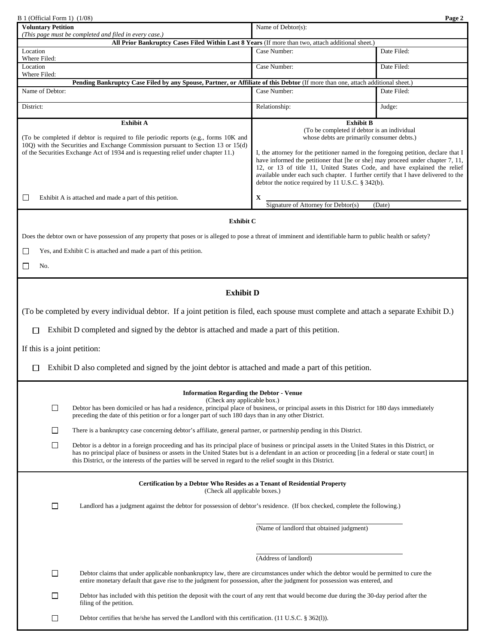| B 1 (Official Form 1) (1/08)           |                                                                                                                                                                                                                                                                                                                                                                                                                                                                                                                                                                                                     |                                                                                                                                                                                                                                                                                                                                                                                                                                                                                                             | Page 2      |
|----------------------------------------|-----------------------------------------------------------------------------------------------------------------------------------------------------------------------------------------------------------------------------------------------------------------------------------------------------------------------------------------------------------------------------------------------------------------------------------------------------------------------------------------------------------------------------------------------------------------------------------------------------|-------------------------------------------------------------------------------------------------------------------------------------------------------------------------------------------------------------------------------------------------------------------------------------------------------------------------------------------------------------------------------------------------------------------------------------------------------------------------------------------------------------|-------------|
| <b>Voluntary Petition</b>              |                                                                                                                                                                                                                                                                                                                                                                                                                                                                                                                                                                                                     | Name of Debtor(s):                                                                                                                                                                                                                                                                                                                                                                                                                                                                                          |             |
|                                        | (This page must be completed and filed in every case.)<br>All Prior Bankruptcy Cases Filed Within Last 8 Years (If more than two, attach additional sheet.)                                                                                                                                                                                                                                                                                                                                                                                                                                         |                                                                                                                                                                                                                                                                                                                                                                                                                                                                                                             |             |
| Location                               |                                                                                                                                                                                                                                                                                                                                                                                                                                                                                                                                                                                                     | Case Number:                                                                                                                                                                                                                                                                                                                                                                                                                                                                                                | Date Filed: |
| Where Filed:<br>Location               |                                                                                                                                                                                                                                                                                                                                                                                                                                                                                                                                                                                                     | Case Number:                                                                                                                                                                                                                                                                                                                                                                                                                                                                                                | Date Filed: |
| Where Filed:                           |                                                                                                                                                                                                                                                                                                                                                                                                                                                                                                                                                                                                     |                                                                                                                                                                                                                                                                                                                                                                                                                                                                                                             |             |
| Name of Debtor:                        | Pending Bankruptcy Case Filed by any Spouse, Partner, or Affiliate of this Debtor (If more than one, attach additional sheet.)                                                                                                                                                                                                                                                                                                                                                                                                                                                                      | Case Number:                                                                                                                                                                                                                                                                                                                                                                                                                                                                                                | Date Filed: |
|                                        |                                                                                                                                                                                                                                                                                                                                                                                                                                                                                                                                                                                                     |                                                                                                                                                                                                                                                                                                                                                                                                                                                                                                             |             |
| District:                              |                                                                                                                                                                                                                                                                                                                                                                                                                                                                                                                                                                                                     | Relationship:                                                                                                                                                                                                                                                                                                                                                                                                                                                                                               | Judge:      |
|                                        | <b>Exhibit A</b><br>(To be completed if debtor is required to file periodic reports (e.g., forms 10K and<br>10Q) with the Securities and Exchange Commission pursuant to Section 13 or 15(d)<br>of the Securities Exchange Act of 1934 and is requesting relief under chapter 11.)                                                                                                                                                                                                                                                                                                                  | <b>Exhibit B</b><br>(To be completed if debtor is an individual<br>whose debts are primarily consumer debts.)<br>I, the attorney for the petitioner named in the foregoing petition, declare that I<br>have informed the petitioner that [he or she] may proceed under chapter 7, 11,<br>12, or 13 of title 11, United States Code, and have explained the relief<br>available under each such chapter. I further certify that I have delivered to the<br>debtor the notice required by 11 U.S.C. § 342(b). |             |
| ⊔                                      | Exhibit A is attached and made a part of this petition.                                                                                                                                                                                                                                                                                                                                                                                                                                                                                                                                             | X<br>Signature of Attorney for Debtor(s)                                                                                                                                                                                                                                                                                                                                                                                                                                                                    | (Date)      |
|                                        |                                                                                                                                                                                                                                                                                                                                                                                                                                                                                                                                                                                                     |                                                                                                                                                                                                                                                                                                                                                                                                                                                                                                             |             |
|                                        | <b>Exhibit C</b>                                                                                                                                                                                                                                                                                                                                                                                                                                                                                                                                                                                    |                                                                                                                                                                                                                                                                                                                                                                                                                                                                                                             |             |
|                                        | Does the debtor own or have possession of any property that poses or is alleged to pose a threat of imminent and identifiable harm to public health or safety?                                                                                                                                                                                                                                                                                                                                                                                                                                      |                                                                                                                                                                                                                                                                                                                                                                                                                                                                                                             |             |
| $\Box$                                 | Yes, and Exhibit C is attached and made a part of this petition.                                                                                                                                                                                                                                                                                                                                                                                                                                                                                                                                    |                                                                                                                                                                                                                                                                                                                                                                                                                                                                                                             |             |
| $\Box$<br>No.                          |                                                                                                                                                                                                                                                                                                                                                                                                                                                                                                                                                                                                     |                                                                                                                                                                                                                                                                                                                                                                                                                                                                                                             |             |
|                                        |                                                                                                                                                                                                                                                                                                                                                                                                                                                                                                                                                                                                     |                                                                                                                                                                                                                                                                                                                                                                                                                                                                                                             |             |
| If this is a joint petition:<br>$\Box$ | <b>Exhibit D</b><br>(To be completed by every individual debtor. If a joint petition is filed, each spouse must complete and attach a separate Exhibit D.)<br>Exhibit D completed and signed by the debtor is attached and made a part of this petition.<br>Exhibit D also completed and signed by the joint debtor is attached and made a part of this petition.<br><b>Information Regarding the Debtor - Venue</b><br>(Check any applicable box.)<br>Debtor has been domiciled or has had a residence, principal place of business, or principal assets in this District for 180 days immediately |                                                                                                                                                                                                                                                                                                                                                                                                                                                                                                             |             |
| $\Box$                                 | preceding the date of this petition or for a longer part of such 180 days than in any other District.<br>There is a bankruptcy case concerning debtor's affiliate, general partner, or partnership pending in this District.                                                                                                                                                                                                                                                                                                                                                                        |                                                                                                                                                                                                                                                                                                                                                                                                                                                                                                             |             |
| $\Box$                                 | Debtor is a debtor in a foreign proceeding and has its principal place of business or principal assets in the United States in this District, or<br>has no principal place of business or assets in the United States but is a defendant in an action or proceeding [in a federal or state court] in<br>this District, or the interests of the parties will be served in regard to the relief sought in this District.                                                                                                                                                                              |                                                                                                                                                                                                                                                                                                                                                                                                                                                                                                             |             |
| □                                      | Certification by a Debtor Who Resides as a Tenant of Residential Property<br>(Check all applicable boxes.)<br>Landlord has a judgment against the debtor for possession of debtor's residence. (If box checked, complete the following.)                                                                                                                                                                                                                                                                                                                                                            |                                                                                                                                                                                                                                                                                                                                                                                                                                                                                                             |             |
|                                        |                                                                                                                                                                                                                                                                                                                                                                                                                                                                                                                                                                                                     | (Name of landlord that obtained judgment)                                                                                                                                                                                                                                                                                                                                                                                                                                                                   |             |
|                                        |                                                                                                                                                                                                                                                                                                                                                                                                                                                                                                                                                                                                     | (Address of landlord)                                                                                                                                                                                                                                                                                                                                                                                                                                                                                       |             |
| $\Box$                                 | Debtor claims that under applicable nonbankruptcy law, there are circumstances under which the debtor would be permitted to cure the<br>entire monetary default that gave rise to the judgment for possession, after the judgment for possession was entered, and                                                                                                                                                                                                                                                                                                                                   |                                                                                                                                                                                                                                                                                                                                                                                                                                                                                                             |             |
| П                                      | Debtor has included with this petition the deposit with the court of any rent that would become due during the 30-day period after the<br>filing of the petition.                                                                                                                                                                                                                                                                                                                                                                                                                                   |                                                                                                                                                                                                                                                                                                                                                                                                                                                                                                             |             |
| ப                                      | Debtor certifies that he/she has served the Landlord with this certification. (11 U.S.C. § 362(1)).                                                                                                                                                                                                                                                                                                                                                                                                                                                                                                 |                                                                                                                                                                                                                                                                                                                                                                                                                                                                                                             |             |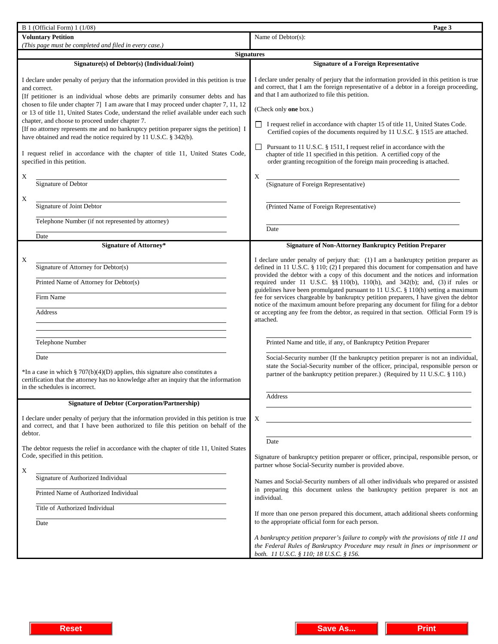| B 1 (Official Form) 1 (1/08)                                                                                                                                                                                                                                                                                                                                                                                                                                                                                          | Page 3                                                                                                                                                                                                                                                                                                                                                                                                                                                                                                                                                                                                                                                                                                                                                                                         |
|-----------------------------------------------------------------------------------------------------------------------------------------------------------------------------------------------------------------------------------------------------------------------------------------------------------------------------------------------------------------------------------------------------------------------------------------------------------------------------------------------------------------------|------------------------------------------------------------------------------------------------------------------------------------------------------------------------------------------------------------------------------------------------------------------------------------------------------------------------------------------------------------------------------------------------------------------------------------------------------------------------------------------------------------------------------------------------------------------------------------------------------------------------------------------------------------------------------------------------------------------------------------------------------------------------------------------------|
| <b>Voluntary Petition</b>                                                                                                                                                                                                                                                                                                                                                                                                                                                                                             | Name of Debtor(s):                                                                                                                                                                                                                                                                                                                                                                                                                                                                                                                                                                                                                                                                                                                                                                             |
| (This page must be completed and filed in every case.)                                                                                                                                                                                                                                                                                                                                                                                                                                                                |                                                                                                                                                                                                                                                                                                                                                                                                                                                                                                                                                                                                                                                                                                                                                                                                |
|                                                                                                                                                                                                                                                                                                                                                                                                                                                                                                                       | <b>Signatures</b>                                                                                                                                                                                                                                                                                                                                                                                                                                                                                                                                                                                                                                                                                                                                                                              |
| Signature(s) of Debtor(s) (Individual/Joint)                                                                                                                                                                                                                                                                                                                                                                                                                                                                          | <b>Signature of a Foreign Representative</b>                                                                                                                                                                                                                                                                                                                                                                                                                                                                                                                                                                                                                                                                                                                                                   |
| I declare under penalty of perjury that the information provided in this petition is true<br>and correct.<br>[If petitioner is an individual whose debts are primarily consumer debts and has                                                                                                                                                                                                                                                                                                                         | I declare under penalty of perjury that the information provided in this petition is true<br>and correct, that I am the foreign representative of a debtor in a foreign proceeding,<br>and that I am authorized to file this petition.                                                                                                                                                                                                                                                                                                                                                                                                                                                                                                                                                         |
| chosen to file under chapter 7] I am aware that I may proceed under chapter 7, 11, 12<br>or 13 of title 11, United States Code, understand the relief available under each such<br>chapter, and choose to proceed under chapter 7.<br>[If no attorney represents me and no bankruptcy petition preparer signs the petition] I<br>have obtained and read the notice required by 11 U.S.C. § 342(b).<br>I request relief in accordance with the chapter of title 11, United States Code,<br>specified in this petition. | (Check only one box.)<br>I request relief in accordance with chapter 15 of title 11, United States Code.<br>Certified copies of the documents required by 11 U.S.C. § 1515 are attached.<br>Pursuant to 11 U.S.C. § 1511, I request relief in accordance with the<br>chapter of title 11 specified in this petition. A certified copy of the<br>order granting recognition of the foreign main proceeding is attached.                                                                                                                                                                                                                                                                                                                                                                         |
| X                                                                                                                                                                                                                                                                                                                                                                                                                                                                                                                     | X                                                                                                                                                                                                                                                                                                                                                                                                                                                                                                                                                                                                                                                                                                                                                                                              |
| Signature of Debtor                                                                                                                                                                                                                                                                                                                                                                                                                                                                                                   | (Signature of Foreign Representative)                                                                                                                                                                                                                                                                                                                                                                                                                                                                                                                                                                                                                                                                                                                                                          |
| X<br>Signature of Joint Debtor                                                                                                                                                                                                                                                                                                                                                                                                                                                                                        | (Printed Name of Foreign Representative)                                                                                                                                                                                                                                                                                                                                                                                                                                                                                                                                                                                                                                                                                                                                                       |
| Telephone Number (if not represented by attorney)                                                                                                                                                                                                                                                                                                                                                                                                                                                                     | Date                                                                                                                                                                                                                                                                                                                                                                                                                                                                                                                                                                                                                                                                                                                                                                                           |
| Date<br><b>Signature of Attorney*</b>                                                                                                                                                                                                                                                                                                                                                                                                                                                                                 | <b>Signature of Non-Attorney Bankruptcy Petition Preparer</b>                                                                                                                                                                                                                                                                                                                                                                                                                                                                                                                                                                                                                                                                                                                                  |
| X<br>Signature of Attorney for Debtor(s)<br>Printed Name of Attorney for Debtor(s)<br>Firm Name<br>Address<br>Telephone Number                                                                                                                                                                                                                                                                                                                                                                                        | I declare under penalty of perjury that: (1) I am a bankruptcy petition preparer as<br>defined in 11 U.S.C. § 110; (2) I prepared this document for compensation and have<br>provided the debtor with a copy of this document and the notices and information<br>required under 11 U.S.C. §§ 110(b), 110(h), and 342(b); and, (3) if rules or<br>guidelines have been promulgated pursuant to 11 U.S.C. $\S$ 110(h) setting a maximum<br>fee for services chargeable by bankruptcy petition preparers, I have given the debtor<br>notice of the maximum amount before preparing any document for filing for a debtor<br>or accepting any fee from the debtor, as required in that section. Official Form 19 is<br>attached.<br>Printed Name and title, if any, of Bankruptcy Petition Preparer |
|                                                                                                                                                                                                                                                                                                                                                                                                                                                                                                                       |                                                                                                                                                                                                                                                                                                                                                                                                                                                                                                                                                                                                                                                                                                                                                                                                |
| Date<br>*In a case in which § $707(b)(4)(D)$ applies, this signature also constitutes a<br>certification that the attorney has no knowledge after an inquiry that the information<br>in the schedules is incorrect.                                                                                                                                                                                                                                                                                                   | Social-Security number (If the bankruptcy petition preparer is not an individual,<br>state the Social-Security number of the officer, principal, responsible person or<br>partner of the bankruptcy petition preparer.) (Required by 11 U.S.C. § 110.)<br>Address                                                                                                                                                                                                                                                                                                                                                                                                                                                                                                                              |
| <b>Signature of Debtor (Corporation/Partnership)</b>                                                                                                                                                                                                                                                                                                                                                                                                                                                                  |                                                                                                                                                                                                                                                                                                                                                                                                                                                                                                                                                                                                                                                                                                                                                                                                |
| I declare under penalty of perjury that the information provided in this petition is true<br>and correct, and that I have been authorized to file this petition on behalf of the<br>debtor.                                                                                                                                                                                                                                                                                                                           | X<br>Date                                                                                                                                                                                                                                                                                                                                                                                                                                                                                                                                                                                                                                                                                                                                                                                      |
| The debtor requests the relief in accordance with the chapter of title 11, United States<br>Code, specified in this petition.                                                                                                                                                                                                                                                                                                                                                                                         | Signature of bankruptcy petition preparer or officer, principal, responsible person, or                                                                                                                                                                                                                                                                                                                                                                                                                                                                                                                                                                                                                                                                                                        |
| X                                                                                                                                                                                                                                                                                                                                                                                                                                                                                                                     | partner whose Social-Security number is provided above.                                                                                                                                                                                                                                                                                                                                                                                                                                                                                                                                                                                                                                                                                                                                        |
| Signature of Authorized Individual                                                                                                                                                                                                                                                                                                                                                                                                                                                                                    |                                                                                                                                                                                                                                                                                                                                                                                                                                                                                                                                                                                                                                                                                                                                                                                                |
| Printed Name of Authorized Individual                                                                                                                                                                                                                                                                                                                                                                                                                                                                                 | Names and Social-Security numbers of all other individuals who prepared or assisted<br>in preparing this document unless the bankruptcy petition preparer is not an<br>individual.                                                                                                                                                                                                                                                                                                                                                                                                                                                                                                                                                                                                             |
| Title of Authorized Individual                                                                                                                                                                                                                                                                                                                                                                                                                                                                                        |                                                                                                                                                                                                                                                                                                                                                                                                                                                                                                                                                                                                                                                                                                                                                                                                |
| Date                                                                                                                                                                                                                                                                                                                                                                                                                                                                                                                  | If more than one person prepared this document, attach additional sheets conforming<br>to the appropriate official form for each person.                                                                                                                                                                                                                                                                                                                                                                                                                                                                                                                                                                                                                                                       |
|                                                                                                                                                                                                                                                                                                                                                                                                                                                                                                                       | A bankruptcy petition preparer's failure to comply with the provisions of title 11 and<br>the Federal Rules of Bankruptcy Procedure may result in fines or imprisonment or<br>both. 11 U.S.C. § 110; 18 U.S.C. § 156.                                                                                                                                                                                                                                                                                                                                                                                                                                                                                                                                                                          |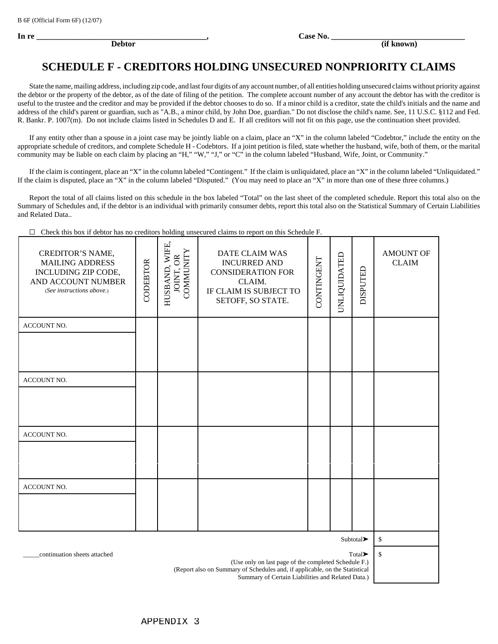**Debtor** (if known)

# **SCHEDULE F - CREDITORS HOLDING UNSECURED NONPRIORITY CLAIMS**

State the name, mailing address, including zip code, and last four digits of any account number, of all entities holding unsecured claims without priority against the debtor or the property of the debtor, as of the date of filing of the petition. The complete account number of any account the debtor has with the creditor is useful to the trustee and the creditor and may be provided if the debtor chooses to do so. If a minor child is a creditor, state the child's initials and the name and address of the child's parent or guardian, such as "A.B., a minor child, by John Doe, guardian." Do not disclose the child's name. See, 11 U.S.C. §112 and Fed. R. Bankr. P. 1007(m). Do not include claims listed in Schedules D and E. If all creditors will not fit on this page, use the continuation sheet provided.

If any entity other than a spouse in a joint case may be jointly liable on a claim, place an "X" in the column labeled "Codebtor," include the entity on the appropriate schedule of creditors, and complete Schedule H - Codebtors. If a joint petition is filed, state whether the husband, wife, both of them, or the marital community may be liable on each claim by placing an "H," "W," "J," or "C" in the column labeled "Husband, Wife, Joint, or Community."

If the claim is contingent, place an "X" in the column labeled "Contingent." If the claim is unliquidated, place an "X" in the column labeled "Unliquidated." If the claim is disputed, place an "X" in the column labeled "Disputed." (You may need to place an "X" in more than one of these three columns.)

Report the total of all claims listed on this schedule in the box labeled "Total" on the last sheet of the completed schedule. Report this total also on the Summary of Schedules and, if the debtor is an individual with primarily consumer debts, report this total also on the Statistical Summary of Certain Liabilities and Related Data..

 $\Box$  Check this box if debtor has no creditors holding unsecured claims to report on this Schedule F.

| CREDITOR'S NAME,<br><b>MAILING ADDRESS</b><br>INCLUDING ZIP CODE,<br>AND ACCOUNT NUMBER<br>(See instructions above.) | CODEBTOR | HUSBAND, WIFE,<br>JOINT, OR<br>COMMUNITY | DATE CLAIM WAS<br><b>INCURRED AND</b><br><b>CONSIDERATION FOR</b><br>CLAIM.<br>IF CLAIM IS SUBJECT TO<br>SETOFF, SO STATE. | CONTINGENT | UNLIQUIDATED | <b>DISPUTED</b>     | <b>AMOUNT OF</b><br><b>CLAIM</b> |
|----------------------------------------------------------------------------------------------------------------------|----------|------------------------------------------|----------------------------------------------------------------------------------------------------------------------------|------------|--------------|---------------------|----------------------------------|
| ACCOUNT NO.                                                                                                          |          |                                          |                                                                                                                            |            |              |                     |                                  |
| ACCOUNT NO.                                                                                                          |          |                                          |                                                                                                                            |            |              |                     |                                  |
| ACCOUNT NO.                                                                                                          |          |                                          |                                                                                                                            |            |              |                     |                                  |
| ACCOUNT NO.                                                                                                          |          |                                          |                                                                                                                            |            |              |                     |                                  |
| continuation sheets attached                                                                                         |          |                                          | (Use only on last page of the completed Schedule F.)                                                                       |            |              | Subtotal><br>Total> | \$<br>$\mathcal{S}$              |

 (Report also on Summary of Schedules and, if applicable, on the Statistical Summary of Certain Liabilities and Related Data.)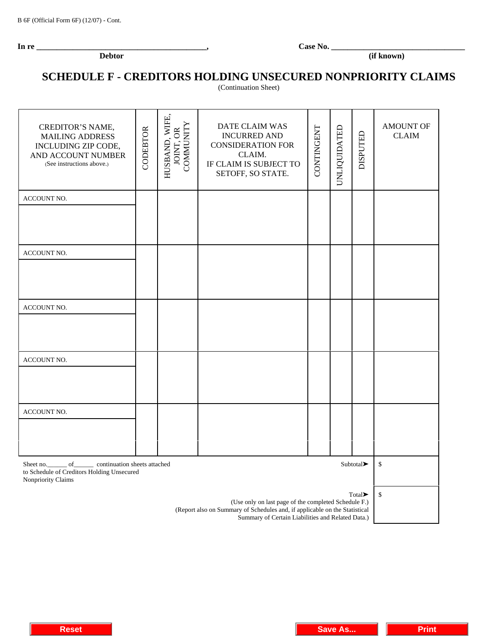**In re \_\_\_\_\_\_\_\_\_\_\_\_\_\_\_\_\_\_\_\_\_\_\_\_\_\_\_\_\_\_\_\_\_\_\_\_\_\_\_\_\_\_, Case No. \_\_\_\_\_\_\_\_\_\_\_\_\_\_\_\_\_\_\_\_\_\_\_\_\_\_\_\_\_\_\_\_\_**

**(if known)** 

# **SCHEDULE F - CREDITORS HOLDING UNSECURED NONPRIORITY CLAIMS**

(Continuation Sheet)

| CREDITOR'S NAME,<br><b>MAILING ADDRESS</b><br><b>INCLUDING ZIP CODE,</b><br>AND ACCOUNT NUMBER<br>(See instructions above.)                                                                       | CODEBTOR | HUSBAND, WIFE,<br>JOINT, OR<br>COMMUNITY | DATE CLAIM WAS<br><b>INCURRED AND</b><br><b>CONSIDERATION FOR</b><br>CLAIM.<br>IF CLAIM IS SUBJECT TO<br>SETOFF, SO STATE. | <b>CONTINGENT</b> | UNLIQUIDATED | <b>DISPUTED</b> | <b>AMOUNT OF</b><br><b>CLAIM</b> |
|---------------------------------------------------------------------------------------------------------------------------------------------------------------------------------------------------|----------|------------------------------------------|----------------------------------------------------------------------------------------------------------------------------|-------------------|--------------|-----------------|----------------------------------|
| ACCOUNT NO.                                                                                                                                                                                       |          |                                          |                                                                                                                            |                   |              |                 |                                  |
|                                                                                                                                                                                                   |          |                                          |                                                                                                                            |                   |              |                 |                                  |
| ACCOUNT NO.                                                                                                                                                                                       |          |                                          |                                                                                                                            |                   |              |                 |                                  |
|                                                                                                                                                                                                   |          |                                          |                                                                                                                            |                   |              |                 |                                  |
| ACCOUNT NO.                                                                                                                                                                                       |          |                                          |                                                                                                                            |                   |              |                 |                                  |
|                                                                                                                                                                                                   |          |                                          |                                                                                                                            |                   |              |                 |                                  |
| ACCOUNT NO.                                                                                                                                                                                       |          |                                          |                                                                                                                            |                   |              |                 |                                  |
|                                                                                                                                                                                                   |          |                                          |                                                                                                                            |                   |              |                 |                                  |
| ACCOUNT NO.                                                                                                                                                                                       |          |                                          |                                                                                                                            |                   |              |                 |                                  |
|                                                                                                                                                                                                   |          |                                          |                                                                                                                            |                   |              |                 |                                  |
| $\overline{\phantom{0}}$ of<br>Subtotal><br>_____ continuation sheets attached<br>Sheet no.<br>to Schedule of Creditors Holding Unsecured<br>Nonpriority Claims                                   |          |                                          |                                                                                                                            |                   |              | \$              |                                  |
| Total><br>(Use only on last page of the completed Schedule F.)<br>(Report also on Summary of Schedules and, if applicable on the Statistical<br>Summary of Certain Liabilities and Related Data.) |          |                                          |                                                                                                                            |                   | \$           |                 |                                  |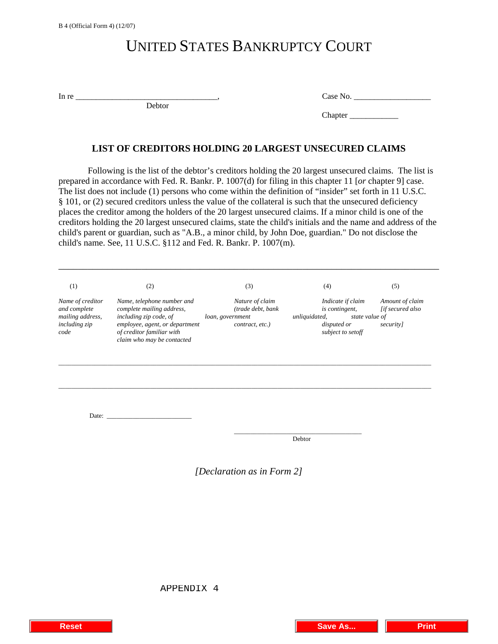# UNITED STATES BANKRUPTCY COURT

Debtor

| In re<br><b>Contract Contract Contract Contract</b> | _________ | ำด⊂ศ<br>43 S<br>______ |
|-----------------------------------------------------|-----------|------------------------|
|                                                     | .         |                        |

Chapter \_\_\_\_\_\_\_\_\_\_\_\_

# **LIST OF CREDITORS HOLDING 20 LARGEST UNSECURED CLAIMS**

Following is the list of the debtor's creditors holding the 20 largest unsecured claims. The list is prepared in accordance with Fed. R. Bankr. P. 1007(d) for filing in this chapter 11 [*or* chapter 9] case. The list does not include (1) persons who come within the definition of "insider" set forth in 11 U.S.C. § 101, or (2) secured creditors unless the value of the collateral is such that the unsecured deficiency places the creditor among the holders of the 20 largest unsecured claims. If a minor child is one of the creditors holding the 20 largest unsecured claims, state the child's initials and the name and address of the child's parent or guardian, such as "A.B., a minor child, by John Doe, guardian." Do not disclose the child's name. See, 11 U.S.C. §112 and Fed. R. Bankr. P. 1007(m).

\_\_\_\_\_\_\_\_\_\_\_\_\_\_\_\_\_\_\_\_\_\_\_\_\_\_\_\_\_\_\_\_\_\_\_\_\_\_\_\_\_\_\_\_\_\_\_\_\_\_\_\_\_\_\_\_\_\_\_\_\_\_\_\_\_\_\_\_\_\_\_\_\_\_\_\_\_\_

| (1)                                                                                  | (2)                                                                                                                                                                            | (3)                                                                         | (4)                                                                                                        | (5)                                                     |
|--------------------------------------------------------------------------------------|--------------------------------------------------------------------------------------------------------------------------------------------------------------------------------|-----------------------------------------------------------------------------|------------------------------------------------------------------------------------------------------------|---------------------------------------------------------|
| Name of creditor<br>and complete<br>mailing address,<br><i>including zip</i><br>code | Name, telephone number and<br>complete mailing address,<br>including zip code, of<br>employee, agent, or department<br>of creditor familiar with<br>claim who may be contacted | Nature of claim<br>(trade debt, bank<br>loan, government<br>contract, etc.) | Indicate if claim<br>is contingent,<br>unliquidated,<br>state value of<br>disputed or<br>subject to setoff | Amount of claim<br><i>lif secured also</i><br>security] |

\_\_\_\_\_\_\_\_\_\_\_\_\_\_\_\_\_\_\_\_\_\_\_\_\_\_\_\_\_\_\_\_\_\_\_\_\_\_\_\_\_\_\_\_\_\_\_\_\_\_\_\_\_\_\_\_\_\_\_\_\_\_\_\_\_\_\_\_\_\_\_\_\_\_\_\_\_\_\_\_\_\_\_\_\_\_\_\_\_\_\_\_\_\_\_\_\_\_\_\_\_\_\_\_\_\_\_\_\_\_\_\_\_\_

Date:  $\frac{ }{ }$ 

\_\_\_\_\_\_\_\_\_\_\_\_\_\_\_\_\_\_\_\_\_\_\_\_\_\_\_\_\_\_\_\_\_\_\_\_\_\_\_ Debtor

*[Declaration as in Form 2]*

# **Reset APPENDIX 4**<br> **Reset Reset As...** Print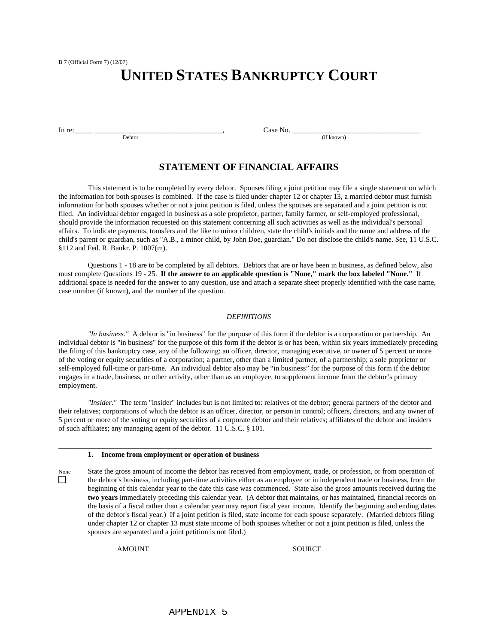# **UNITED STATES BANKRUPTCY COURT**

 $\text{In re:}\qquad \qquad \qquad \qquad \qquad \qquad \qquad \qquad \text{Debtor}$  Case No.  $\qquad \qquad \qquad \qquad \text{(if known)}$ 

Debtor (if known)

# **STATEMENT OF FINANCIAL AFFAIRS**

This statement is to be completed by every debtor. Spouses filing a joint petition may file a single statement on which the information for both spouses is combined. If the case is filed under chapter 12 or chapter 13, a married debtor must furnish information for both spouses whether or not a joint petition is filed, unless the spouses are separated and a joint petition is not filed. An individual debtor engaged in business as a sole proprietor, partner, family farmer, or self-employed professional, should provide the information requested on this statement concerning all such activities as well as the individual's personal affairs. To indicate payments, transfers and the like to minor children, state the child's initials and the name and address of the child's parent or guardian, such as "A.B., a minor child, by John Doe, guardian." Do not disclose the child's name. See, 11 U.S.C. §112 and Fed. R. Bankr. P. 1007(m).

Questions 1 - 18 are to be completed by all debtors. Debtors that are or have been in business, as defined below, also must complete Questions 19 - 25. **If the answer to an applicable question is "None," mark the box labeled "None."** If additional space is needed for the answer to any question, use and attach a separate sheet properly identified with the case name, case number (if known), and the number of the question.

#### *DEFINITIONS*

*"In business."* A debtor is "in business" for the purpose of this form if the debtor is a corporation or partnership. An individual debtor is "in business" for the purpose of this form if the debtor is or has been, within six years immediately preceding the filing of this bankruptcy case, any of the following: an officer, director, managing executive, or owner of 5 percent or more of the voting or equity securities of a corporation; a partner, other than a limited partner, of a partnership; a sole proprietor or self-employed full-time or part-time. An individual debtor also may be "in business" for the purpose of this form if the debtor engages in a trade, business, or other activity, other than as an employee, to supplement income from the debtor's primary employment.

*"Insider."* The term "insider" includes but is not limited to: relatives of the debtor; general partners of the debtor and their relatives; corporations of which the debtor is an officer, director, or person in control; officers, directors, and any owner of 5 percent or more of the voting or equity securities of a corporate debtor and their relatives; affiliates of the debtor and insiders of such affiliates; any managing agent of the debtor. 11 U.S.C. § 101.

\_\_\_\_\_\_\_\_\_\_\_\_\_\_\_\_\_\_\_\_\_\_\_\_\_\_\_\_\_\_\_\_\_\_\_\_\_\_\_\_\_\_\_\_\_\_\_\_\_\_\_\_\_\_\_\_\_\_\_\_\_\_\_\_\_\_\_\_\_\_\_\_\_\_\_\_\_\_\_\_\_\_\_\_\_\_\_\_\_\_\_\_\_\_\_\_\_\_\_\_\_\_

#### **1. Income from employment or operation of business**

None State the gross amount of income the debtor has received from employment, trade, or profession, or from operation of the debtor's business, including part-time activities either as an employee or in independent trade the debtor's business, including part-time activities either as an employee or in independent trade or business, from the beginning of this calendar year to the date this case was commenced. State also the gross amounts received during the **two years** immediately preceding this calendar year. (A debtor that maintains, or has maintained, financial records on the basis of a fiscal rather than a calendar year may report fiscal year income. Identify the beginning and ending dates of the debtor's fiscal year.) If a joint petition is filed, state income for each spouse separately. (Married debtors filing under chapter 12 or chapter 13 must state income of both spouses whether or not a joint petition is filed, unless the spouses are separated and a joint petition is not filed.)

AMOUNT SOURCE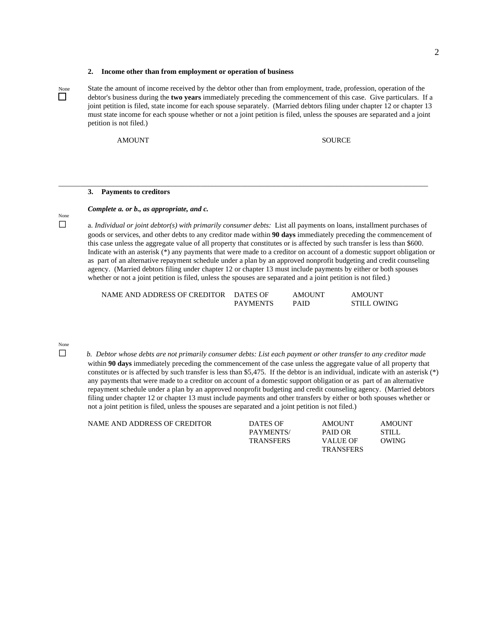#### **2. Income other than from employment or operation of business**

None State the amount of income received by the debtor other than from employment, trade, profession, operation of the debtor's business during the **two vears** immediately preceding the commencement of this case. Give par debtor's business during the **two years** immediately preceding the commencement of this case. Give particulars. If a joint petition is filed, state income for each spouse separately. (Married debtors filing under chapter 12 or chapter 13 must state income for each spouse whether or not a joint petition is filed, unless the spouses are separated and a joint petition is not filed.)

AMOUNT SOURCE

#### **3. Payments to creditors**

*Complete a. or b., as appropriate, and c.*

None

 $\Box$  a. *Individual or joint debtor(s) with primarily consumer debts:* List all payments on loans, installment purchases of goods or services, and other debts to any creditor made within **90 days** immediately preceding the commencement of this case unless the aggregate value of all property that constitutes or is affected by such transfer is less than \$600. Indicate with an asterisk (\*) any payments that were made to a creditor on account of a domestic support obligation or as part of an alternative repayment schedule under a plan by an approved nonprofit budgeting and credit counseling agency. (Married debtors filing under chapter 12 or chapter 13 must include payments by either or both spouses whether or not a joint petition is filed, unless the spouses are separated and a joint petition is not filed.)

| NAME AND ADDRESS OF CREDITOR DATES OF |                 | <b>AMOUNT</b> | AMOUNT             |
|---------------------------------------|-----------------|---------------|--------------------|
|                                       | <b>PAYMENTS</b> | <b>PAID</b>   | <b>STILL OWING</b> |

 $\Box$ 

None

G *b. Debtor whose debts are not primarily consumer debts: List each payment or other transfer to any creditor made* within **90 days** immediately preceding the commencement of the case unless the aggregate value of all property that constitutes or is affected by such transfer is less than \$5,475. If the debtor is an individual, indicate with an asterisk (\*) any payments that were made to a creditor on account of a domestic support obligation or as part of an alternative repayment schedule under a plan by an approved nonprofit budgeting and credit counseling agency. (Married debtors filing under chapter 12 or chapter 13 must include payments and other transfers by either or both spouses whether or not a joint petition is filed, unless the spouses are separated and a joint petition is not filed.)

NAME AND ADDRESS OF CREDITOR DATES OF AMOUNT AMOUNT

| DATES OF  |  |
|-----------|--|
| PAYMENTS/ |  |
| TRANSFERS |  |
|           |  |

PAID OR STILL VALUE OF OWING **TRANSFERS**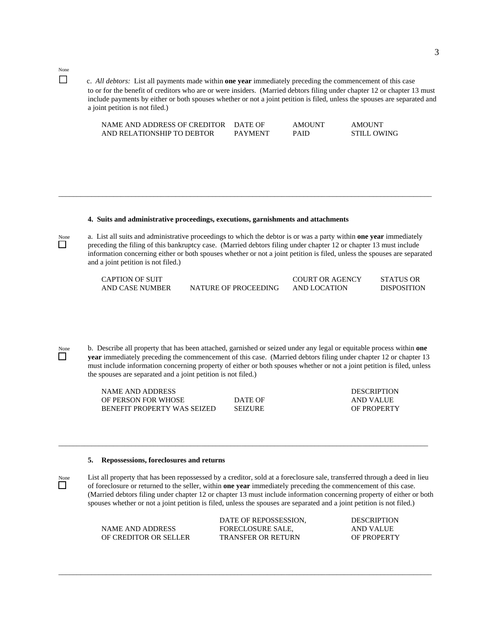# None

G c. *All debtors:* List all payments made within **one year** immediately preceding the commencement of this case to or for the benefit of creditors who are or were insiders. (Married debtors filing under chapter 12 or chapter 13 must include payments by either or both spouses whether or not a joint petition is filed, unless the spouses are separated and a joint petition is not filed.)

| NAME AND ADDRESS OF CREDITOR DATE OF |                | <b>AMOUNT</b> | AMOUNT             |
|--------------------------------------|----------------|---------------|--------------------|
| AND RELATIONSHIP TO DEBTOR-          | <b>PAYMENT</b> | <b>PAID</b>   | <b>STILL OWING</b> |

\_\_\_\_\_\_\_\_\_\_\_\_\_\_\_\_\_\_\_\_\_\_\_\_\_\_\_\_\_\_\_\_\_\_\_\_\_\_\_\_\_\_\_\_\_\_\_\_\_\_\_\_\_\_\_\_\_\_\_\_\_\_\_\_\_\_\_\_\_\_\_\_\_\_\_\_\_\_\_\_\_\_\_\_\_\_\_\_\_\_\_\_\_\_\_\_\_\_\_\_\_\_

#### **4. Suits and administrative proceedings, executions, garnishments and attachments**

None a. List all suits and administrative proceedings to which the debtor is or was a party within **one year** immediately preceding the filing of this bankruptcy case. (Married debtors filing under chapter 12 or chapter 13 must include information concerning either or both spouses whether or not a joint petition is filed, unless the spouses are separated and a joint petition is not filed.)

| CAPTION OF SUIT |                      | <b>COURT OR AGENCY</b> | <b>STATUS OR</b>   |
|-----------------|----------------------|------------------------|--------------------|
| AND CASE NUMBER | NATURE OF PROCEEDING | AND LOCATION           | <b>DISPOSITION</b> |

None b. Describe all property that has been attached, garnished or seized under any legal or equitable process within **one**<br>**Vear** immediately preceding the commencement of this case. (Married debtors filing under chapter **year** immediately preceding the commencement of this case. (Married debtors filing under chapter 12 or chapter 13 must include information concerning property of either or both spouses whether or not a joint petition is filed, unless the spouses are separated and a joint petition is not filed.)

> NAME AND ADDRESS DESCRIPTION OF PERSON FOR WHOSE DATE OF AND VALUE BENEFIT PROPERTY WAS SEIZED SEIZURE SEIZURE OF PROPERTY

#### **5. Repossessions, foreclosures and returns**

None List all property that has been repossessed by a creditor, sold at a foreclosure sale, transferred through a deed in lieu of foreclosure or returned to the seller, within **one year** immediately preceding the commence of foreclosure or returned to the seller, within **one year** immediately preceding the commencement of this case. (Married debtors filing under chapter 12 or chapter 13 must include information concerning property of either or both spouses whether or not a joint petition is filed, unless the spouses are separated and a joint petition is not filed.)

\_\_\_\_\_\_\_\_\_\_\_\_\_\_\_\_\_\_\_\_\_\_\_\_\_\_\_\_\_\_\_\_\_\_\_\_\_\_\_\_\_\_\_\_\_\_\_\_\_\_\_\_\_\_\_\_\_\_\_\_\_\_\_\_\_\_\_\_\_\_\_\_\_\_\_\_\_\_\_\_\_\_\_\_\_\_\_\_\_\_\_\_\_\_\_\_\_\_\_\_\_\_

 $\_$  ,  $\_$  ,  $\_$  ,  $\_$  ,  $\_$  ,  $\_$  ,  $\_$  ,  $\_$  ,  $\_$  ,  $\_$  ,  $\_$  ,  $\_$  ,  $\_$  ,  $\_$  ,  $\_$  ,  $\_$  ,  $\_$  ,  $\_$  ,  $\_$  ,  $\_$  ,  $\_$  ,  $\_$  ,  $\_$  ,  $\_$  ,  $\_$  ,  $\_$  ,  $\_$  ,  $\_$  ,  $\_$  ,  $\_$  ,  $\_$  ,  $\_$  ,  $\_$  ,  $\_$  ,  $\_$  ,  $\_$  ,  $\_$  ,

OF CREDITOR OR SELLER TRANSFER OR RETURN OF PROPERTY

DATE OF REPOSSESSION, DESCRIPTION NAME AND ADDRESS FORECLOSURE SALE, AND VALUE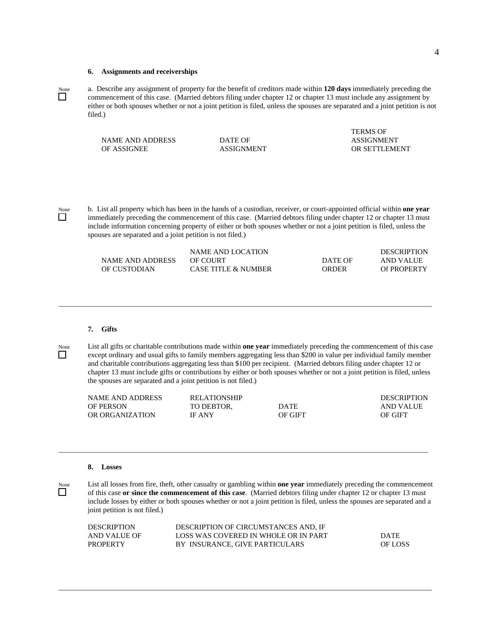#### **6. Assignments and receiverships**

None a. Describe any assignment of property for the benefit of creditors made within **120 days** immediately preceding the commencement of this case. (Married debtors filing under chapter 12 or chapter 13 must include any a commencement of this case. (Married debtors filing under chapter 12 or chapter 13 must include any assignment by either or both spouses whether or not a joint petition is filed, unless the spouses are separated and a joint petition is not filed.)

> NAME AND ADDRESS DATE OF ASSIGNMENT OF ASSIGNEE ASSIGNMENT ASSIGNEE ASSIGNMENT OR SETTLEMENT

TERMS OF

None b. List all property which has been in the hands of a custodian, receiver, or court-appointed official within **one year**<br>Immediately preceding the commencement of this case. (Married debtors filing under chapter 12 or immediately preceding the commencement of this case. (Married debtors filing under chapter 12 or chapter 13 must include information concerning property of either or both spouses whether or not a joint petition is filed, unless the spouses are separated and a joint petition is not filed.)

|                  | <b>NAME AND LOCATION</b> |         | <b>DESCRIPTION</b> |
|------------------|--------------------------|---------|--------------------|
| NAME AND ADDRESS | OF COURT                 | DATE OF | AND VALUE          |
| OF CUSTODIAN     | CASE TITLE & NUMBER      | ORDER   | Of PROPERTY        |

#### **7. Gifts**

None List all gifts or charitable contributions made within **one year** immediately preceding the commencement of this case<br>  $\Box$  except ordinary and usual gifts to family members aggregating less than \$200 in value per in except ordinary and usual gifts to family members aggregating less than \$200 in value per individual family member and charitable contributions aggregating less than \$100 per recipient. (Married debtors filing under chapter 12 or chapter 13 must include gifts or contributions by either or both spouses whether or not a joint petition is filed, unless the spouses are separated and a joint petition is not filed.)

 $\_$  ,  $\_$  ,  $\_$  ,  $\_$  ,  $\_$  ,  $\_$  ,  $\_$  ,  $\_$  ,  $\_$  ,  $\_$  ,  $\_$  ,  $\_$  ,  $\_$  ,  $\_$  ,  $\_$  ,  $\_$  ,  $\_$  ,  $\_$  ,  $\_$  ,  $\_$  ,  $\_$  ,  $\_$  ,  $\_$  ,  $\_$  ,  $\_$  ,  $\_$  ,  $\_$  ,  $\_$  ,  $\_$  ,  $\_$  ,  $\_$  ,  $\_$  ,  $\_$  ,  $\_$  ,  $\_$  ,  $\_$  ,  $\_$  ,

| NAME AND ADDRESS | <b>RELATIONSHIP</b> |                | <b>DESCRIPTION</b> |
|------------------|---------------------|----------------|--------------------|
| OF PERSON        | TO DEBTOR.          | <b>DATE</b>    | AND VALUE          |
| OR ORGANIZATION  | IF ANY              | <b>OF GIFT</b> | OF GIFT            |

#### **8. Losses**

None List all losses from fire, theft, other casualty or gambling within **one year** immediately preceding the commencement of this case or since the commencement of this case. (Married debtors filing under chapter 12 or ch of this case **or since the commencement of this case**. (Married debtors filing under chapter 12 or chapter 13 must include losses by either or both spouses whether or not a joint petition is filed, unless the spouses are separated and a joint petition is not filed.)

\_\_\_\_\_\_\_\_\_\_\_\_\_\_\_\_\_\_\_\_\_\_\_\_\_\_\_\_\_\_\_\_\_\_\_\_\_\_\_\_\_\_\_\_\_\_\_\_\_\_\_\_\_\_\_\_\_\_\_\_\_\_\_\_\_\_\_\_\_\_\_\_\_\_\_\_\_\_\_\_\_\_\_\_\_\_\_\_\_\_\_\_\_\_\_\_\_\_\_\_\_

| DESCRIPTION  | DESCRIPTION OF CIRCUMSTANCES AND. IF |                |
|--------------|--------------------------------------|----------------|
| AND VALUE OF | LOSS WAS COVERED IN WHOLE OR IN PART | <b>DATE</b>    |
| PROPERTY     | BY INSURANCE, GIVE PARTICULARS       | <b>OF LOSS</b> |

\_\_\_\_\_\_\_\_\_\_\_\_\_\_\_\_\_\_\_\_\_\_\_\_\_\_\_\_\_\_\_\_\_\_\_\_\_\_\_\_\_\_\_\_\_\_\_\_\_\_\_\_\_\_\_\_\_\_\_\_\_\_\_\_\_\_\_\_\_\_\_\_\_\_\_\_\_\_\_\_\_\_\_\_\_\_\_\_\_\_\_\_\_\_\_\_\_\_\_\_\_\_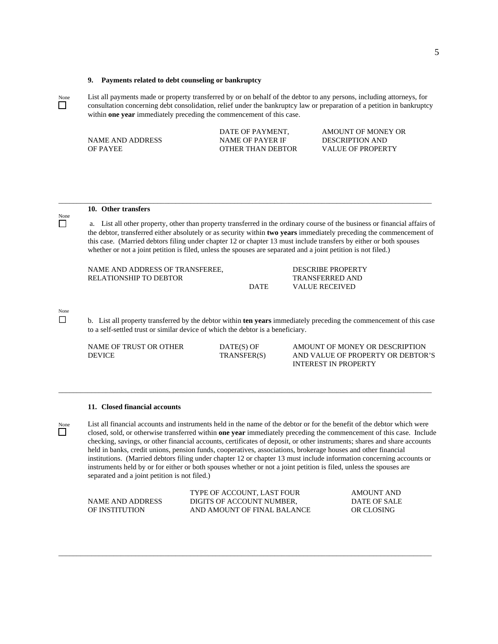#### **9. Payments related to debt counseling or bankruptcy**

None List all payments made or property transferred by or on behalf of the debtor to any persons, including attorneys, for consultation concerning debt consolidation, relief under the bankruptcy law or preparation of a pe consultation concerning debt consolidation, relief under the bankruptcy law or preparation of a petition in bankruptcy within **one year** immediately preceding the commencement of this case.

|                  | DATE OF PAYMENT.  | AMOUNT OF MONEY OR     |
|------------------|-------------------|------------------------|
| NAME AND ADDRESS | NAME OF PAYER IF  | <b>DESCRIPTION AND</b> |
| OF PAYEE         | OTHER THAN DEBTOR | VALUE OF PROPERTY      |

\_\_\_\_\_\_\_\_\_\_\_\_\_\_\_\_\_\_\_\_\_\_\_\_\_\_\_\_\_\_\_\_\_\_\_\_\_\_\_\_\_\_\_\_\_\_\_\_\_\_\_\_\_\_\_\_\_\_\_\_\_\_\_\_\_\_\_\_\_\_\_\_\_\_\_\_\_\_\_\_\_\_\_\_\_\_\_\_\_\_\_\_\_\_\_\_\_\_\_\_\_\_

#### **10. Other transfers**

 a. List all other property, other than property transferred in the ordinary course of the business or financial affairs of the debtor, transferred either absolutely or as security within **two years** immediately preceding the commencement of this case. (Married debtors filing under chapter 12 or chapter 13 must include transfers by either or both spouses whether or not a joint petition is filed, unless the spouses are separated and a joint petition is not filed.)

NAME AND ADDRESS OF TRANSFEREE, DESCRIBE PROPERTY RELATIONSHIP TO DEBTOR TRANSFERRED AND

DATE VALUE RECEIVED

None

None

G b. List all property transferred by the debtor within **ten years** immediately preceding the commencement of this case to a self-settled trust or similar device of which the debtor is a beneficiary.

\_\_\_\_\_\_\_\_\_\_\_\_\_\_\_\_\_\_\_\_\_\_\_\_\_\_\_\_\_\_\_\_\_\_\_\_\_\_\_\_\_\_\_\_\_\_\_\_\_\_\_\_\_\_\_\_\_\_\_\_\_\_\_\_\_\_\_\_\_\_\_\_\_\_\_\_\_\_\_\_\_\_\_\_\_\_\_\_\_\_\_\_\_\_\_\_\_\_\_\_\_\_

NAME OF TRUST OR OTHER DATE(S) OF AMOUNT OF MONEY OR DESCRIPTION DEVICE TRANSFER(S) AND VALUE OF PROPERTY OR DEBTOR'S INTEREST IN PROPERTY

#### **11. Closed financial accounts**

None List all financial accounts and instruments held in the name of the debtor or for the benefit of the debtor which were closed, sold, or otherwise transferred within **one vear** immediately preceding the commencement o closed, sold, or otherwise transferred within **one year** immediately preceding the commencement of this case. Include checking, savings, or other financial accounts, certificates of deposit, or other instruments; shares and share accounts held in banks, credit unions, pension funds, cooperatives, associations, brokerage houses and other financial institutions. (Married debtors filing under chapter 12 or chapter 13 must include information concerning accounts or instruments held by or for either or both spouses whether or not a joint petition is filed, unless the spouses are separated and a joint petition is not filed.)

|                  | TYPE OF ACCOUNT, LAST FOUR  | AMOUNT AND   |
|------------------|-----------------------------|--------------|
| NAME AND ADDRESS | DIGITS OF ACCOUNT NUMBER.   | DATE OF SALE |
| OF INSTITUTION   | AND AMOUNT OF FINAL BALANCE | OR CLOSING   |

 $\_$  ,  $\_$  ,  $\_$  ,  $\_$  ,  $\_$  ,  $\_$  ,  $\_$  ,  $\_$  ,  $\_$  ,  $\_$  ,  $\_$  ,  $\_$  ,  $\_$  ,  $\_$  ,  $\_$  ,  $\_$  ,  $\_$  ,  $\_$  ,  $\_$  ,  $\_$  ,  $\_$  ,  $\_$  ,  $\_$  ,  $\_$  ,  $\_$  ,  $\_$  ,  $\_$  ,  $\_$  ,  $\_$  ,  $\_$  ,  $\_$  ,  $\_$  ,  $\_$  ,  $\_$  ,  $\_$  ,  $\_$  ,  $\_$  ,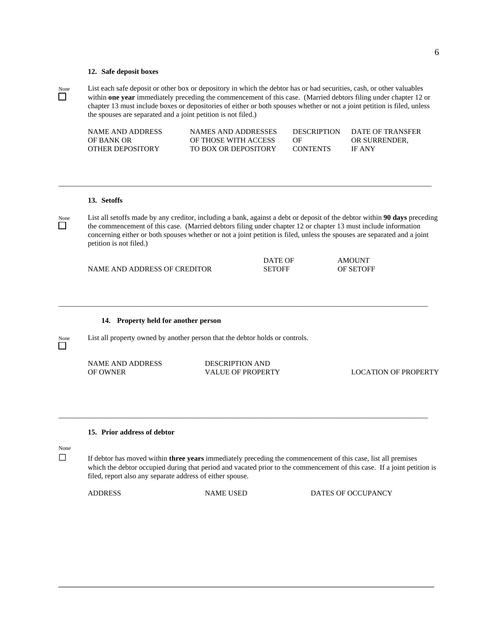#### **12. Safe deposit boxes**

None List each safe deposit or other box or depository in which the debtor has or had securities, cash, or other valuables within **one year** immediately preceding the commencement of this case. (Married debtors filing und within **one year** immediately preceding the commencement of this case. (Married debtors filing under chapter 12 or chapter 13 must include boxes or depositories of either or both spouses whether or not a joint petition is filed, unless the spouses are separated and a joint petition is not filed.)

| NAME AND ADDRESS | NAMES AND ADDRESSES  | <b>DESCRIPTION</b> | DATE OF TRANSFER |
|------------------|----------------------|--------------------|------------------|
| OF BANK OR       | OF THOSE WITH ACCESS |                    | OR SURRENDER,    |
| OTHER DEPOSITORY | TO BOX OR DEPOSITORY | <b>CONTENTS</b>    | <b>IF ANY</b>    |

 $\Box$ 

#### **13. Setoffs**

None List all setoffs made by any creditor, including a bank, against a debt or deposit of the debtor within **90 days** preceding the commencement of this case. (Married debtors filing under chapter 12 or chapter 13 must in the commencement of this case. (Married debtors filing under chapter 12 or chapter 13 must include information concerning either or both spouses whether or not a joint petition is filed, unless the spouses are separated and a joint petition is not filed.)

DATE OF AMOUNT<br>SETOFF OF SETOFF

NAME AND ADDRESS OF CREDITOR

#### **14. Property held for another person**

None List all property owned by another person that the debtor holds or controls.

NAME AND ADDRESS DESCRIPTION AND OF OWNER<br>OF OWNER

 $\_$  ,  $\_$  ,  $\_$  ,  $\_$  ,  $\_$  ,  $\_$  ,  $\_$  ,  $\_$  ,  $\_$  ,  $\_$  ,  $\_$  ,  $\_$  ,  $\_$  ,  $\_$  ,  $\_$  ,  $\_$  ,  $\_$  ,  $\_$  ,  $\_$  ,  $\_$  ,  $\_$  ,  $\_$  ,  $\_$  ,  $\_$  ,  $\_$  ,  $\_$  ,  $\_$  ,  $\_$  ,  $\_$  ,  $\_$  ,  $\_$  ,  $\_$  ,  $\_$  ,  $\_$  ,  $\_$  ,  $\_$  ,  $\_$  ,

 $\_$  ,  $\_$  ,  $\_$  ,  $\_$  ,  $\_$  ,  $\_$  ,  $\_$  ,  $\_$  ,  $\_$  ,  $\_$  ,  $\_$  ,  $\_$  ,  $\_$  ,  $\_$  ,  $\_$  ,  $\_$  ,  $\_$  ,  $\_$  ,  $\_$  ,  $\_$  ,  $\_$  ,  $\_$  ,  $\_$  ,  $\_$  ,  $\_$  ,  $\_$  ,  $\_$  ,  $\_$  ,  $\_$  ,  $\_$  ,  $\_$  ,  $\_$  ,  $\_$  ,  $\_$  ,  $\_$  ,  $\_$  ,  $\_$  ,

LOCATION OF PROPERTY

#### **15. Prior address of debtor**

None

G If debtor has moved within **three years** immediately preceding the commencement of this case, list all premises which the debtor occupied during that period and vacated prior to the commencement of this case. If a joint petition is filed, report also any separate address of either spouse.

\_\_\_\_\_\_\_\_\_\_\_\_\_\_\_\_\_\_\_\_\_\_\_\_\_\_\_\_\_\_\_\_\_\_\_\_\_\_\_\_\_\_\_\_\_\_\_\_\_\_\_\_\_\_\_\_\_\_\_\_\_\_\_\_\_\_\_\_\_\_\_\_\_\_\_\_\_

ADDRESS NAME USED DATES OF OCCUPANCY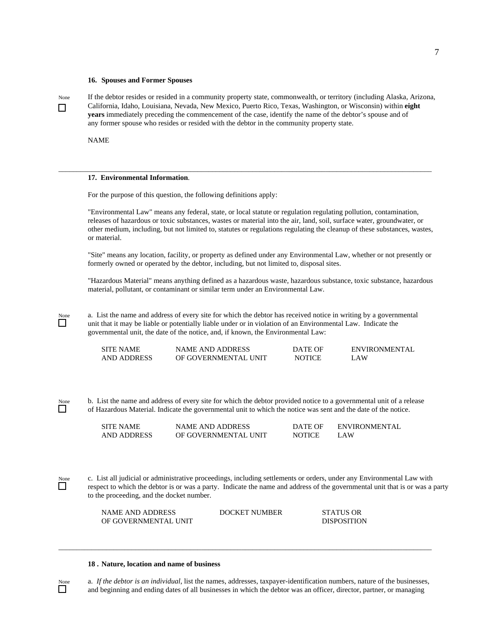#### **16. Spouses and Former Spouses**

 $\Box$ 

None If the debtor resides or resided in a community property state, commonwealth, or territory (including Alaska, Arizona, California, Idaho, Louisiana, Nevada, New Mexico, Puerto Rico, Texas, Washington, or Wisconsin) within **eight years** immediately preceding the commencement of the case, identify the name of the debtor's spouse and of any former spouse who resides or resided with the debtor in the community property state.

\_\_\_\_\_\_\_\_\_\_\_\_\_\_\_\_\_\_\_\_\_\_\_\_\_\_\_\_\_\_\_\_\_\_\_\_\_\_\_\_\_\_\_\_\_\_\_\_\_\_\_\_\_\_\_\_\_\_\_\_\_\_\_\_\_\_\_\_\_\_\_\_\_\_\_\_\_\_\_\_\_\_\_\_\_\_\_\_\_\_\_\_\_\_\_\_\_\_\_\_\_\_

NAME

#### **17. Environmental Information**.

For the purpose of this question, the following definitions apply:

 "Environmental Law" means any federal, state, or local statute or regulation regulating pollution, contamination, releases of hazardous or toxic substances, wastes or material into the air, land, soil, surface water, groundwater, or other medium, including, but not limited to, statutes or regulations regulating the cleanup of these substances, wastes, or material.

"Site" means any location, facility, or property as defined under any Environmental Law, whether or not presently or formerly owned or operated by the debtor, including, but not limited to, disposal sites.

"Hazardous Material" means anything defined as a hazardous waste, hazardous substance, toxic substance, hazardous material, pollutant, or contaminant or similar term under an Environmental Law.

None a. List the name and address of every site for which the debtor has received notice in writing by a governmental unit that it may be liable or potentially liable under or in violation of an Environmental Law. Indicat unit that it may be liable or potentially liable under or in violation of an Environmental Law. Indicate the governmental unit, the date of the notice, and, if known, the Environmental Law:

| <b>SITE NAME</b> | NAME AND ADDRESS     | DATE OF       | <b>ENVIRONMENTAL</b> |
|------------------|----------------------|---------------|----------------------|
| AND ADDRESS      | OF GOVERNMENTAL UNIT | <b>NOTICE</b> | LAW                  |

None b. List the name and address of every site for which the debtor provided notice to a governmental unit of a release of Hazardous Material. Indicate the governmental unit to which the notice was sent and the date of t of Hazardous Material. Indicate the governmental unit to which the notice was sent and the date of the notice.

| SITE NAME   | NAME AND ADDRESS     | DATE OF       | <b>ENVIRONMENTAL</b> |
|-------------|----------------------|---------------|----------------------|
| AND ADDRESS | OF GOVERNMENTAL UNIT | <b>NOTICE</b> | LAW                  |

None c. List all judicial or administrative proceedings, including settlements or orders, under any Environmental Law with respect to which the debtor is or was a party. Indicate the name and address of the governmental u respect to which the debtor is or was a party. Indicate the name and address of the governmental unit that is or was a party to the proceeding, and the docket number.

| NAME AND ADDRESS     | <b>DOCKET NUMBER</b> | <b>STATUS OR</b>   |
|----------------------|----------------------|--------------------|
| OF GOVERNMENTAL UNIT |                      | <b>DISPOSITION</b> |

\_\_\_\_\_\_\_\_\_\_\_\_\_\_\_\_\_\_\_\_\_\_\_\_\_\_\_\_\_\_\_\_\_\_\_\_\_\_\_\_\_\_\_\_\_\_\_\_\_\_\_\_\_\_\_\_\_\_\_\_\_\_\_\_\_\_\_\_\_\_\_\_\_\_\_\_\_\_\_\_\_\_\_\_\_\_\_\_\_\_\_\_\_\_\_\_\_\_\_\_\_\_

#### **18 . Nature, location and name of business**

None a. *If the debtor is an individual*, list the names, addresses, taxpayer-identification numbers, nature of the businesses, and beginning and ending dates of all businesses in which the debtor was an officer, director and beginning and ending dates of all businesses in which the debtor was an officer, director, partner, or managing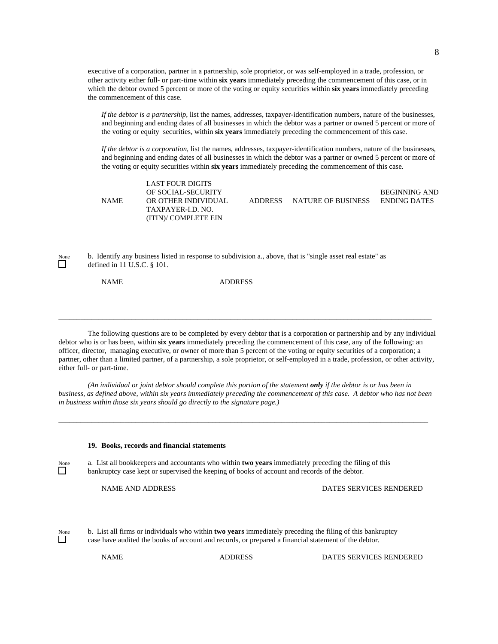executive of a corporation, partner in a partnership, sole proprietor, or was self-employed in a trade, profession, or other activity either full- or part-time within **six years** immediately preceding the commencement of this case, or in which the debtor owned 5 percent or more of the voting or equity securities within **six years** immediately preceding the commencement of this case.

*If the debtor is a partnership*, list the names, addresses, taxpayer-identification numbers, nature of the businesses, and beginning and ending dates of all businesses in which the debtor was a partner or owned 5 percent or more of the voting or equity securities, within **six years** immediately preceding the commencement of this case.

*If the debtor is a corporation*, list the names, addresses, taxpayer-identification numbers, nature of the businesses, and beginning and ending dates of all businesses in which the debtor was a partner or owned 5 percent or more of the voting or equity securities within **six years** immediately preceding the commencement of this case.

LAST FOUR DIGITS OF SOCIAL-SECURITY BEGINNING AND NAME OR OTHER INDIVIDUAL ADDRESS NATURE OF BUSINESS ENDING DATES TAXPAYER-I.D. NO. (ITIN)/ COMPLETE EIN

None b. Identify any business listed in response to subdivision a., above, that is "single asset real estate" as defined in 11 U.S.C.  $\frac{8}{101}$ . defined in 11 U.S.C. § 101.

NAME ADDRESS

The following questions are to be completed by every debtor that is a corporation or partnership and by any individual debtor who is or has been, within **six years** immediately preceding the commencement of this case, any of the following: an officer, director, managing executive, or owner of more than 5 percent of the voting or equity securities of a corporation; a partner, other than a limited partner, of a partnership, a sole proprietor, or self-employed in a trade, profession, or other activity, either full- or part-time.

 $\_$  ,  $\_$  ,  $\_$  ,  $\_$  ,  $\_$  ,  $\_$  ,  $\_$  ,  $\_$  ,  $\_$  ,  $\_$  ,  $\_$  ,  $\_$  ,  $\_$  ,  $\_$  ,  $\_$  ,  $\_$  ,  $\_$  ,  $\_$  ,  $\_$  ,  $\_$  ,  $\_$  ,  $\_$  ,  $\_$  ,  $\_$  ,  $\_$  ,  $\_$  ,  $\_$  ,  $\_$  ,  $\_$  ,  $\_$  ,  $\_$  ,  $\_$  ,  $\_$  ,  $\_$  ,  $\_$  ,  $\_$  ,  $\_$  ,

*(An individual or joint debtor should complete this portion of the statement only if the debtor is or has been in business, as defined above, within six years immediately preceding the commencement of this case. A debtor who has not been in business within those six years should go directly to the signature page.)*

 $\_$  ,  $\_$  ,  $\_$  ,  $\_$  ,  $\_$  ,  $\_$  ,  $\_$  ,  $\_$  ,  $\_$  ,  $\_$  ,  $\_$  ,  $\_$  ,  $\_$  ,  $\_$  ,  $\_$  ,  $\_$  ,  $\_$  ,  $\_$  ,  $\_$  ,  $\_$  ,  $\_$  ,  $\_$  ,  $\_$  ,  $\_$  ,  $\_$  ,  $\_$  ,  $\_$  ,  $\_$  ,  $\_$  ,  $\_$  ,  $\_$  ,  $\_$  ,  $\_$  ,  $\_$  ,  $\_$  ,  $\_$  ,  $\_$  ,

#### **19. Books, records and financial statements**

None a. List all bookkeepers and accountants who within **two years** immediately preceding the filing of this bankruptcy case kept or supervised the keeping of books of account and records of the debtor. bankruptcy case kept or supervised the keeping of books of account and records of the debtor.

NAME AND ADDRESS DATES SERVICES RENDERED

None b. List all firms or individuals who within **two years** immediately preceding the filing of this bankruptcy case have andited the books of account and records or prepared a financial statement of the debtor case have audited the books of account and records, or prepared a financial statement of the debtor.

NAME ADDRESS DATES SERVICES RENDERED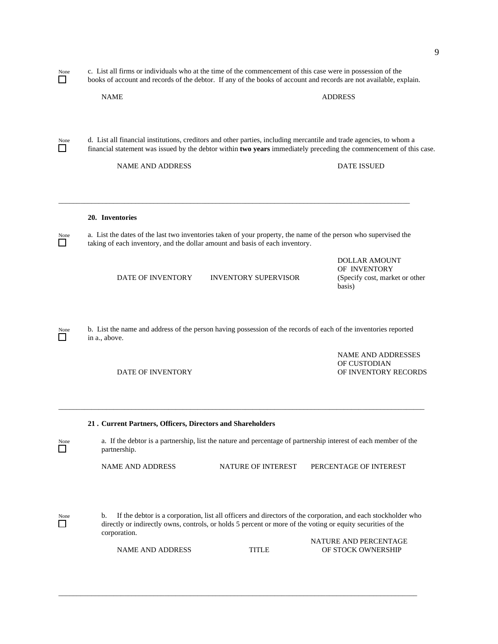None c. List all firms or individuals who at the time of the commencement of this case were in possession of the books of account and records of the debtor. If any of the books of account and records are not available, ex books of account and records of the debtor. If any of the books of account and records are not available, explain.

NAME ADDRESS

None d. List all financial institutions, creditors and other parties, including mercantile and trade agencies, to whom a<br>  $\Box$  financial statement was issued by the debtor within **two vears** immediately preceding the comm financial statement was issued by the debtor within **two years** immediately preceding the commencement of this case.

NAME AND ADDRESS DATE ISSUED

#### **20. Inventories**

None a. List the dates of the last two inventories taken of your property, the name of the person who supervised the taking of each inventory, and the dollar amount and basis of each inventory. taking of each inventory, and the dollar amount and basis of each inventory.

 $\_$  ,  $\_$  ,  $\_$  ,  $\_$  ,  $\_$  ,  $\_$  ,  $\_$  ,  $\_$  ,  $\_$  ,  $\_$  ,  $\_$  ,  $\_$  ,  $\_$  ,  $\_$  ,  $\_$  ,  $\_$  ,  $\_$  ,  $\_$  ,  $\_$  ,  $\_$  ,  $\_$  ,  $\_$  ,  $\_$  ,  $\_$  ,  $\_$  ,  $\_$  ,  $\_$  ,  $\_$  ,  $\_$  ,  $\_$  ,  $\_$  ,  $\_$  ,  $\_$  ,  $\_$  ,  $\_$  ,  $\_$  ,  $\_$  ,

 DOLLAR AMOUNT OF INVENTORY DATE OF INVENTORY INVENTORY SUPERVISOR (Specify cost, market or other basis)

None b. List the name and address of the person having possession of the records of each of the inventories reported in a., above. in a., above.

\_\_\_\_\_\_\_\_\_\_\_\_\_\_\_\_\_\_\_\_\_\_\_\_\_\_\_\_\_\_\_\_\_\_\_\_\_\_\_\_\_\_\_\_\_\_\_\_\_\_\_\_\_\_\_\_\_\_\_\_\_\_\_\_\_\_\_\_\_\_\_\_\_\_\_\_\_\_\_\_\_\_\_\_\_\_\_\_\_\_\_\_\_\_\_\_\_\_\_\_

#### NAME AND ADDRESSES OF CUSTODIAN DATE OF INVENTORY **OF INVENTORY** OF INVENTORY RECORDS

**21 . Current Partners, Officers, Directors and Shareholders**

None a. If the debtor is a partnership, list the nature and percentage of partnership interest of each member of the partnership. partnership.

NAME AND ADDRESS NATURE OF INTEREST PERCENTAGE OF INTEREST

None b. If the debtor is a corporation, list all officers and directors of the corporation, and each stockholder who directly or indirectly owns, controls, or holds 5 percent or more of the voting or equity securities of t directly or indirectly owns, controls, or holds 5 percent or more of the voting or equity securities of the corporation.

 $\_$  ,  $\_$  ,  $\_$  ,  $\_$  ,  $\_$  ,  $\_$  ,  $\_$  ,  $\_$  ,  $\_$  ,  $\_$  ,  $\_$  ,  $\_$  ,  $\_$  ,  $\_$  ,  $\_$  ,  $\_$  ,  $\_$  ,  $\_$  ,  $\_$  ,  $\_$  ,  $\_$  ,  $\_$  ,  $\_$  ,  $\_$  ,  $\_$  ,  $\_$  ,  $\_$  ,  $\_$  ,  $\_$  ,  $\_$  ,  $\_$  ,  $\_$  ,  $\_$  ,  $\_$  ,  $\_$  ,  $\_$  ,  $\_$  ,

NATURE AND PERCENTAGE NAME AND ADDRESS TITLE OF STOCK OWNERSHIP

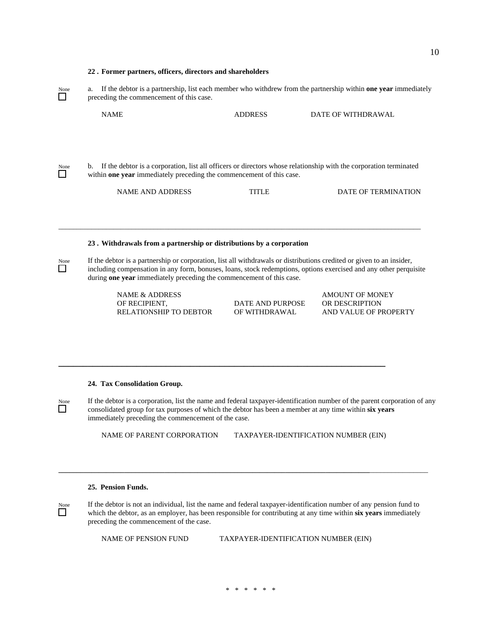|      | 22. Former partners, officers, directors and shareholders                                                                                                               |                |                                                                                                                   |
|------|-------------------------------------------------------------------------------------------------------------------------------------------------------------------------|----------------|-------------------------------------------------------------------------------------------------------------------|
| None | If the debtor is a partnership, list each member who withdrew from the partnership within <b>one year</b> immediately<br>a.<br>preceding the commencement of this case. |                |                                                                                                                   |
|      | <b>NAME</b>                                                                                                                                                             | <b>ADDRESS</b> | <b>DATE OF WITHDRAWAL</b>                                                                                         |
|      |                                                                                                                                                                         |                |                                                                                                                   |
|      |                                                                                                                                                                         |                |                                                                                                                   |
| None | b.<br>within one year immediately preceding the commencement of this case.                                                                                              |                | If the debtor is a corporation, list all officers or directors whose relationship with the corporation terminated |
|      | <b>NAME AND ADDRESS</b>                                                                                                                                                 | TITLE          | <b>DATE OF TERMINATION</b>                                                                                        |
|      |                                                                                                                                                                         |                |                                                                                                                   |
|      |                                                                                                                                                                         |                |                                                                                                                   |

#### **23 . Withdrawals from a partnership or distributions by a corporation**

None If the debtor is a partnership or corporation, list all withdrawals or distributions credited or given to an insider, including compensation in any form, bonuses, loans, stock redemptions, options exercised and any o including compensation in any form, bonuses, loans, stock redemptions, options exercised and any other perquisite during **one year** immediately preceding the commencement of this case.

> NAME & ADDRESS AMOUNT OF MONEY OF RECIPIENT, DATE AND PURPOSE OR DESCRIPTION RELATIONSHIP TO DEBTOR OF WITHDRAWAL

DATE AND PURPOSE OR DESCRIPTION<br>OF WITHDRAWAL AND VALUE OF PROPERTY

#### **24. Tax Consolidation Group.**

None If the debtor is a corporation, list the name and federal taxpayer-identification number of the parent corporation of any consolidated group for tax purposes of which the debtor has been a member at any time within s consolidated group for tax purposes of which the debtor has been a member at any time within **six years** immediately preceding the commencement of the case.

NAME OF PARENT CORPORATION TAXPAYER-IDENTIFICATION NUMBER (EIN)

**\_\_\_\_\_\_\_\_\_\_\_\_\_\_\_\_\_\_\_\_\_\_\_\_\_\_\_\_\_\_\_\_\_\_\_\_\_\_\_\_\_\_\_\_\_\_\_\_\_\_\_\_\_\_\_\_\_\_\_\_\_\_\_\_\_\_\_\_\_\_\_\_\_\_\_\_\_\_\_\_\_\_\_\_\_**\_\_\_\_\_\_\_\_\_\_\_\_\_\_\_\_

**\_\_\_\_\_\_\_\_\_\_\_\_\_\_\_\_\_\_\_\_\_\_\_\_\_\_\_\_\_\_\_\_\_\_\_\_\_\_\_\_\_\_\_\_\_\_\_\_\_\_\_\_\_\_\_\_\_\_\_\_\_\_\_\_\_\_\_**

#### **25. Pension Funds.**

None If the debtor is not an individual, list the name and federal taxpayer-identification number of any pension fund to which the debtor, as an employer, has been responsible for contributing at any time within **six year**  which the debtor, as an employer, has been responsible for contributing at any time within **six years** immediately preceding the commencement of the case.

NAME OF PENSION FUND TAXPAYER-IDENTIFICATION NUMBER (EIN)

\* \* \* \* \* \*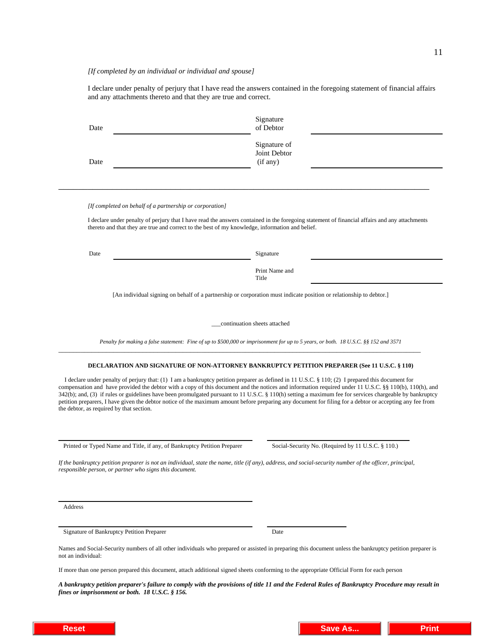#### *[If completed by an individual or individual and spouse]*

I declare under penalty of perjury that I have read the answers contained in the foregoing statement of financial affairs and any attachments thereto and that they are true and correct.

| Date                                                                                                                                                                                                                                                                                                                                                                                                                                                                                                                                                                                                                                                                           | Signature<br>of Debtor                                                                                                                                                                                                                           |                                                    |
|--------------------------------------------------------------------------------------------------------------------------------------------------------------------------------------------------------------------------------------------------------------------------------------------------------------------------------------------------------------------------------------------------------------------------------------------------------------------------------------------------------------------------------------------------------------------------------------------------------------------------------------------------------------------------------|--------------------------------------------------------------------------------------------------------------------------------------------------------------------------------------------------------------------------------------------------|----------------------------------------------------|
| Date                                                                                                                                                                                                                                                                                                                                                                                                                                                                                                                                                                                                                                                                           | Signature of<br>Joint Debtor<br>(if any)                                                                                                                                                                                                         |                                                    |
|                                                                                                                                                                                                                                                                                                                                                                                                                                                                                                                                                                                                                                                                                |                                                                                                                                                                                                                                                  |                                                    |
| [If completed on behalf of a partnership or corporation]                                                                                                                                                                                                                                                                                                                                                                                                                                                                                                                                                                                                                       |                                                                                                                                                                                                                                                  |                                                    |
|                                                                                                                                                                                                                                                                                                                                                                                                                                                                                                                                                                                                                                                                                | I declare under penalty of perjury that I have read the answers contained in the foregoing statement of financial affairs and any attachments<br>thereto and that they are true and correct to the best of my knowledge, information and belief. |                                                    |
| Date                                                                                                                                                                                                                                                                                                                                                                                                                                                                                                                                                                                                                                                                           | Signature                                                                                                                                                                                                                                        |                                                    |
|                                                                                                                                                                                                                                                                                                                                                                                                                                                                                                                                                                                                                                                                                | Print Name and<br>Title                                                                                                                                                                                                                          |                                                    |
|                                                                                                                                                                                                                                                                                                                                                                                                                                                                                                                                                                                                                                                                                | [An individual signing on behalf of a partnership or corporation must indicate position or relationship to debtor.]                                                                                                                              |                                                    |
|                                                                                                                                                                                                                                                                                                                                                                                                                                                                                                                                                                                                                                                                                | continuation sheets attached                                                                                                                                                                                                                     |                                                    |
|                                                                                                                                                                                                                                                                                                                                                                                                                                                                                                                                                                                                                                                                                | Penalty for making a false statement: Fine of up to \$500,000 or imprisonment for up to 5 years, or both. 18 U.S.C. §§ 152 and 3571                                                                                                              |                                                    |
|                                                                                                                                                                                                                                                                                                                                                                                                                                                                                                                                                                                                                                                                                | DECLARATION AND SIGNATURE OF NON-ATTORNEY BANKRUPTCY PETITION PREPARER (See 11 U.S.C. § 110)                                                                                                                                                     |                                                    |
| I declare under penalty of perjury that: (1) I am a bankruptcy petition preparer as defined in 11 U.S.C. § 110; (2) I prepared this document for<br>compensation and have provided the debtor with a copy of this document and the notices and information required under 11 U.S.C. §§ 110(b), 110(h), and<br>342(b); and, (3) if rules or guidelines have been promulgated pursuant to 11 U.S.C. § 110(h) setting a maximum fee for services chargeable by bankruptcy<br>petition preparers. I have given the debtor notice of the maximum amount before preparing any document for filing for a debtor or accepting any fee from<br>the debtor, as required by that section. |                                                                                                                                                                                                                                                  |                                                    |
| Printed or Typed Name and Title, if any, of Bankruptcy Petition Preparer                                                                                                                                                                                                                                                                                                                                                                                                                                                                                                                                                                                                       |                                                                                                                                                                                                                                                  | Social-Security No. (Required by 11 U.S.C. § 110.) |
| If the bankruptcy petition preparer is not an individual, state the name, title (if any), address, and social-security number of the officer, principal,                                                                                                                                                                                                                                                                                                                                                                                                                                                                                                                       |                                                                                                                                                                                                                                                  |                                                    |

*responsible person, or partner who signs this document.*

Address

Signature of Bankruptcy Petition Preparer Date

Names and Social-Security numbers of all other individuals who prepared or assisted in preparing this document unless the bankruptcy petition preparer is not an individual:

If more than one person prepared this document, attach additional signed sheets conforming to the appropriate Official Form for each person

*A bankruptcy petition preparer's failure to comply with the provisions of title 11 and the Federal Rules of Bankruptcy Procedure may result in fines or imprisonment or both. 18 U.S.C. § 156.*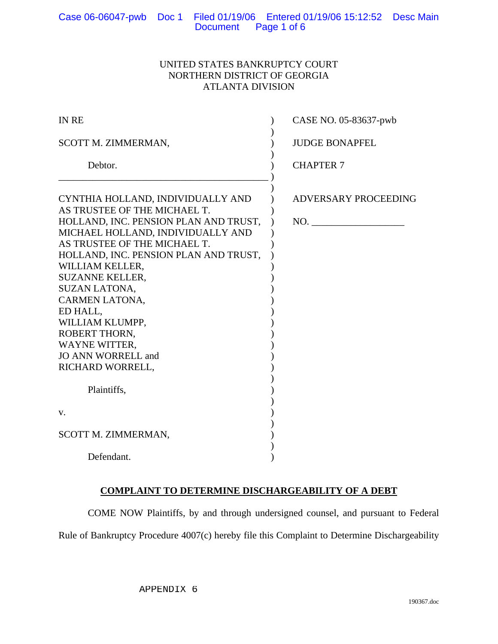# UNITED STATES BANKRUPTCY COURT NORTHERN DISTRICT OF GEORGIA ATLANTA DIVISION

| <b>IN RE</b>                                                      | CASE NO. 05-83637-pwb |
|-------------------------------------------------------------------|-----------------------|
| SCOTT M. ZIMMERMAN,                                               | <b>JUDGE BONAPFEL</b> |
| Debtor.                                                           | <b>CHAPTER 7</b>      |
| CYNTHIA HOLLAND, INDIVIDUALLY AND<br>AS TRUSTEE OF THE MICHAEL T. | ADVERSARY PROCEEDING  |
| HOLLAND, INC. PENSION PLAN AND TRUST,                             | NO.                   |
| MICHAEL HOLLAND, INDIVIDUALLY AND<br>AS TRUSTEE OF THE MICHAEL T. |                       |
| HOLLAND, INC. PENSION PLAN AND TRUST,                             |                       |
| WILLIAM KELLER,<br><b>SUZANNE KELLER,</b>                         |                       |
| <b>SUZAN LATONA,</b>                                              |                       |
| <b>CARMEN LATONA,</b>                                             |                       |
| ED HALL,                                                          |                       |
| WILLIAM KLUMPP,                                                   |                       |
| ROBERT THORN,                                                     |                       |
| WAYNE WITTER,                                                     |                       |
| <b>JO ANN WORRELL and</b>                                         |                       |
| RICHARD WORRELL,                                                  |                       |
| Plaintiffs,                                                       |                       |
| V.                                                                |                       |
| SCOTT M. ZIMMERMAN,                                               |                       |
| Defendant.                                                        |                       |

# **COMPLAINT TO DETERMINE DISCHARGEABILITY OF A DEBT**

 COME NOW Plaintiffs, by and through undersigned counsel, and pursuant to Federal Rule of Bankruptcy Procedure 4007(c) hereby file this Complaint to Determine Dischargeability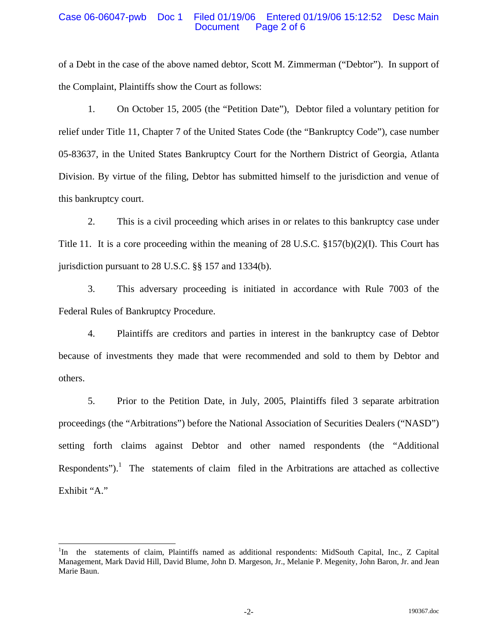# Case 06-06047-pwb Doc 1 Filed 01/19/06 Entered 01/19/06 15:12:52 Desc Main Page 2 of 6

of a Debt in the case of the above named debtor, Scott M. Zimmerman ("Debtor"). In support of the Complaint, Plaintiffs show the Court as follows:

1. On October 15, 2005 (the "Petition Date"), Debtor filed a voluntary petition for relief under Title 11, Chapter 7 of the United States Code (the "Bankruptcy Code"), case number 05-83637, in the United States Bankruptcy Court for the Northern District of Georgia, Atlanta Division. By virtue of the filing, Debtor has submitted himself to the jurisdiction and venue of this bankruptcy court.

2. This is a civil proceeding which arises in or relates to this bankruptcy case under Title 11. It is a core proceeding within the meaning of 28 U.S.C.  $\S 157(b)(2)(I)$ . This Court has jurisdiction pursuant to 28 U.S.C. §§ 157 and 1334(b).

3. This adversary proceeding is initiated in accordance with Rule 7003 of the Federal Rules of Bankruptcy Procedure.

4. Plaintiffs are creditors and parties in interest in the bankruptcy case of Debtor because of investments they made that were recommended and sold to them by Debtor and others.

5. Prior to the Petition Date, in July, 2005, Plaintiffs filed 3 separate arbitration proceedings (the "Arbitrations") before the National Association of Securities Dealers ("NASD") setting forth claims against Debtor and other named respondents (the "Additional Respondents").<sup>1</sup> The statements of claim filed in the Arbitrations are attached as collective Exhibit "A."

l

<sup>&</sup>lt;sup>1</sup>In the statements of claim, Plaintiffs named as additional respondents: MidSouth Capital, Inc., Z Capital Management, Mark David Hill, David Blume, John D. Margeson, Jr., Melanie P. Megenity, John Baron, Jr. and Jean Marie Baun.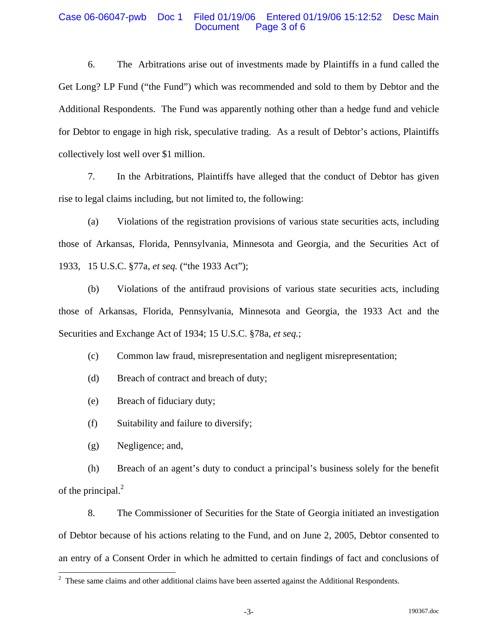# Case 06-06047-pwb Doc 1 Filed 01/19/06 Entered 01/19/06 15:12:52 Desc Main Page 3 of 6

6. The Arbitrations arise out of investments made by Plaintiffs in a fund called the Get Long? LP Fund ("the Fund") which was recommended and sold to them by Debtor and the Additional Respondents. The Fund was apparently nothing other than a hedge fund and vehicle for Debtor to engage in high risk, speculative trading. As a result of Debtor's actions, Plaintiffs collectively lost well over \$1 million.

7. In the Arbitrations, Plaintiffs have alleged that the conduct of Debtor has given rise to legal claims including, but not limited to, the following:

 (a) Violations of the registration provisions of various state securities acts, including those of Arkansas, Florida, Pennsylvania, Minnesota and Georgia, and the Securities Act of 1933, 15 U.S.C. §77a, *et seq.* ("the 1933 Act");

 (b) Violations of the antifraud provisions of various state securities acts, including those of Arkansas, Florida, Pennsylvania, Minnesota and Georgia, the 1933 Act and the Securities and Exchange Act of 1934; 15 U.S.C. §78a, *et seq.*;

(c) Common law fraud, misrepresentation and negligent misrepresentation;

(d) Breach of contract and breach of duty;

(e) Breach of fiduciary duty;

(f) Suitability and failure to diversify;

(g) Negligence; and,

 $\overline{a}$ 

 (h) Breach of an agent's duty to conduct a principal's business solely for the benefit of the principal. $^{2}$ 

8. The Commissioner of Securities for the State of Georgia initiated an investigation of Debtor because of his actions relating to the Fund, and on June 2, 2005, Debtor consented to an entry of a Consent Order in which he admitted to certain findings of fact and conclusions of

 $2$  These same claims and other additional claims have been asserted against the Additional Respondents.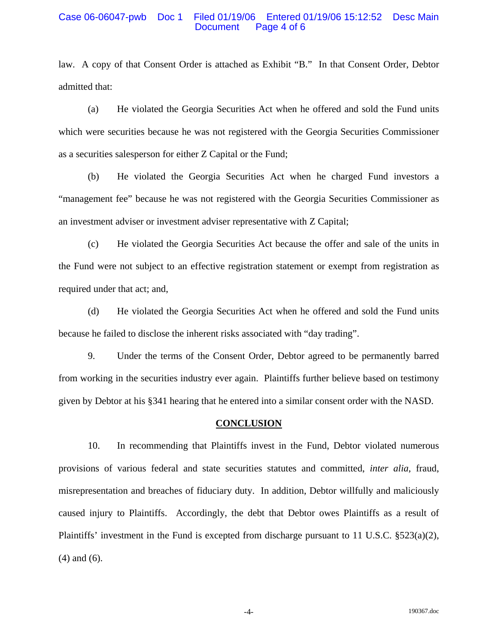# Case 06-06047-pwb Doc 1 Filed 01/19/06 Entered 01/19/06 15:12:52 Desc Main Page 4 of 6

law. A copy of that Consent Order is attached as Exhibit "B." In that Consent Order, Debtor admitted that:

(a) He violated the Georgia Securities Act when he offered and sold the Fund units which were securities because he was not registered with the Georgia Securities Commissioner as a securities salesperson for either Z Capital or the Fund;

 (b) He violated the Georgia Securities Act when he charged Fund investors a "management fee" because he was not registered with the Georgia Securities Commissioner as an investment adviser or investment adviser representative with Z Capital;

 (c) He violated the Georgia Securities Act because the offer and sale of the units in the Fund were not subject to an effective registration statement or exempt from registration as required under that act; and,

 (d) He violated the Georgia Securities Act when he offered and sold the Fund units because he failed to disclose the inherent risks associated with "day trading".

9. Under the terms of the Consent Order, Debtor agreed to be permanently barred from working in the securities industry ever again. Plaintiffs further believe based on testimony given by Debtor at his §341 hearing that he entered into a similar consent order with the NASD.

# **CONCLUSION**

10. In recommending that Plaintiffs invest in the Fund, Debtor violated numerous provisions of various federal and state securities statutes and committed, *inter alia*, fraud, misrepresentation and breaches of fiduciary duty. In addition, Debtor willfully and maliciously caused injury to Plaintiffs. Accordingly, the debt that Debtor owes Plaintiffs as a result of Plaintiffs' investment in the Fund is excepted from discharge pursuant to 11 U.S.C. §523(a)(2), (4) and (6).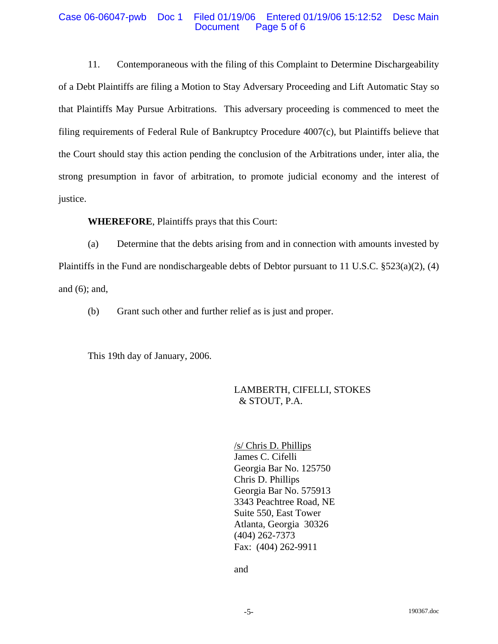# Case 06-06047-pwb Doc 1 Filed 01/19/06 Entered 01/19/06 15:12:52 Desc Main Page 5 of 6

11. Contemporaneous with the filing of this Complaint to Determine Dischargeability of a Debt Plaintiffs are filing a Motion to Stay Adversary Proceeding and Lift Automatic Stay so that Plaintiffs May Pursue Arbitrations. This adversary proceeding is commenced to meet the filing requirements of Federal Rule of Bankruptcy Procedure 4007(c), but Plaintiffs believe that the Court should stay this action pending the conclusion of the Arbitrations under, inter alia, the strong presumption in favor of arbitration, to promote judicial economy and the interest of justice.

**WHEREFORE**, Plaintiffs prays that this Court:

 (a) Determine that the debts arising from and in connection with amounts invested by Plaintiffs in the Fund are nondischargeable debts of Debtor pursuant to 11 U.S.C. §523(a)(2), (4) and (6); and,

(b) Grant such other and further relief as is just and proper.

This 19th day of January, 2006.

# LAMBERTH, CIFELLI, STOKES & STOUT, P.A.

 /s/ Chris D. Phillips James C. Cifelli Georgia Bar No. 125750 Chris D. Phillips Georgia Bar No. 575913 3343 Peachtree Road, NE Suite 550, East Tower Atlanta, Georgia 30326 (404) 262-7373 Fax: (404) 262-9911

and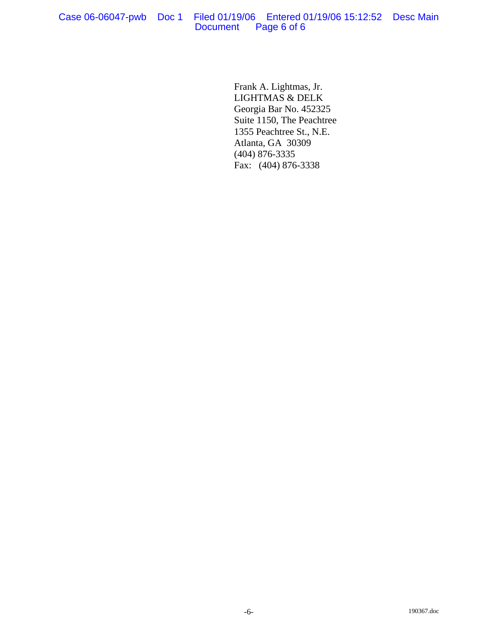Frank A. Lightmas, Jr. LIGHTMAS & DELK Georgia Bar No. 452325 Suite 1150, The Peachtree 1355 Peachtree St., N.E. Atlanta, GA 30309 (404) 876-3335 Fax: (404) 876-3338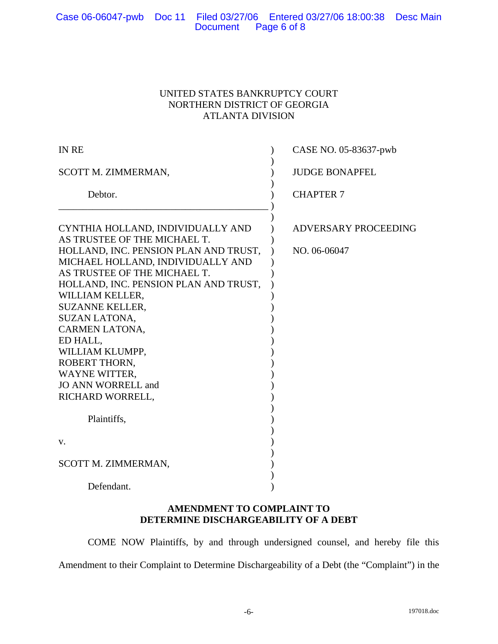|  |                      | Case 06-06047-pwb Doc 11 Filed 03/27/06 Entered 03/27/06 18:00:38 Desc Main |  |
|--|----------------------|-----------------------------------------------------------------------------|--|
|  | Document Page 6 of 8 |                                                                             |  |

# UNITED STATES BANKRUPTCY COURT NORTHERN DISTRICT OF GEORGIA ATLANTA DIVISION

| <b>IN RE</b>                                                                                               | CASE NO. 05-83637-pwb                |
|------------------------------------------------------------------------------------------------------------|--------------------------------------|
| SCOTT M. ZIMMERMAN,                                                                                        | <b>JUDGE BONAPFEL</b>                |
| Debtor.                                                                                                    | <b>CHAPTER 7</b>                     |
| CYNTHIA HOLLAND, INDIVIDUALLY AND<br>AS TRUSTEE OF THE MICHAEL T.<br>HOLLAND, INC. PENSION PLAN AND TRUST, | ADVERSARY PROCEEDING<br>NO. 06-06047 |
| MICHAEL HOLLAND, INDIVIDUALLY AND<br>AS TRUSTEE OF THE MICHAEL T.                                          |                                      |
| HOLLAND, INC. PENSION PLAN AND TRUST,<br>WILLIAM KELLER,<br><b>SUZANNE KELLER,</b>                         |                                      |
| <b>SUZAN LATONA,</b><br><b>CARMEN LATONA,</b>                                                              |                                      |
| ED HALL,<br>WILLIAM KLUMPP,<br>ROBERT THORN,                                                               |                                      |
| WAYNE WITTER,<br><b>JO ANN WORRELL and</b>                                                                 |                                      |
| RICHARD WORRELL,                                                                                           |                                      |
| Plaintiffs,                                                                                                |                                      |
| v.                                                                                                         |                                      |
| SCOTT M. ZIMMERMAN,                                                                                        |                                      |
| Defendant.                                                                                                 |                                      |

# **AMENDMENT TO COMPLAINT TO DETERMINE DISCHARGEABILITY OF A DEBT**

COME NOW Plaintiffs, by and through undersigned counsel, and hereby file this Amendment to their Complaint to Determine Dischargeability of a Debt (the "Complaint") in the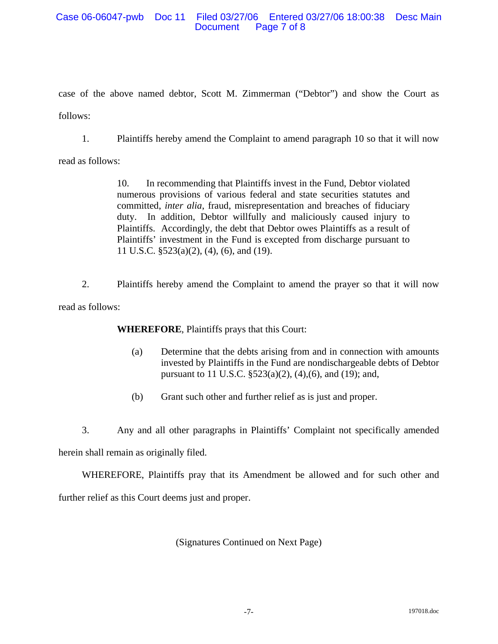case of the above named debtor, Scott M. Zimmerman ("Debtor") and show the Court as follows:

1. Plaintiffs hereby amend the Complaint to amend paragraph 10 so that it will now

read as follows:

10. In recommending that Plaintiffs invest in the Fund, Debtor violated numerous provisions of various federal and state securities statutes and committed, *inter alia*, fraud, misrepresentation and breaches of fiduciary duty. In addition, Debtor willfully and maliciously caused injury to Plaintiffs. Accordingly, the debt that Debtor owes Plaintiffs as a result of Plaintiffs' investment in the Fund is excepted from discharge pursuant to 11 U.S.C. §523(a)(2), (4), (6), and (19).

2. Plaintiffs hereby amend the Complaint to amend the prayer so that it will now read as follows:

**WHEREFORE**, Plaintiffs prays that this Court:

- (a) Determine that the debts arising from and in connection with amounts invested by Plaintiffs in the Fund are nondischargeable debts of Debtor pursuant to 11 U.S.C. §523(a)(2), (4),(6), and (19); and,
- (b) Grant such other and further relief as is just and proper.

3. Any and all other paragraphs in Plaintiffs' Complaint not specifically amended herein shall remain as originally filed.

WHEREFORE, Plaintiffs pray that its Amendment be allowed and for such other and further relief as this Court deems just and proper.

(Signatures Continued on Next Page)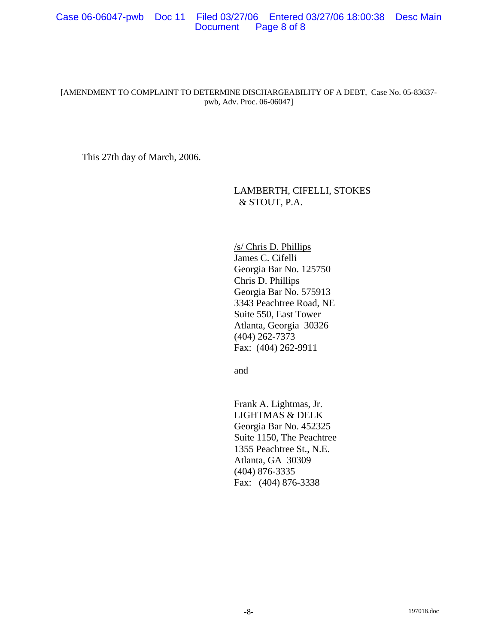# [AMENDMENT TO COMPLAINT TO DETERMINE DISCHARGEABILITY OF A DEBT, Case No. 05-83637 pwb, Adv. Proc. 06-06047]

This 27th day of March, 2006.

# LAMBERTH, CIFELLI, STOKES & STOUT, P.A.

 /s/ Chris D. Phillips James C. Cifelli Georgia Bar No. 125750 Chris D. Phillips Georgia Bar No. 575913 3343 Peachtree Road, NE Suite 550, East Tower Atlanta, Georgia 30326 (404) 262-7373 Fax: (404) 262-9911

and

 Frank A. Lightmas, Jr. LIGHTMAS & DELK Georgia Bar No. 452325 Suite 1150, The Peachtree 1355 Peachtree St., N.E. Atlanta, GA 30309 (404) 876-3335 Fax: (404) 876-3338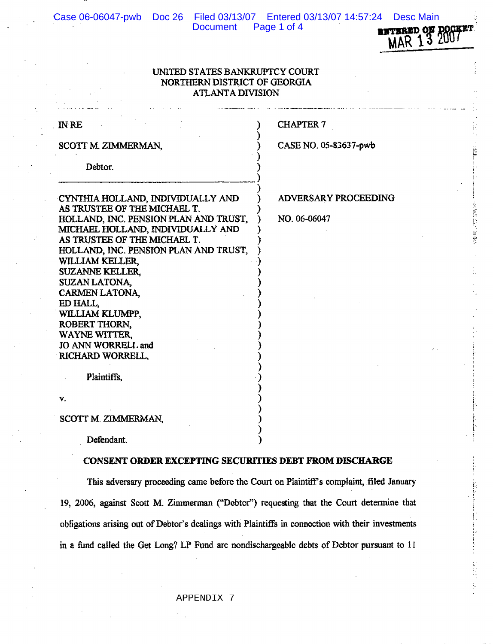Case 06-06047-pwb Doc 26 Filed 03/13/07 Entered 03/13/07 14:57:24 Desc Main<br>Document Page 1 of 4 **ENTERED ON DOCKET**<br>MAR 1 3 2007 Page 1 of 4 UNITED STATES BANKRUPTCY COURT NORTHERN DISTRICT OF GEORGIA **ATLANTA DIVISION IN RE CHAPTER 7** CASE NO. 05-83637-pwb SCOTT M. ZIMMERMAN, Debtor. CYNTHIA HOLLAND, INDIVIDUALLY AND ADVERSARY PROCEEDING AS TRUSTEE OF THE MICHAEL T. HOLLAND, INC. PENSION PLAN AND TRUST, NO. 06-06047 MICHAEL HOLLAND, INDIVIDUALLY AND AS TRUSTEE OF THE MICHAEL T. HOLLAND, INC. PENSION PLAN AND TRUST, WILLIAM KELLER, SUZANNE KELLER, **SUZAN LATONA,** CARMEN LATONA, ED HALL, WILLIAM KLUMPP, ROBERT THORN, WAYNE WITTER, JO ANN WORRELL and RICHARD WORRELL, Plaintiffs, V. SCOTT M. ZIMMERMAN, Defendant.

(今) 高等控制 "说道话

# **CONSENT ORDER EXCEPTING SECURITIES DEBT FROM DISCHARGE**

This adversary proceeding came before the Court on Plaintiff's complaint, filed January 19, 2006, against Scott M. Zimmerman ("Debtor") requesting that the Court determine that obligations arising out of Debtor's dealings with Plaintiffs in connection with their investments in a fund called the Get Long? LP Fund are nondischargeable debts of Debtor pursuant to 11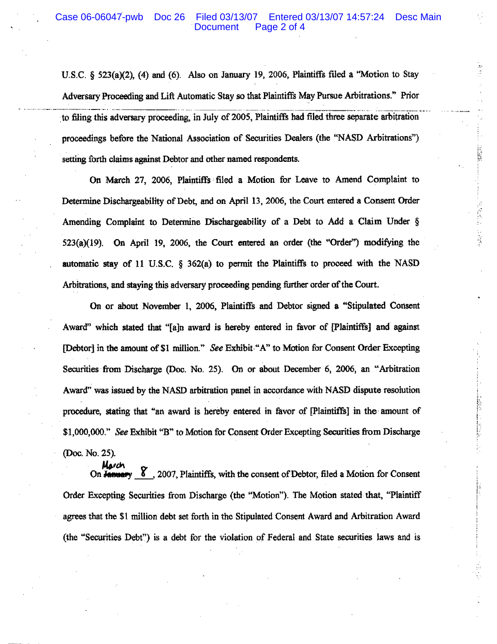U.S.C. § 523(a)(2), (4) and (6). Also on January 19, 2006, Plaintiffs filed a "Motion to Stay Adversary Proceeding and Lift Automatic Stay so that Plaintiffs May Pursue Arbitrations." Prior to filing this adversary proceeding, in July of 2005, Plaintiffs had filed three separate arbitration proceedings before the National Association of Securities Dealers (the "NASD Arbitrations") setting forth claims against Debtor and other named respondents.

On March 27, 2006, Plaintiffs filed a Motion for Leave to Amend Complaint to Determine Dischargeability of Debt, and on April 13, 2006, the Court entered a Consent Order Amending Complaint to Determine Dischargeability of a Debt to Add a Claim Under §  $523(a)(19)$ . On April 19, 2006, the Court entered an order (the "Order") modifying the automatic stay of 11 U.S.C.  $\S$  362(a) to permit the Plaintiffs to proceed with the NASD Arbitrations, and staying this adversary proceeding pending further order of the Court.

First Co

On or about November 1, 2006, Plaintiffs and Debtor signed a "Stipulated Consent Award" which stated that "[a]n award is hereby entered in favor of [Plaintiffs] and against [Debtor] in the amount of \$1 million." See Exhibit "A" to Motion for Consent Order Excepting Securities from Discharge (Doc. No. 25). On or about December 6, 2006, an "Arbitration" Award" was issued by the NASD arbitration panel in accordance with NASD dispute resolution procedure, stating that "an award is hereby entered in favor of [Plaintiffs] in the amount of \$1,000,000." See Exhibit "B" to Motion for Consent Order Excepting Securities from Discharge (Doc. No. 25).

Harch On January  $\chi$ , 2007, Plaintiffs, with the consent of Debtor, filed a Motion for Consent Order Excepting Securities from Discharge (the "Motion"). The Motion stated that, "Plaintiff agrees that the \$1 million debt set forth in the Stipulated Consent Award and Arbitration Award (the "Securities Debt") is a debt for the violation of Federal and State securities laws and is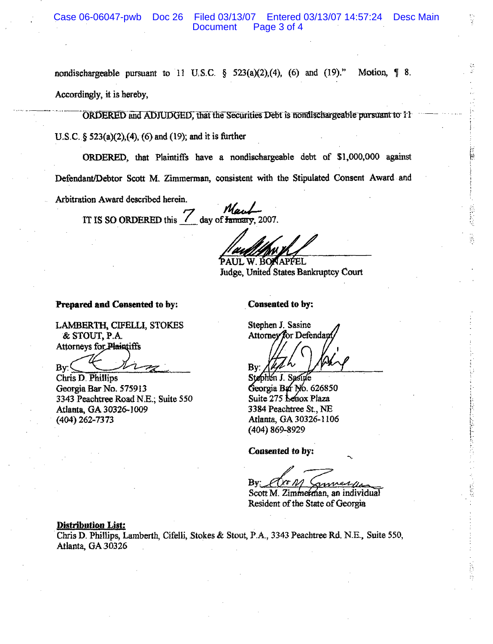Case 06-06047-pwb Doc 26 Filed 03/13/07 Entered 03/13/07 14:57:24 Desc Main Page 3 of 4

nondischargeable pursuant to 11 U.S.C. § 523(a)(2),(4), (6) and (19)." Motion, ¶ 8. Accordingly, it is hereby,

ORDERED and ADJUDGED, that the Securities Debt is nondischargeable pursuant to 11

U.S.C. §  $523(a)(2),(4),(6)$  and (19); and it is further

ORDERED, that Plaintiffs have a nondischargeable debt of \$1,000,000 against Defendant/Debtor Scott M. Zimmerman, consistent with the Stipulated Consent Award and

Arbitration Award described herein.

March IT IS SO ORDERED this <u>August 67 day</u> of Fancary, 2007.

PAUL W. BOXAPFEL Judge, United States Bankruptcy Court

Prepared and Consented to by:

LAMBERTH, CIFELLI, STOKES & STOUT, P.A. Attorneys for Plaintiffs

Bv:

Chris D. Phillips Georgia Bar No. 575913 3343 Peachtree Road N.E.; Suite 550 Atlanta, GA 30326-1009 (404) 262-7373

# Consented to by:

Stephen J. Sasine Attorney for Defendan By:

Stebhen J. Sasine Georgia Bar No. 626850 Suite 275 Lenox Plaza 3384 Peachtree St., NE Atlanta, GA 30326-1106 (404) 869-8929

Consented to by:

Scott M. Zimmerman, an individual Resident of the State of Georgia

#### **Distribution List:**

Chris D. Phillips, Lamberth, Cifelli, Stokes & Stout, P.A., 3343 Peachtree Rd. N.E., Suite 550, Atlanta, GA 30326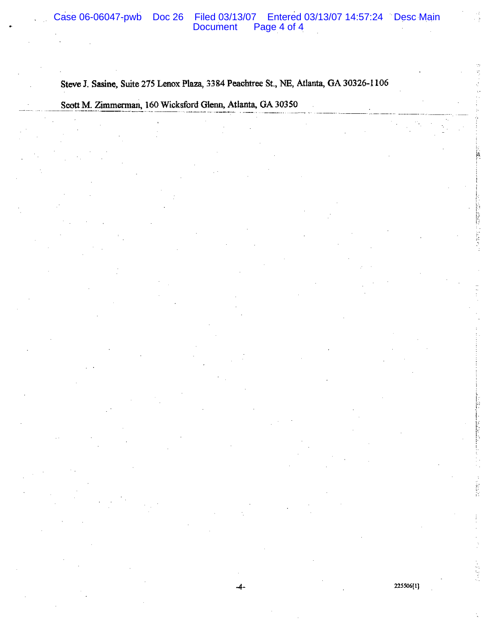Scott M. Zimmerman, 160 Wicksford Glenn, Atlanta, GA 30350

n<br>F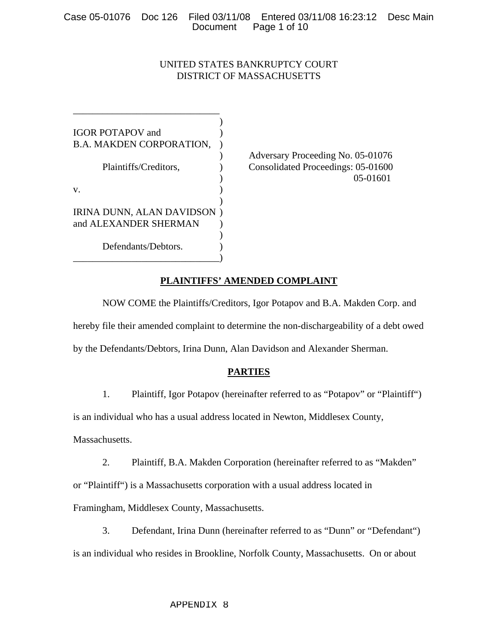# UNITED STATES BANKRUPTCY COURT DISTRICT OF MASSACHUSETTS

 $)$ IGOR POTAPOV and () B.A. MAKDEN CORPORATION, ) ) 05-01601  $\mathbf{v}$ .  $)$ IRINA DUNN, ALAN DAVIDSON ) and ALEXANDER SHERMAN )  $)$ Defendants/Debtors.

\_\_\_\_\_\_\_\_\_\_\_\_\_\_\_\_\_\_\_\_\_\_\_\_\_\_\_\_\_\_)

\_\_\_\_\_\_\_\_\_\_\_\_\_\_\_\_\_\_\_\_\_\_\_\_\_\_\_\_\_\_

 ) Adversary Proceeding No. 05-01076 Plaintiffs/Creditors, Consolidated Proceedings: 05-01600

# **PLAINTIFFS' AMENDED COMPLAINT**

 NOW COME the Plaintiffs/Creditors, Igor Potapov and B.A. Makden Corp. and hereby file their amended complaint to determine the non-dischargeability of a debt owed by the Defendants/Debtors, Irina Dunn, Alan Davidson and Alexander Sherman.

# **PARTIES**

1. Plaintiff, Igor Potapov (hereinafter referred to as "Potapov" or "Plaintiff")

is an individual who has a usual address located in Newton, Middlesex County,

Massachusetts.

2. Plaintiff, B.A. Makden Corporation (hereinafter referred to as "Makden"

or "Plaintiff") is a Massachusetts corporation with a usual address located in

Framingham, Middlesex County, Massachusetts.

 3. Defendant, Irina Dunn (hereinafter referred to as "Dunn" or "Defendant") is an individual who resides in Brookline, Norfolk County, Massachusetts. On or about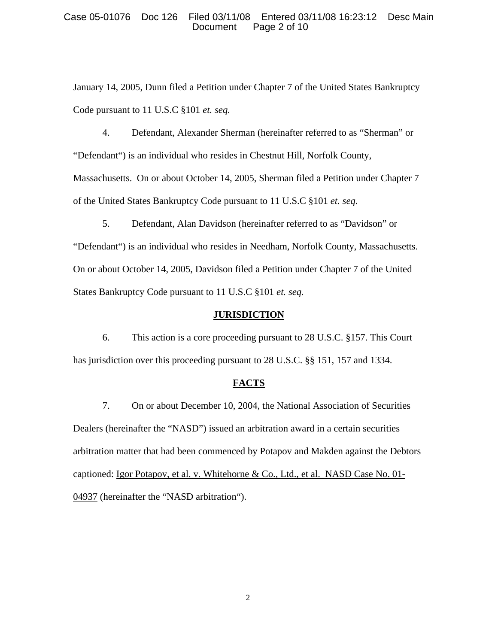# Case 05-01076 Doc 126 Filed 03/11/08 Entered 03/11/08 16:23:12 Desc Main Page 2 of 10

January 14, 2005, Dunn filed a Petition under Chapter 7 of the United States Bankruptcy Code pursuant to 11 U.S.C §101 *et. seq.* 

4. Defendant, Alexander Sherman (hereinafter referred to as "Sherman" or "Defendant") is an individual who resides in Chestnut Hill, Norfolk County,

Massachusetts. On or about October 14, 2005, Sherman filed a Petition under Chapter 7 of the United States Bankruptcy Code pursuant to 11 U.S.C §101 *et. seq.* 

5. Defendant, Alan Davidson (hereinafter referred to as "Davidson" or "Defendant") is an individual who resides in Needham, Norfolk County, Massachusetts. On or about October 14, 2005, Davidson filed a Petition under Chapter 7 of the United States Bankruptcy Code pursuant to 11 U.S.C §101 *et. seq.* 

# **JURISDICTION**

 6. This action is a core proceeding pursuant to 28 U.S.C. §157. This Court has jurisdiction over this proceeding pursuant to 28 U.S.C. §§ 151, 157 and 1334.

# **FACTS**

7. On or about December 10, 2004, the National Association of Securities Dealers (hereinafter the "NASD") issued an arbitration award in a certain securities arbitration matter that had been commenced by Potapov and Makden against the Debtors captioned: Igor Potapov, et al. v. Whitehorne & Co., Ltd., et al. NASD Case No. 01- 04937 (hereinafter the "NASD arbitration").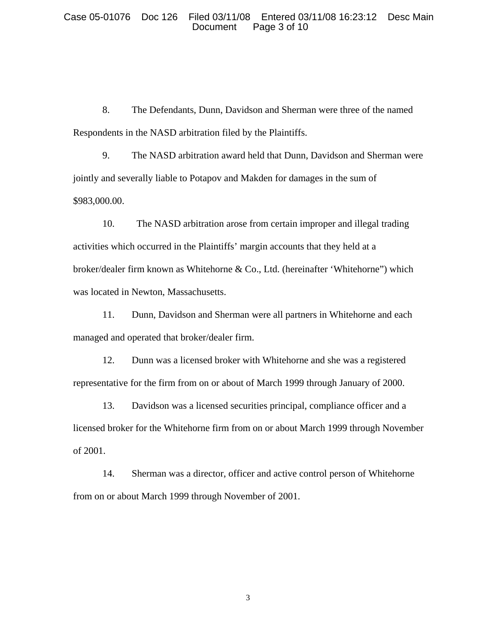# Case 05-01076 Doc 126 Filed 03/11/08 Entered 03/11/08 16:23:12 Desc Main Page 3 of 10

 8. The Defendants, Dunn, Davidson and Sherman were three of the named Respondents in the NASD arbitration filed by the Plaintiffs.

 9. The NASD arbitration award held that Dunn, Davidson and Sherman were jointly and severally liable to Potapov and Makden for damages in the sum of \$983,000.00.

 10. The NASD arbitration arose from certain improper and illegal trading activities which occurred in the Plaintiffs' margin accounts that they held at a broker/dealer firm known as Whitehorne & Co., Ltd. (hereinafter 'Whitehorne") which was located in Newton, Massachusetts.

 11. Dunn, Davidson and Sherman were all partners in Whitehorne and each managed and operated that broker/dealer firm.

 12. Dunn was a licensed broker with Whitehorne and she was a registered representative for the firm from on or about of March 1999 through January of 2000.

 13. Davidson was a licensed securities principal, compliance officer and a licensed broker for the Whitehorne firm from on or about March 1999 through November of 2001.

 14. Sherman was a director, officer and active control person of Whitehorne from on or about March 1999 through November of 2001.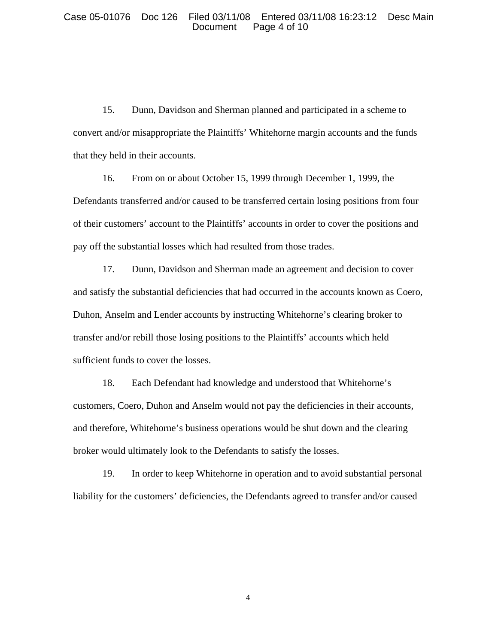# Case 05-01076 Doc 126 Filed 03/11/08 Entered 03/11/08 16:23:12 Desc Main<br>Document Page 4 of 10 Page 4 of 10

 15. Dunn, Davidson and Sherman planned and participated in a scheme to convert and/or misappropriate the Plaintiffs' Whitehorne margin accounts and the funds that they held in their accounts.

 16. From on or about October 15, 1999 through December 1, 1999, the Defendants transferred and/or caused to be transferred certain losing positions from four of their customers' account to the Plaintiffs' accounts in order to cover the positions and pay off the substantial losses which had resulted from those trades.

 17. Dunn, Davidson and Sherman made an agreement and decision to cover and satisfy the substantial deficiencies that had occurred in the accounts known as Coero, Duhon, Anselm and Lender accounts by instructing Whitehorne's clearing broker to transfer and/or rebill those losing positions to the Plaintiffs' accounts which held sufficient funds to cover the losses.

 18. Each Defendant had knowledge and understood that Whitehorne's customers, Coero, Duhon and Anselm would not pay the deficiencies in their accounts, and therefore, Whitehorne's business operations would be shut down and the clearing broker would ultimately look to the Defendants to satisfy the losses.

 19. In order to keep Whitehorne in operation and to avoid substantial personal liability for the customers' deficiencies, the Defendants agreed to transfer and/or caused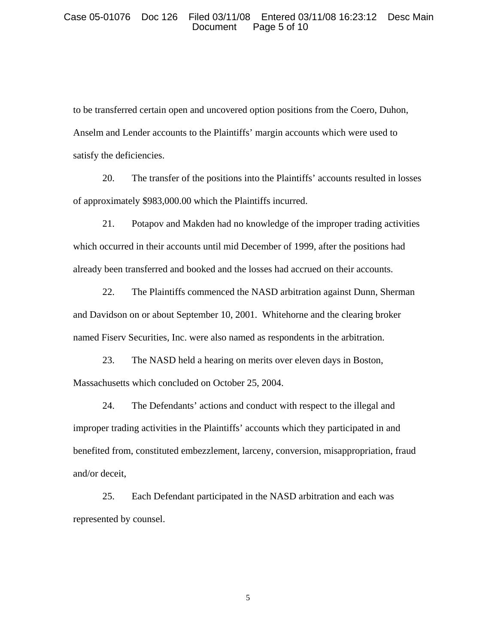# Case 05-01076 Doc 126 Filed 03/11/08 Entered 03/11/08 16:23:12 Desc Main Page 5 of 10

to be transferred certain open and uncovered option positions from the Coero, Duhon, Anselm and Lender accounts to the Plaintiffs' margin accounts which were used to satisfy the deficiencies.

 20. The transfer of the positions into the Plaintiffs' accounts resulted in losses of approximately \$983,000.00 which the Plaintiffs incurred.

 21. Potapov and Makden had no knowledge of the improper trading activities which occurred in their accounts until mid December of 1999, after the positions had already been transferred and booked and the losses had accrued on their accounts.

 22. The Plaintiffs commenced the NASD arbitration against Dunn, Sherman and Davidson on or about September 10, 2001. Whitehorne and the clearing broker named Fiserv Securities, Inc. were also named as respondents in the arbitration.

 23. The NASD held a hearing on merits over eleven days in Boston, Massachusetts which concluded on October 25, 2004.

 24. The Defendants' actions and conduct with respect to the illegal and improper trading activities in the Plaintiffs' accounts which they participated in and benefited from, constituted embezzlement, larceny, conversion, misappropriation, fraud and/or deceit,

 25. Each Defendant participated in the NASD arbitration and each was represented by counsel.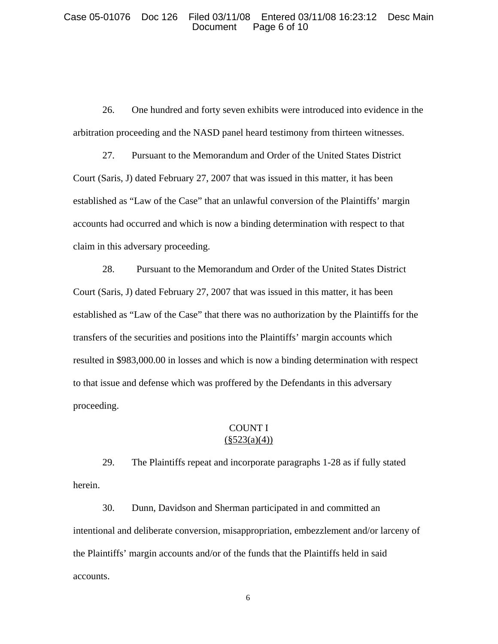# Case 05-01076 Doc 126 Filed 03/11/08 Entered 03/11/08 16:23:12 Desc Main Page 6 of 10

 26. One hundred and forty seven exhibits were introduced into evidence in the arbitration proceeding and the NASD panel heard testimony from thirteen witnesses.

 27. Pursuant to the Memorandum and Order of the United States District Court (Saris, J) dated February 27, 2007 that was issued in this matter, it has been established as "Law of the Case" that an unlawful conversion of the Plaintiffs' margin accounts had occurred and which is now a binding determination with respect to that claim in this adversary proceeding.

 28. Pursuant to the Memorandum and Order of the United States District Court (Saris, J) dated February 27, 2007 that was issued in this matter, it has been established as "Law of the Case" that there was no authorization by the Plaintiffs for the transfers of the securities and positions into the Plaintiffs' margin accounts which resulted in \$983,000.00 in losses and which is now a binding determination with respect to that issue and defense which was proffered by the Defendants in this adversary proceeding.

# COUNT I  $(\$523(a)(4))$

 29. The Plaintiffs repeat and incorporate paragraphs 1-28 as if fully stated herein.

 30. Dunn, Davidson and Sherman participated in and committed an intentional and deliberate conversion, misappropriation, embezzlement and/or larceny of the Plaintiffs' margin accounts and/or of the funds that the Plaintiffs held in said accounts.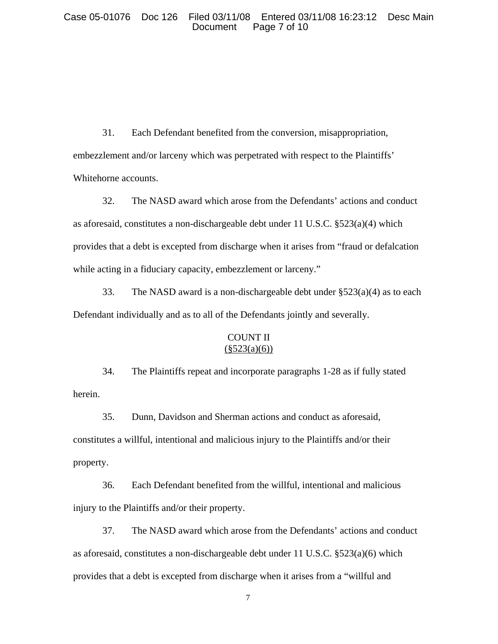31. Each Defendant benefited from the conversion, misappropriation, embezzlement and/or larceny which was perpetrated with respect to the Plaintiffs' Whitehorne accounts.

 32. The NASD award which arose from the Defendants' actions and conduct as aforesaid, constitutes a non-dischargeable debt under 11 U.S.C. §523(a)(4) which provides that a debt is excepted from discharge when it arises from "fraud or defalcation while acting in a fiduciary capacity, embezzlement or larceny."

33. The NASD award is a non-dischargeable debt under  $\S 523(a)(4)$  as to each Defendant individually and as to all of the Defendants jointly and severally.

# COUNT II  $(\frac{6}{523(a)(6)})$

 34. The Plaintiffs repeat and incorporate paragraphs 1-28 as if fully stated herein.

 35. Dunn, Davidson and Sherman actions and conduct as aforesaid, constitutes a willful, intentional and malicious injury to the Plaintiffs and/or their property.

 36. Each Defendant benefited from the willful, intentional and malicious injury to the Plaintiffs and/or their property.

 37. The NASD award which arose from the Defendants' actions and conduct as aforesaid, constitutes a non-dischargeable debt under 11 U.S.C. §523(a)(6) which provides that a debt is excepted from discharge when it arises from a "willful and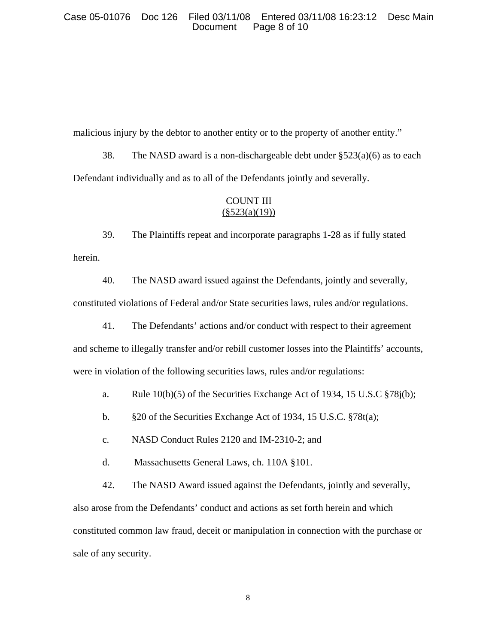Case 05-01076 Doc 126 Filed 03/11/08 Entered 03/11/08 16:23:12 Desc Main<br>Document Page 8 of 10 Page 8 of 10

malicious injury by the debtor to another entity or to the property of another entity."

38. The NASD award is a non-dischargeable debt under  $\S$ 523(a)(6) as to each Defendant individually and as to all of the Defendants jointly and severally.

# COUNT III  $(\S 523(a)(19))$

 39. The Plaintiffs repeat and incorporate paragraphs 1-28 as if fully stated herein.

 40. The NASD award issued against the Defendants, jointly and severally, constituted violations of Federal and/or State securities laws, rules and/or regulations.

- 41. The Defendants' actions and/or conduct with respect to their agreement and scheme to illegally transfer and/or rebill customer losses into the Plaintiffs' accounts, were in violation of the following securities laws, rules and/or regulations:
	- a. Rule  $10(b)(5)$  of the Securities Exchange Act of 1934, 15 U.S.C §78 $j(b)$ ;
	- b. §20 of the Securities Exchange Act of 1934, 15 U.S.C. §78t(a);
	- c. NASD Conduct Rules 2120 and IM-2310-2; and
	- d. Massachusetts General Laws, ch. 110A §101.

 42. The NASD Award issued against the Defendants, jointly and severally, also arose from the Defendants' conduct and actions as set forth herein and which constituted common law fraud, deceit or manipulation in connection with the purchase or sale of any security.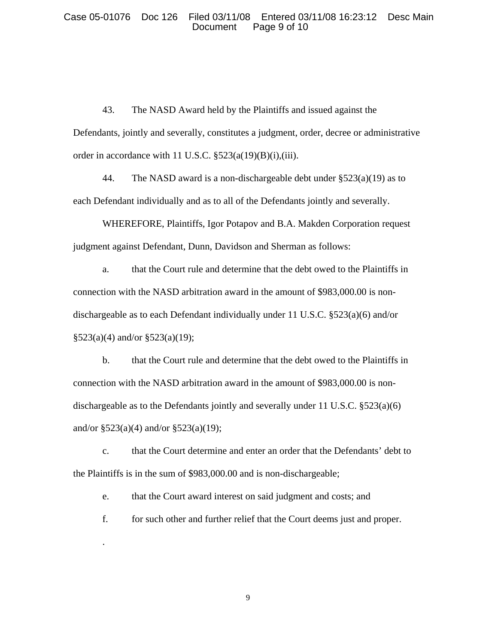# Case 05-01076 Doc 126 Filed 03/11/08 Entered 03/11/08 16:23:12 Desc Main<br>Document Page 9 of 10 Page 9 of 10

 43. The NASD Award held by the Plaintiffs and issued against the Defendants, jointly and severally, constitutes a judgment, order, decree or administrative order in accordance with 11 U.S.C.  $\S 523(a(19)(B)(i), (iii)$ .

44. The NASD award is a non-dischargeable debt under  $\S 523(a)(19)$  as to each Defendant individually and as to all of the Defendants jointly and severally.

 WHEREFORE, Plaintiffs, Igor Potapov and B.A. Makden Corporation request judgment against Defendant, Dunn, Davidson and Sherman as follows:

 a. that the Court rule and determine that the debt owed to the Plaintiffs in connection with the NASD arbitration award in the amount of \$983,000.00 is nondischargeable as to each Defendant individually under 11 U.S.C.  $\S 523(a)(6)$  and/or  $§523(a)(4)$  and/or  $§523(a)(19)$ ;

 b. that the Court rule and determine that the debt owed to the Plaintiffs in connection with the NASD arbitration award in the amount of \$983,000.00 is nondischargeable as to the Defendants jointly and severally under 11 U.S.C.  $\S 523(a)(6)$ and/or  $\S 523(a)(4)$  and/or  $\S 523(a)(19)$ ;

 c. that the Court determine and enter an order that the Defendants' debt to the Plaintiffs is in the sum of \$983,000.00 and is non-dischargeable;

e. that the Court award interest on said judgment and costs; and

.

f. for such other and further relief that the Court deems just and proper.